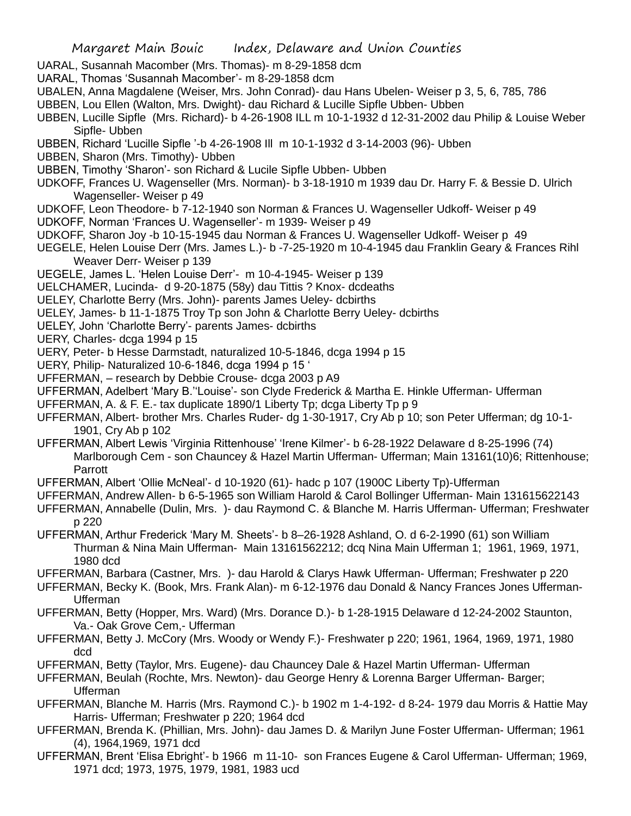- UARAL, Susannah Macomber (Mrs. Thomas)- m 8-29-1858 dcm
- UARAL, Thomas 'Susannah Macomber'- m 8-29-1858 dcm
- UBALEN, Anna Magdalene (Weiser, Mrs. John Conrad)- dau Hans Ubelen- Weiser p 3, 5, 6, 785, 786
- UBBEN, Lou Ellen (Walton, Mrs. Dwight)- dau Richard & Lucille Sipfle Ubben- Ubben
- UBBEN, Lucille Sipfle (Mrs. Richard)- b 4-26-1908 ILL m 10-1-1932 d 12-31-2002 dau Philip & Louise Weber Sipfle- Ubben
- UBBEN, Richard 'Lucille Sipfle '-b 4-26-1908 Ill m 10-1-1932 d 3-14-2003 (96)- Ubben
- UBBEN, Sharon (Mrs. Timothy)- Ubben
- UBBEN, Timothy 'Sharon'- son Richard & Lucile Sipfle Ubben- Ubben
- UDKOFF, Frances U. Wagenseller (Mrs. Norman)- b 3-18-1910 m 1939 dau Dr. Harry F. & Bessie D. Ulrich Wagenseller- Weiser p 49
- UDKOFF, Leon Theodore- b 7-12-1940 son Norman & Frances U. Wagenseller Udkoff- Weiser p 49
- UDKOFF, Norman 'Frances U. Wagenseller'- m 1939- Weiser p 49
- UDKOFF, Sharon Joy -b 10-15-1945 dau Norman & Frances U. Wagenseller Udkoff- Weiser p 49
- UEGELE, Helen Louise Derr (Mrs. James L.)- b -7-25-1920 m 10-4-1945 dau Franklin Geary & Frances Rihl Weaver Derr- Weiser p 139
- UEGELE, James L. 'Helen Louise Derr'- m 10-4-1945- Weiser p 139
- UELCHAMER, Lucinda- d 9-20-1875 (58y) dau Tittis ? Knox- dcdeaths
- UELEY, Charlotte Berry (Mrs. John)- parents James Ueley- dcbirths
- UELEY, James- b 11-1-1875 Troy Tp son John & Charlotte Berry Ueley- dcbirths
- UELEY, John 'Charlotte Berry'- parents James- dcbirths
- UERY, Charles- dcga 1994 p 15
- UERY, Peter- b Hesse Darmstadt, naturalized 10-5-1846, dcga 1994 p 15
- UERY, Philip- Naturalized 10-6-1846, dcga 1994 p 15 '
- UFFERMAN, research by Debbie Crouse- dcga 2003 p A9
- UFFERMAN, Adelbert 'Mary B.''Louise'- son Clyde Frederick & Martha E. Hinkle Ufferman- Ufferman
- UFFERMAN, A. & F. E.- tax duplicate 1890/1 Liberty Tp; dcga Liberty Tp p 9
- UFFERMAN, Albert- brother Mrs. Charles Ruder- dg 1-30-1917, Cry Ab p 10; son Peter Ufferman; dg 10-1- 1901, Cry Ab p 102
- UFFERMAN, Albert Lewis 'Virginia Rittenhouse' 'Irene Kilmer'- b 6-28-1922 Delaware d 8-25-1996 (74) Marlborough Cem - son Chauncey & Hazel Martin Ufferman- Ufferman; Main 13161(10)6; Rittenhouse; Parrott
- UFFERMAN, Albert 'Ollie McNeal'- d 10-1920 (61)- hadc p 107 (1900C Liberty Tp)-Ufferman
- UFFERMAN, Andrew Allen- b 6-5-1965 son William Harold & Carol Bollinger Ufferman- Main 131615622143
- UFFERMAN, Annabelle (Dulin, Mrs. )- dau Raymond C. & Blanche M. Harris Ufferman- Ufferman; Freshwater p 220
- UFFERMAN, Arthur Frederick 'Mary M. Sheets'- b 8–26-1928 Ashland, O. d 6-2-1990 (61) son William Thurman & Nina Main Ufferman- Main 13161562212; dcq Nina Main Ufferman 1; 1961, 1969, 1971, 1980 dcd
- UFFERMAN, Barbara (Castner, Mrs. )- dau Harold & Clarys Hawk Ufferman- Ufferman; Freshwater p 220
- UFFERMAN, Becky K. (Book, Mrs. Frank Alan)- m 6-12-1976 dau Donald & Nancy Frances Jones Ufferman-Ufferman
- UFFERMAN, Betty (Hopper, Mrs. Ward) (Mrs. Dorance D.)- b 1-28-1915 Delaware d 12-24-2002 Staunton, Va.- Oak Grove Cem,- Ufferman
- UFFERMAN, Betty J. McCory (Mrs. Woody or Wendy F.)- Freshwater p 220; 1961, 1964, 1969, 1971, 1980 dcd
- UFFERMAN, Betty (Taylor, Mrs. Eugene)- dau Chauncey Dale & Hazel Martin Ufferman- Ufferman
- UFFERMAN, Beulah (Rochte, Mrs. Newton)- dau George Henry & Lorenna Barger Ufferman- Barger; Ufferman
- UFFERMAN, Blanche M. Harris (Mrs. Raymond C.)- b 1902 m 1-4-192- d 8-24- 1979 dau Morris & Hattie May Harris- Ufferman; Freshwater p 220; 1964 dcd
- UFFERMAN, Brenda K. (Phillian, Mrs. John)- dau James D. & Marilyn June Foster Ufferman- Ufferman; 1961 (4), 1964,1969, 1971 dcd
- UFFERMAN, Brent 'Elisa Ebright'- b 1966 m 11-10- son Frances Eugene & Carol Ufferman- Ufferman; 1969, 1971 dcd; 1973, 1975, 1979, 1981, 1983 ucd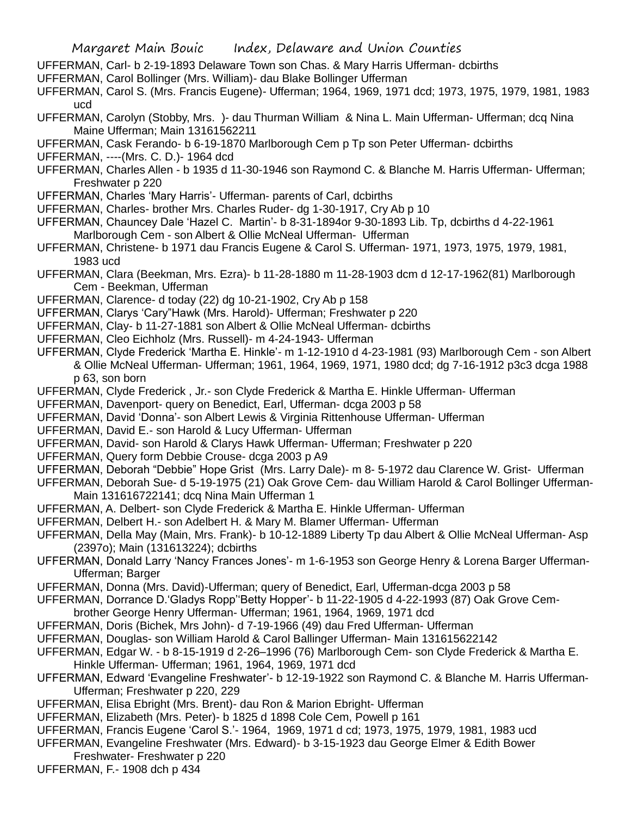UFFERMAN, Carl- b 2-19-1893 Delaware Town son Chas. & Mary Harris Ufferman- dcbirths

- UFFERMAN, Carol Bollinger (Mrs. William)- dau Blake Bollinger Ufferman
- UFFERMAN, Carol S. (Mrs. Francis Eugene)- Ufferman; 1964, 1969, 1971 dcd; 1973, 1975, 1979, 1981, 1983 ucd
- UFFERMAN, Carolyn (Stobby, Mrs. )- dau Thurman William & Nina L. Main Ufferman- Ufferman; dcq Nina Maine Ufferman; Main 13161562211
- UFFERMAN, Cask Ferando- b 6-19-1870 Marlborough Cem p Tp son Peter Ufferman- dcbirths
- UFFERMAN, ----(Mrs. C. D.)- 1964 dcd
- UFFERMAN, Charles Allen b 1935 d 11-30-1946 son Raymond C. & Blanche M. Harris Ufferman- Ufferman; Freshwater p 220
- UFFERMAN, Charles 'Mary Harris'- Ufferman- parents of Carl, dcbirths
- UFFERMAN, Charles- brother Mrs. Charles Ruder- dg 1-30-1917, Cry Ab p 10
- UFFERMAN, Chauncey Dale 'Hazel C. Martin'- b 8-31-1894or 9-30-1893 Lib. Tp, dcbirths d 4-22-1961 Marlborough Cem - son Albert & Ollie McNeal Ufferman- Ufferman
- UFFERMAN, Christene- b 1971 dau Francis Eugene & Carol S. Ufferman- 1971, 1973, 1975, 1979, 1981, 1983 ucd
- UFFERMAN, Clara (Beekman, Mrs. Ezra)- b 11-28-1880 m 11-28-1903 dcm d 12-17-1962(81) Marlborough Cem - Beekman, Ufferman
- UFFERMAN, Clarence- d today (22) dg 10-21-1902, Cry Ab p 158
- UFFERMAN, Clarys 'Cary"Hawk (Mrs. Harold)- Ufferman; Freshwater p 220
- UFFERMAN, Clay- b 11-27-1881 son Albert & Ollie McNeal Ufferman- dcbirths
- UFFERMAN, Cleo Eichholz (Mrs. Russell)- m 4-24-1943- Ufferman
- UFFERMAN, Clyde Frederick 'Martha E. Hinkle'- m 1-12-1910 d 4-23-1981 (93) Marlborough Cem son Albert & Ollie McNeal Ufferman- Ufferman; 1961, 1964, 1969, 1971, 1980 dcd; dg 7-16-1912 p3c3 dcga 1988 p 63, son born
- UFFERMAN, Clyde Frederick , Jr.- son Clyde Frederick & Martha E. Hinkle Ufferman- Ufferman
- UFFERMAN, Davenport- query on Benedict, Earl, Ufferman- dcga 2003 p 58
- UFFERMAN, David 'Donna'- son Albert Lewis & Virginia Rittenhouse Ufferman- Ufferman
- UFFERMAN, David E.- son Harold & Lucy Ufferman- Ufferman
- UFFERMAN, David- son Harold & Clarys Hawk Ufferman- Ufferman; Freshwater p 220
- UFFERMAN, Query form Debbie Crouse- dcga 2003 p A9
- UFFERMAN, Deborah "Debbie" Hope Grist (Mrs. Larry Dale)- m 8- 5-1972 dau Clarence W. Grist- Ufferman
- UFFERMAN, Deborah Sue- d 5-19-1975 (21) Oak Grove Cem- dau William Harold & Carol Bollinger Ufferman-Main 131616722141; dcq Nina Main Ufferman 1
- UFFERMAN, A. Delbert- son Clyde Frederick & Martha E. Hinkle Ufferman- Ufferman
- UFFERMAN, Delbert H.- son Adelbert H. & Mary M. Blamer Ufferman- Ufferman
- UFFERMAN, Della May (Main, Mrs. Frank)- b 10-12-1889 Liberty Tp dau Albert & Ollie McNeal Ufferman- Asp (2397o); Main (131613224); dcbirths
- UFFERMAN, Donald Larry 'Nancy Frances Jones'- m 1-6-1953 son George Henry & Lorena Barger Ufferman-Ufferman; Barger
- UFFERMAN, Donna (Mrs. David)-Ufferman; query of Benedict, Earl, Ufferman-dcga 2003 p 58
- UFFERMAN, Dorrance D.'Gladys Ropp''Betty Hopper'- b 11-22-1905 d 4-22-1993 (87) Oak Grove Cem-
- brother George Henry Ufferman- Ufferman; 1961, 1964, 1969, 1971 dcd
- UFFERMAN, Doris (Bichek, Mrs John)- d 7-19-1966 (49) dau Fred Ufferman- Ufferman
- UFFERMAN, Douglas- son William Harold & Carol Ballinger Ufferman- Main 131615622142
- UFFERMAN, Edgar W. b 8-15-1919 d 2-26–1996 (76) Marlborough Cem- son Clyde Frederick & Martha E. Hinkle Ufferman- Ufferman; 1961, 1964, 1969, 1971 dcd
- UFFERMAN, Edward 'Evangeline Freshwater'- b 12-19-1922 son Raymond C. & Blanche M. Harris Ufferman-Ufferman; Freshwater p 220, 229
- UFFERMAN, Elisa Ebright (Mrs. Brent)- dau Ron & Marion Ebright- Ufferman
- UFFERMAN, Elizabeth (Mrs. Peter)- b 1825 d 1898 Cole Cem, Powell p 161
- UFFERMAN, Francis Eugene 'Carol S.'- 1964, 1969, 1971 d cd; 1973, 1975, 1979, 1981, 1983 ucd
- UFFERMAN, Evangeline Freshwater (Mrs. Edward)- b 3-15-1923 dau George Elmer & Edith Bower Freshwater- Freshwater p 220
- UFFERMAN, F.- 1908 dch p 434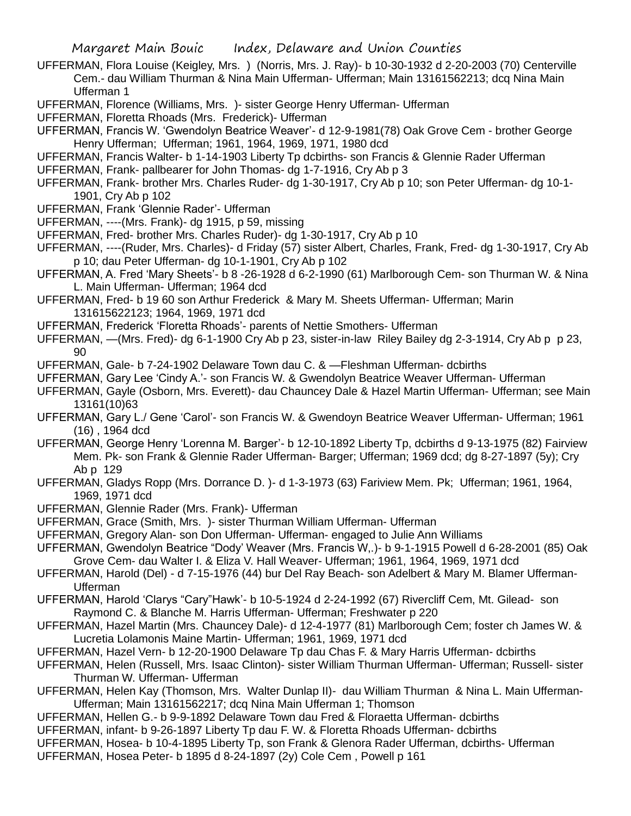UFFERMAN, Flora Louise (Keigley, Mrs. ) (Norris, Mrs. J. Ray)- b 10-30-1932 d 2-20-2003 (70) Centerville Cem.- dau William Thurman & Nina Main Ufferman- Ufferman; Main 13161562213; dcq Nina Main Ufferman 1

UFFERMAN, Florence (Williams, Mrs. )- sister George Henry Ufferman- Ufferman

UFFERMAN, Floretta Rhoads (Mrs. Frederick)- Ufferman

- UFFERMAN, Francis W. 'Gwendolyn Beatrice Weaver'- d 12-9-1981(78) Oak Grove Cem brother George Henry Ufferman; Ufferman; 1961, 1964, 1969, 1971, 1980 dcd
- UFFERMAN, Francis Walter- b 1-14-1903 Liberty Tp dcbirths- son Francis & Glennie Rader Ufferman

UFFERMAN, Frank- pallbearer for John Thomas- dg 1-7-1916, Cry Ab p 3

- UFFERMAN, Frank- brother Mrs. Charles Ruder- dg 1-30-1917, Cry Ab p 10; son Peter Ufferman- dg 10-1- 1901, Cry Ab p 102
- UFFERMAN, Frank 'Glennie Rader'- Ufferman
- UFFERMAN, ----(Mrs. Frank)- dg 1915, p 59, missing
- UFFERMAN, Fred- brother Mrs. Charles Ruder)- dg 1-30-1917, Cry Ab p 10
- UFFERMAN, ----(Ruder, Mrs. Charles)- d Friday (57) sister Albert, Charles, Frank, Fred- dg 1-30-1917, Cry Ab p 10; dau Peter Ufferman- dg 10-1-1901, Cry Ab p 102
- UFFERMAN, A. Fred 'Mary Sheets'- b 8 -26-1928 d 6-2-1990 (61) Marlborough Cem- son Thurman W. & Nina L. Main Ufferman- Ufferman; 1964 dcd
- UFFERMAN, Fred- b 19 60 son Arthur Frederick & Mary M. Sheets Ufferman- Ufferman; Marin 131615622123; 1964, 1969, 1971 dcd

UFFERMAN, Frederick 'Floretta Rhoads'- parents of Nettie Smothers- Ufferman

UFFERMAN, —(Mrs. Fred)- dg 6-1-1900 Cry Ab p 23, sister-in-law Riley Bailey dg 2-3-1914, Cry Ab p p 23, 90

UFFERMAN, Gale- b 7-24-1902 Delaware Town dau C. & —Fleshman Ufferman- dcbirths

- UFFERMAN, Gary Lee 'Cindy A.'- son Francis W. & Gwendolyn Beatrice Weaver Ufferman- Ufferman
- UFFERMAN, Gayle (Osborn, Mrs. Everett)- dau Chauncey Dale & Hazel Martin Ufferman- Ufferman; see Main 13161(10)63
- UFFERMAN, Gary L./ Gene 'Carol'- son Francis W. & Gwendoyn Beatrice Weaver Ufferman- Ufferman; 1961 (16) , 1964 dcd
- UFFERMAN, George Henry 'Lorenna M. Barger'- b 12-10-1892 Liberty Tp, dcbirths d 9-13-1975 (82) Fairview Mem. Pk- son Frank & Glennie Rader Ufferman- Barger; Ufferman; 1969 dcd; dg 8-27-1897 (5y); Cry Ab p 129
- UFFERMAN, Gladys Ropp (Mrs. Dorrance D. )- d 1-3-1973 (63) Fariview Mem. Pk; Ufferman; 1961, 1964, 1969, 1971 dcd
- UFFERMAN, Glennie Rader (Mrs. Frank)- Ufferman
- UFFERMAN, Grace (Smith, Mrs. )- sister Thurman William Ufferman- Ufferman
- UFFERMAN, Gregory Alan- son Don Ufferman- Ufferman- engaged to Julie Ann Williams
- UFFERMAN, Gwendolyn Beatrice "Dody' Weaver (Mrs. Francis W,.)- b 9-1-1915 Powell d 6-28-2001 (85) Oak Grove Cem- dau Walter I. & Eliza V. Hall Weaver- Ufferman; 1961, 1964, 1969, 1971 dcd
- UFFERMAN, Harold (Del) d 7-15-1976 (44) bur Del Ray Beach- son Adelbert & Mary M. Blamer Ufferman-Ufferman
- UFFERMAN, Harold 'Clarys "Cary"Hawk'- b 10-5-1924 d 2-24-1992 (67) Rivercliff Cem, Mt. Gilead- son Raymond C. & Blanche M. Harris Ufferman- Ufferman; Freshwater p 220
- UFFERMAN, Hazel Martin (Mrs. Chauncey Dale)- d 12-4-1977 (81) Marlborough Cem; foster ch James W. & Lucretia Lolamonis Maine Martin- Ufferman; 1961, 1969, 1971 dcd
- UFFERMAN, Hazel Vern- b 12-20-1900 Delaware Tp dau Chas F. & Mary Harris Ufferman- dcbirths
- UFFERMAN, Helen (Russell, Mrs. Isaac Clinton)- sister William Thurman Ufferman- Ufferman; Russell- sister Thurman W. Ufferman- Ufferman
- UFFERMAN, Helen Kay (Thomson, Mrs. Walter Dunlap II)- dau William Thurman & Nina L. Main Ufferman-Ufferman; Main 13161562217; dcq Nina Main Ufferman 1; Thomson
- UFFERMAN, Hellen G.- b 9-9-1892 Delaware Town dau Fred & Floraetta Ufferman- dcbirths
- UFFERMAN, infant- b 9-26-1897 Liberty Tp dau F. W. & Floretta Rhoads Ufferman- dcbirths
- UFFERMAN, Hosea- b 10-4-1895 Liberty Tp, son Frank & Glenora Rader Ufferman, dcbirths- Ufferman
- UFFERMAN, Hosea Peter- b 1895 d 8-24-1897 (2y) Cole Cem , Powell p 161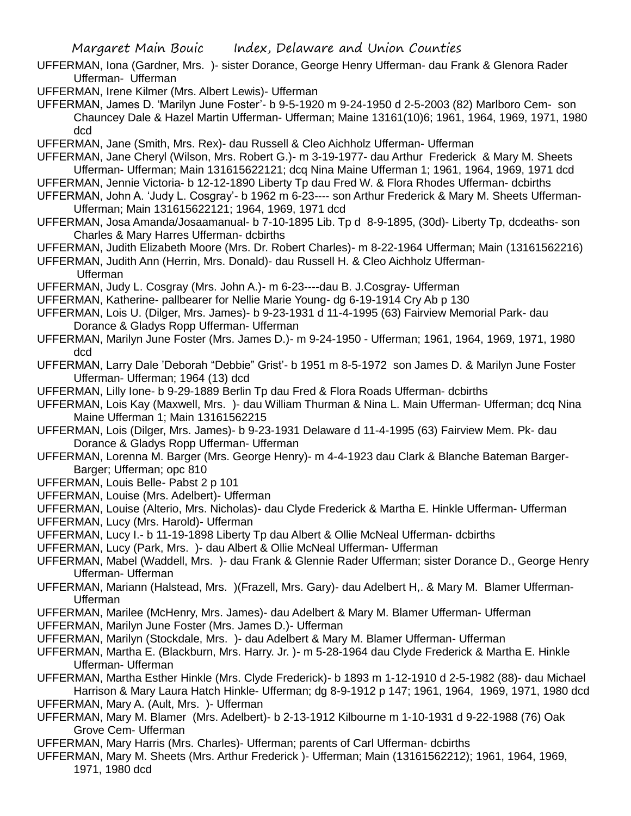- UFFERMAN, Iona (Gardner, Mrs. )- sister Dorance, George Henry Ufferman- dau Frank & Glenora Rader Ufferman- Ufferman
- UFFERMAN, Irene Kilmer (Mrs. Albert Lewis)- Ufferman
- UFFERMAN, James D. 'Marilyn June Foster'- b 9-5-1920 m 9-24-1950 d 2-5-2003 (82) Marlboro Cem- son Chauncey Dale & Hazel Martin Ufferman- Ufferman; Maine 13161(10)6; 1961, 1964, 1969, 1971, 1980 dcd
- UFFERMAN, Jane (Smith, Mrs. Rex)- dau Russell & Cleo Aichholz Ufferman- Ufferman
- UFFERMAN, Jane Cheryl (Wilson, Mrs. Robert G.)- m 3-19-1977- dau Arthur Frederick & Mary M. Sheets Ufferman- Ufferman; Main 131615622121; dcq Nina Maine Ufferman 1; 1961, 1964, 1969, 1971 dcd
- UFFERMAN, Jennie Victoria- b 12-12-1890 Liberty Tp dau Fred W. & Flora Rhodes Ufferman- dcbirths
- UFFERMAN, John A. 'Judy L. Cosgray'- b 1962 m 6-23---- son Arthur Frederick & Mary M. Sheets Ufferman-Ufferman; Main 131615622121; 1964, 1969, 1971 dcd
- UFFERMAN, Josa Amanda/Josaamanual- b 7-10-1895 Lib. Tp d 8-9-1895, (30d)- Liberty Tp, dcdeaths- son Charles & Mary Harres Ufferman- dcbirths
- UFFERMAN, Judith Elizabeth Moore (Mrs. Dr. Robert Charles)- m 8-22-1964 Ufferman; Main (13161562216)
- UFFERMAN, Judith Ann (Herrin, Mrs. Donald)- dau Russell H. & Cleo Aichholz Ufferman-
	- Ufferman
- UFFERMAN, Judy L. Cosgray (Mrs. John A.)- m 6-23----dau B. J.Cosgray- Ufferman
- UFFERMAN, Katherine- pallbearer for Nellie Marie Young- dg 6-19-1914 Cry Ab p 130
- UFFERMAN, Lois U. (Dilger, Mrs. James)- b 9-23-1931 d 11-4-1995 (63) Fairview Memorial Park- dau Dorance & Gladys Ropp Ufferman- Ufferman
- UFFERMAN, Marilyn June Foster (Mrs. James D.)- m 9-24-1950 Ufferman; 1961, 1964, 1969, 1971, 1980 dcd
- UFFERMAN, Larry Dale 'Deborah "Debbie" Grist'- b 1951 m 8-5-1972 son James D. & Marilyn June Foster Ufferman- Ufferman; 1964 (13) dcd
- UFFERMAN, Lilly Ione- b 9-29-1889 Berlin Tp dau Fred & Flora Roads Ufferman- dcbirths
- UFFERMAN, Lois Kay (Maxwell, Mrs. )- dau William Thurman & Nina L. Main Ufferman- Ufferman; dcq Nina Maine Ufferman 1; Main 13161562215
- UFFERMAN, Lois (Dilger, Mrs. James)- b 9-23-1931 Delaware d 11-4-1995 (63) Fairview Mem. Pk- dau Dorance & Gladys Ropp Ufferman- Ufferman
- UFFERMAN, Lorenna M. Barger (Mrs. George Henry)- m 4-4-1923 dau Clark & Blanche Bateman Barger-Barger; Ufferman; opc 810
- UFFERMAN, Louis Belle- Pabst 2 p 101
- UFFERMAN, Louise (Mrs. Adelbert)- Ufferman
- UFFERMAN, Louise (Alterio, Mrs. Nicholas)- dau Clyde Frederick & Martha E. Hinkle Ufferman- Ufferman
- UFFERMAN, Lucy (Mrs. Harold)- Ufferman
- UFFERMAN, Lucy I.- b 11-19-1898 Liberty Tp dau Albert & Ollie McNeal Ufferman- dcbirths
- UFFERMAN, Lucy (Park, Mrs. )- dau Albert & Ollie McNeal Ufferman- Ufferman
- UFFERMAN, Mabel (Waddell, Mrs. )- dau Frank & Glennie Rader Ufferman; sister Dorance D., George Henry Ufferman- Ufferman
- UFFERMAN, Mariann (Halstead, Mrs. )(Frazell, Mrs. Gary)- dau Adelbert H,. & Mary M. Blamer Ufferman-Ufferman
- UFFERMAN, Marilee (McHenry, Mrs. James)- dau Adelbert & Mary M. Blamer Ufferman- Ufferman
- UFFERMAN, Marilyn June Foster (Mrs. James D.)- Ufferman
- UFFERMAN, Marilyn (Stockdale, Mrs. )- dau Adelbert & Mary M. Blamer Ufferman- Ufferman
- UFFERMAN, Martha E. (Blackburn, Mrs. Harry. Jr. )- m 5-28-1964 dau Clyde Frederick & Martha E. Hinkle Ufferman- Ufferman
- UFFERMAN, Martha Esther Hinkle (Mrs. Clyde Frederick)- b 1893 m 1-12-1910 d 2-5-1982 (88)- dau Michael Harrison & Mary Laura Hatch Hinkle- Ufferman; dg 8-9-1912 p 147; 1961, 1964, 1969, 1971, 1980 dcd
- UFFERMAN, Mary A. (Ault, Mrs. )- Ufferman
- UFFERMAN, Mary M. Blamer (Mrs. Adelbert)- b 2-13-1912 Kilbourne m 1-10-1931 d 9-22-1988 (76) Oak Grove Cem- Ufferman
- UFFERMAN, Mary Harris (Mrs. Charles)- Ufferman; parents of Carl Ufferman- dcbirths
- UFFERMAN, Mary M. Sheets (Mrs. Arthur Frederick )- Ufferman; Main (13161562212); 1961, 1964, 1969, 1971, 1980 dcd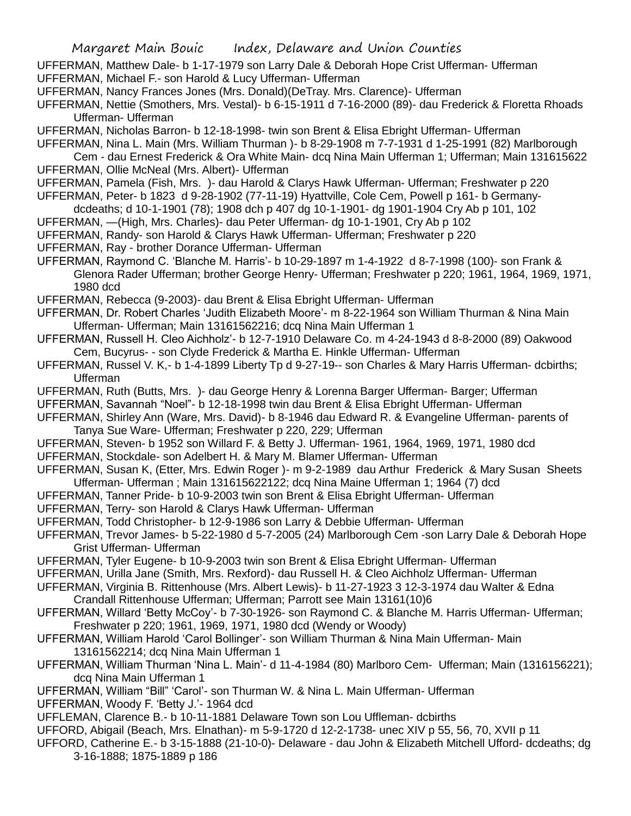UFFERMAN, Matthew Dale- b 1-17-1979 son Larry Dale & Deborah Hope Crist Ufferman- Ufferman

UFFERMAN, Michael F.- son Harold & Lucy Ufferman- Ufferman

UFFERMAN, Nancy Frances Jones (Mrs. Donald)(DeTray. Mrs. Clarence)- Ufferman

UFFERMAN, Nettie (Smothers, Mrs. Vestal)- b 6-15-1911 d 7-16-2000 (89)- dau Frederick & Floretta Rhoads Ufferman- Ufferman

UFFERMAN, Nicholas Barron- b 12-18-1998- twin son Brent & Elisa Ebright Ufferman- Ufferman

UFFERMAN, Nina L. Main (Mrs. William Thurman )- b 8-29-1908 m 7-7-1931 d 1-25-1991 (82) Marlborough

Cem - dau Ernest Frederick & Ora White Main- dcq Nina Main Ufferman 1; Ufferman; Main 131615622 UFFERMAN, Ollie McNeal (Mrs. Albert)- Ufferman

UFFERMAN, Pamela (Fish, Mrs. )- dau Harold & Clarys Hawk Ufferman- Ufferman; Freshwater p 220

UFFERMAN, Peter- b 1823 d 9-28-1902 (77-11-19) Hyattville, Cole Cem, Powell p 161- b Germany-

dcdeaths; d 10-1-1901 (78); 1908 dch p 407 dg 10-1-1901- dg 1901-1904 Cry Ab p 101, 102

UFFERMAN, —(High, Mrs. Charles)- dau Peter Ufferman- dg 10-1-1901, Cry Ab p 102

UFFERMAN, Randy- son Harold & Clarys Hawk Ufferman- Ufferman; Freshwater p 220

UFFERMAN, Ray - brother Dorance Ufferman- Ufferman

UFFERMAN, Raymond C. 'Blanche M. Harris'- b 10-29-1897 m 1-4-1922 d 8-7-1998 (100)- son Frank & Glenora Rader Ufferman; brother George Henry- Ufferman; Freshwater p 220; 1961, 1964, 1969, 1971, 1980 dcd

UFFERMAN, Rebecca (9-2003)- dau Brent & Elisa Ebright Ufferman- Ufferman

- UFFERMAN, Dr. Robert Charles 'Judith Elizabeth Moore'- m 8-22-1964 son William Thurman & Nina Main Ufferman- Ufferman; Main 13161562216; dcq Nina Main Ufferman 1
- UFFERMAN, Russell H. Cleo Aichholz'- b 12-7-1910 Delaware Co. m 4-24-1943 d 8-8-2000 (89) Oakwood Cem, Bucyrus- - son Clyde Frederick & Martha E. Hinkle Ufferman- Ufferman

UFFERMAN, Russel V. K,- b 1-4-1899 Liberty Tp d 9-27-19-- son Charles & Mary Harris Ufferman- dcbirths; Ufferman

UFFERMAN, Ruth (Butts, Mrs. )- dau George Henry & Lorenna Barger Ufferman- Barger; Ufferman

UFFERMAN, Savannah "Noel"- b 12-18-1998 twin dau Brent & Elisa Ebright Ufferman- Ufferman

- UFFERMAN, Shirley Ann (Ware, Mrs. David)- b 8-1946 dau Edward R. & Evangeline Ufferman- parents of Tanya Sue Ware- Ufferman; Freshwater p 220, 229; Ufferman
- UFFERMAN, Steven- b 1952 son Willard F. & Betty J. Ufferman- 1961, 1964, 1969, 1971, 1980 dcd

UFFERMAN, Stockdale- son Adelbert H. & Mary M. Blamer Ufferman- Ufferman

UFFERMAN, Susan K, (Etter, Mrs. Edwin Roger )- m 9-2-1989 dau Arthur Frederick & Mary Susan Sheets Ufferman- Ufferman ; Main 131615622122; dcq Nina Maine Ufferman 1; 1964 (7) dcd

UFFERMAN, Tanner Pride- b 10-9-2003 twin son Brent & Elisa Ebright Ufferman- Ufferman

UFFERMAN, Terry- son Harold & Clarys Hawk Ufferman- Ufferman

- UFFERMAN, Todd Christopher- b 12-9-1986 son Larry & Debbie Ufferman- Ufferman
- UFFERMAN, Trevor James- b 5-22-1980 d 5-7-2005 (24) Marlborough Cem -son Larry Dale & Deborah Hope Grist Ufferman- Ufferman
- UFFERMAN, Tyler Eugene- b 10-9-2003 twin son Brent & Elisa Ebright Ufferman- Ufferman

UFFERMAN, Urilla Jane (Smith, Mrs. Rexford)- dau Russell H. & Cleo Aichholz Ufferman- Ufferman

- UFFERMAN, Virginia B. Rittenhouse (Mrs. Albert Lewis)- b 11-27-1923 3 12-3-1974 dau Walter & Edna Crandall Rittenhouse Ufferman; Ufferman; Parrott see Main 13161(10)6
- UFFERMAN, Willard 'Betty McCoy'- b 7-30-1926- son Raymond C. & Blanche M. Harris Ufferman- Ufferman; Freshwater p 220; 1961, 1969, 1971, 1980 dcd (Wendy or Woody)
- UFFERMAN, William Harold 'Carol Bollinger'- son William Thurman & Nina Main Ufferman- Main 13161562214; dcq Nina Main Ufferman 1
- UFFERMAN, William Thurman 'Nina L. Main'- d 11-4-1984 (80) Marlboro Cem- Ufferman; Main (1316156221); dcq Nina Main Ufferman 1
- UFFERMAN, William "Bill" 'Carol'- son Thurman W. & Nina L. Main Ufferman- Ufferman

UFFERMAN, Woody F. 'Betty J.'- 1964 dcd

UFFLEMAN, Clarence B.- b 10-11-1881 Delaware Town son Lou Uffleman- dcbirths

UFFORD, Abigail (Beach, Mrs. Elnathan)- m 5-9-1720 d 12-2-1738- unec XIV p 55, 56, 70, XVII p 11

UFFORD, Catherine E.- b 3-15-1888 (21-10-0)- Delaware - dau John & Elizabeth Mitchell Ufford- dcdeaths; dg 3-16-1888; 1875-1889 p 186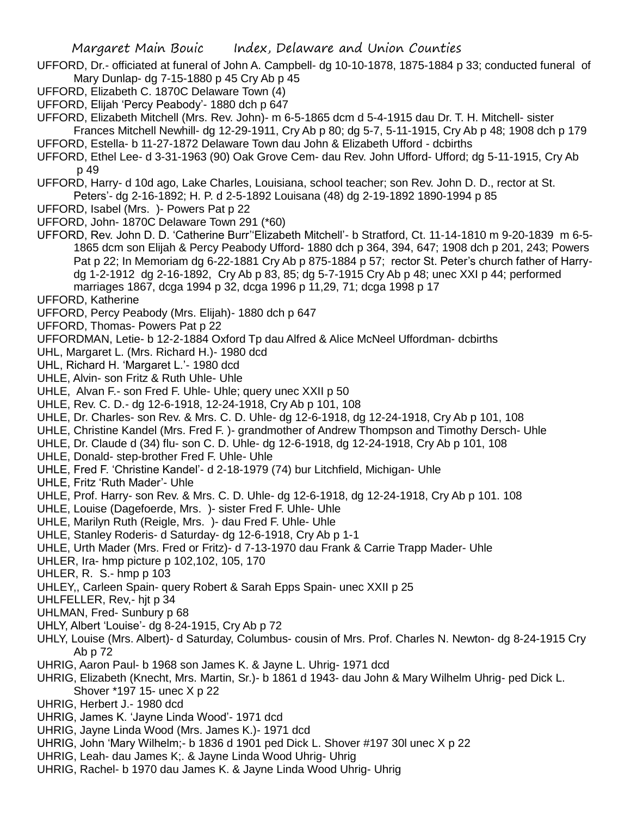- UFFORD, Dr.- officiated at funeral of John A. Campbell- dg 10-10-1878, 1875-1884 p 33; conducted funeral of Mary Dunlap- dg 7-15-1880 p 45 Cry Ab p 45
- UFFORD, Elizabeth C. 1870C Delaware Town (4)
- UFFORD, Elijah 'Percy Peabody'- 1880 dch p 647
- UFFORD, Elizabeth Mitchell (Mrs. Rev. John)- m 6-5-1865 dcm d 5-4-1915 dau Dr. T. H. Mitchell- sister Frances Mitchell Newhill- dg 12-29-1911, Cry Ab p 80; dg 5-7, 5-11-1915, Cry Ab p 48; 1908 dch p 179
- UFFORD, Estella- b 11-27-1872 Delaware Town dau John & Elizabeth Ufford dcbirths
- UFFORD, Ethel Lee- d 3-31-1963 (90) Oak Grove Cem- dau Rev. John Ufford- Ufford; dg 5-11-1915, Cry Ab p 49
- UFFORD, Harry- d 10d ago, Lake Charles, Louisiana, school teacher; son Rev. John D. D., rector at St. Peters'- dg 2-16-1892; H. P. d 2-5-1892 Louisana (48) dg 2-19-1892 1890-1994 p 85
- UFFORD, Isabel (Mrs. )- Powers Pat p 22
- UFFORD, John- 1870C Delaware Town 291 (\*60)
- UFFORD, Rev. John D. D. 'Catherine Burr''Elizabeth Mitchell'- b Stratford, Ct. 11-14-1810 m 9-20-1839 m 6-5- 1865 dcm son Elijah & Percy Peabody Ufford- 1880 dch p 364, 394, 647; 1908 dch p 201, 243; Powers Pat p 22; In Memoriam dg 6-22-1881 Cry Ab p 875-1884 p 57; rector St. Peter's church father of Harrydg 1-2-1912 dg 2-16-1892, Cry Ab p 83, 85; dg 5-7-1915 Cry Ab p 48; unec XXI p 44; performed marriages 1867, dcga 1994 p 32, dcga 1996 p 11,29, 71; dcga 1998 p 17
- UFFORD, Katherine
- UFFORD, Percy Peabody (Mrs. Elijah)- 1880 dch p 647
- UFFORD, Thomas- Powers Pat p 22
- UFFORDMAN, Letie- b 12-2-1884 Oxford Tp dau Alfred & Alice McNeel Uffordman- dcbirths
- UHL, Margaret L. (Mrs. Richard H.)- 1980 dcd
- UHL, Richard H. 'Margaret L.'- 1980 dcd
- UHLE, Alvin- son Fritz & Ruth Uhle- Uhle
- UHLE, Alvan F.- son Fred F. Uhle- Uhle; query unec XXII p 50
- UHLE, Rev. C. D.- dg 12-6-1918, 12-24-1918, Cry Ab p 101, 108
- UHLE, Dr. Charles- son Rev. & Mrs. C. D. Uhle- dg 12-6-1918, dg 12-24-1918, Cry Ab p 101, 108
- UHLE, Christine Kandel (Mrs. Fred F. )- grandmother of Andrew Thompson and Timothy Dersch- Uhle
- UHLE, Dr. Claude d (34) flu- son C. D. Uhle- dg 12-6-1918, dg 12-24-1918, Cry Ab p 101, 108
- UHLE, Donald- step-brother Fred F. Uhle- Uhle
- UHLE, Fred F. 'Christine Kandel'- d 2-18-1979 (74) bur Litchfield, Michigan- Uhle
- UHLE, Fritz 'Ruth Mader'- Uhle
- UHLE, Prof. Harry- son Rev. & Mrs. C. D. Uhle- dg 12-6-1918, dg 12-24-1918, Cry Ab p 101. 108
- UHLE, Louise (Dagefoerde, Mrs. )- sister Fred F. Uhle- Uhle
- UHLE, Marilyn Ruth (Reigle, Mrs. )- dau Fred F. Uhle- Uhle
- UHLE, Stanley Roderis- d Saturday- dg 12-6-1918, Cry Ab p 1-1
- UHLE, Urth Mader (Mrs. Fred or Fritz)- d 7-13-1970 dau Frank & Carrie Trapp Mader- Uhle
- UHLER, Ira- hmp picture p 102,102, 105, 170
- UHLER, R. S.- hmp p 103
- UHLEY,, Carleen Spain- query Robert & Sarah Epps Spain- unec XXII p 25
- UHLFELLER, Rev,- hjt p 34
- UHLMAN, Fred- Sunbury p 68
- UHLY, Albert 'Louise'- dg 8-24-1915, Cry Ab p 72
- UHLY, Louise (Mrs. Albert)- d Saturday, Columbus- cousin of Mrs. Prof. Charles N. Newton- dg 8-24-1915 Cry Ab p 72
- UHRIG, Aaron Paul- b 1968 son James K. & Jayne L. Uhrig- 1971 dcd
- UHRIG, Elizabeth (Knecht, Mrs. Martin, Sr.)- b 1861 d 1943- dau John & Mary Wilhelm Uhrig- ped Dick L. Shover \*197 15- unec X p 22
- UHRIG, Herbert J.- 1980 dcd
- UHRIG, James K. 'Jayne Linda Wood'- 1971 dcd
- UHRIG, Jayne Linda Wood (Mrs. James K.)- 1971 dcd
- UHRIG, John 'Mary Wilhelm;- b 1836 d 1901 ped Dick L. Shover #197 30l unec X p 22
- UHRIG, Leah- dau James K;. & Jayne Linda Wood Uhrig- Uhrig
- UHRIG, Rachel- b 1970 dau James K. & Jayne Linda Wood Uhrig- Uhrig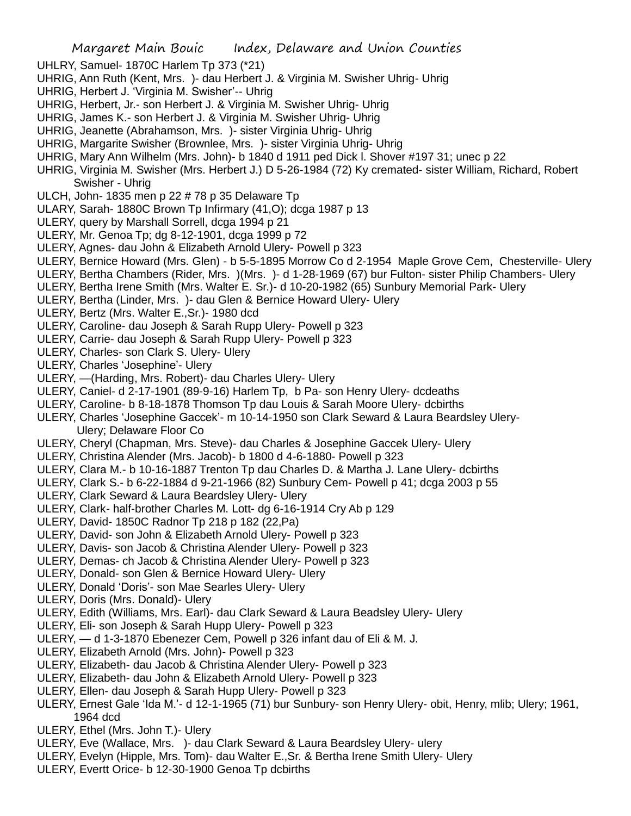- UHLRY, Samuel- 1870C Harlem Tp 373 (\*21)
- UHRIG, Ann Ruth (Kent, Mrs. )- dau Herbert J. & Virginia M. Swisher Uhrig- Uhrig
- UHRIG, Herbert J. 'Virginia M. Swisher'-- Uhrig
- UHRIG, Herbert, Jr.- son Herbert J. & Virginia M. Swisher Uhrig- Uhrig
- UHRIG, James K.- son Herbert J. & Virginia M. Swisher Uhrig- Uhrig
- UHRIG, Jeanette (Abrahamson, Mrs. )- sister Virginia Uhrig- Uhrig
- UHRIG, Margarite Swisher (Brownlee, Mrs. )- sister Virginia Uhrig- Uhrig
- UHRIG, Mary Ann Wilhelm (Mrs. John)- b 1840 d 1911 ped Dick l. Shover #197 31; unec p 22
- UHRIG, Virginia M. Swisher (Mrs. Herbert J.) D 5-26-1984 (72) Ky cremated- sister William, Richard, Robert Swisher - Uhrig
- ULCH, John- 1835 men p 22 # 78 p 35 Delaware Tp
- ULARY, Sarah- 1880C Brown Tp Infirmary (41,O); dcga 1987 p 13
- ULERY, query by Marshall Sorrell, dcga 1994 p 21
- ULERY, Mr. Genoa Tp; dg 8-12-1901, dcga 1999 p 72
- ULERY, Agnes- dau John & Elizabeth Arnold Ulery- Powell p 323
- ULERY, Bernice Howard (Mrs. Glen) b 5-5-1895 Morrow Co d 2-1954 Maple Grove Cem, Chesterville- Ulery
- ULERY, Bertha Chambers (Rider, Mrs. )(Mrs. )- d 1-28-1969 (67) bur Fulton- sister Philip Chambers- Ulery
- ULERY, Bertha Irene Smith (Mrs. Walter E. Sr.)- d 10-20-1982 (65) Sunbury Memorial Park- Ulery
- ULERY, Bertha (Linder, Mrs. )- dau Glen & Bernice Howard Ulery- Ulery
- ULERY, Bertz (Mrs. Walter E.,Sr.)- 1980 dcd
- ULERY, Caroline- dau Joseph & Sarah Rupp Ulery- Powell p 323
- ULERY, Carrie- dau Joseph & Sarah Rupp Ulery- Powell p 323
- ULERY, Charles- son Clark S. Ulery- Ulery
- ULERY, Charles 'Josephine'- Ulery
- ULERY, —(Harding, Mrs. Robert)- dau Charles Ulery- Ulery
- ULERY, Caniel- d 2-17-1901 (89-9-16) Harlem Tp, b Pa- son Henry Ulery- dcdeaths
- ULERY, Caroline- b 8-18-1878 Thomson Tp dau Louis & Sarah Moore Ulery- dcbirths
- ULERY, Charles 'Josephine Gaccek'- m 10-14-1950 son Clark Seward & Laura Beardsley Ulery-Ulery; Delaware Floor Co
- ULERY, Cheryl (Chapman, Mrs. Steve)- dau Charles & Josephine Gaccek Ulery- Ulery
- ULERY, Christina Alender (Mrs. Jacob)- b 1800 d 4-6-1880- Powell p 323
- ULERY, Clara M.- b 10-16-1887 Trenton Tp dau Charles D. & Martha J. Lane Ulery- dcbirths
- ULERY, Clark S.- b 6-22-1884 d 9-21-1966 (82) Sunbury Cem- Powell p 41; dcga 2003 p 55
- ULERY, Clark Seward & Laura Beardsley Ulery- Ulery
- ULERY, Clark- half-brother Charles M. Lott- dg 6-16-1914 Cry Ab p 129
- ULERY, David- 1850C Radnor Tp 218 p 182 (22,Pa)
- ULERY, David- son John & Elizabeth Arnold Ulery- Powell p 323
- ULERY, Davis- son Jacob & Christina Alender Ulery- Powell p 323
- ULERY, Demas- ch Jacob & Christina Alender Ulery- Powell p 323
- ULERY, Donald- son Glen & Bernice Howard Ulery- Ulery
- ULERY, Donald 'Doris'- son Mae Searles Ulery- Ulery
- ULERY, Doris (Mrs. Donald)- Ulery
- ULERY, Edith (Williams, Mrs. Earl)- dau Clark Seward & Laura Beadsley Ulery- Ulery
- ULERY, Eli- son Joseph & Sarah Hupp Ulery- Powell p 323
- ULERY, d 1-3-1870 Ebenezer Cem, Powell p 326 infant dau of Eli & M. J.
- ULERY, Elizabeth Arnold (Mrs. John)- Powell p 323
- ULERY, Elizabeth- dau Jacob & Christina Alender Ulery- Powell p 323
- ULERY, Elizabeth- dau John & Elizabeth Arnold Ulery- Powell p 323
- ULERY, Ellen- dau Joseph & Sarah Hupp Ulery- Powell p 323
- ULERY, Ernest Gale 'Ida M.'- d 12-1-1965 (71) bur Sunbury- son Henry Ulery- obit, Henry, mlib; Ulery; 1961, 1964 dcd
- ULERY, Ethel (Mrs. John T.)- Ulery
- ULERY, Eve (Wallace, Mrs. )- dau Clark Seward & Laura Beardsley Ulery- ulery
- ULERY, Evelyn (Hipple, Mrs. Tom)- dau Walter E.,Sr. & Bertha Irene Smith Ulery- Ulery
- ULERY, Evertt Orice- b 12-30-1900 Genoa Tp dcbirths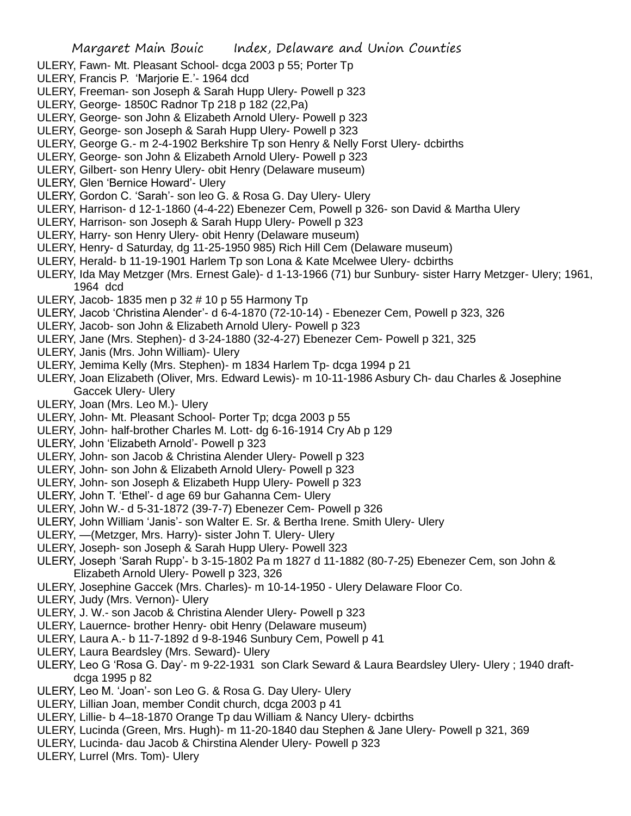- ULERY, Fawn- Mt. Pleasant School- dcga 2003 p 55; Porter Tp
- ULERY, Francis P. 'Marjorie E.'- 1964 dcd
- ULERY, Freeman- son Joseph & Sarah Hupp Ulery- Powell p 323
- ULERY, George- 1850C Radnor Tp 218 p 182 (22,Pa)
- ULERY, George- son John & Elizabeth Arnold Ulery- Powell p 323
- ULERY, George- son Joseph & Sarah Hupp Ulery- Powell p 323
- ULERY, George G.- m 2-4-1902 Berkshire Tp son Henry & Nelly Forst Ulery- dcbirths
- ULERY, George- son John & Elizabeth Arnold Ulery- Powell p 323
- ULERY, Gilbert- son Henry Ulery- obit Henry (Delaware museum)
- ULERY, Glen 'Bernice Howard'- Ulery
- ULERY, Gordon C. 'Sarah'- son leo G. & Rosa G. Day Ulery- Ulery
- ULERY, Harrison- d 12-1-1860 (4-4-22) Ebenezer Cem, Powell p 326- son David & Martha Ulery
- ULERY, Harrison- son Joseph & Sarah Hupp Ulery- Powell p 323
- ULERY, Harry- son Henry Ulery- obit Henry (Delaware museum)
- ULERY, Henry- d Saturday, dg 11-25-1950 985) Rich Hill Cem (Delaware museum)
- ULERY, Herald- b 11-19-1901 Harlem Tp son Lona & Kate Mcelwee Ulery- dcbirths
- ULERY, Ida May Metzger (Mrs. Ernest Gale)- d 1-13-1966 (71) bur Sunbury- sister Harry Metzger- Ulery; 1961, 1964 dcd
- ULERY, Jacob- 1835 men p 32 # 10 p 55 Harmony Tp
- ULERY, Jacob 'Christina Alender'- d 6-4-1870 (72-10-14) Ebenezer Cem, Powell p 323, 326
- ULERY, Jacob- son John & Elizabeth Arnold Ulery- Powell p 323
- ULERY, Jane (Mrs. Stephen)- d 3-24-1880 (32-4-27) Ebenezer Cem- Powell p 321, 325
- ULERY, Janis (Mrs. John William)- Ulery
- ULERY, Jemima Kelly (Mrs. Stephen)- m 1834 Harlem Tp- dcga 1994 p 21
- ULERY, Joan Elizabeth (Oliver, Mrs. Edward Lewis)- m 10-11-1986 Asbury Ch- dau Charles & Josephine Gaccek Ulery- Ulery
- ULERY, Joan (Mrs. Leo M.)- Ulery
- ULERY, John- Mt. Pleasant School- Porter Tp; dcga 2003 p 55
- ULERY, John- half-brother Charles M. Lott- dg 6-16-1914 Cry Ab p 129
- ULERY, John 'Elizabeth Arnold'- Powell p 323
- ULERY, John- son Jacob & Christina Alender Ulery- Powell p 323
- ULERY, John- son John & Elizabeth Arnold Ulery- Powell p 323
- ULERY, John- son Joseph & Elizabeth Hupp Ulery- Powell p 323
- ULERY, John T. 'Ethel'- d age 69 bur Gahanna Cem- Ulery
- ULERY, John W.- d 5-31-1872 (39-7-7) Ebenezer Cem- Powell p 326
- ULERY, John William 'Janis'- son Walter E. Sr. & Bertha Irene. Smith Ulery- Ulery
- ULERY, —(Metzger, Mrs. Harry)- sister John T. Ulery- Ulery
- ULERY, Joseph- son Joseph & Sarah Hupp Ulery- Powell 323
- ULERY, Joseph 'Sarah Rupp'- b 3-15-1802 Pa m 1827 d 11-1882 (80-7-25) Ebenezer Cem, son John & Elizabeth Arnold Ulery- Powell p 323, 326
- ULERY, Josephine Gaccek (Mrs. Charles)- m 10-14-1950 Ulery Delaware Floor Co.
- ULERY, Judy (Mrs. Vernon)- Ulery
- ULERY, J. W.- son Jacob & Christina Alender Ulery- Powell p 323
- ULERY, Lauernce- brother Henry- obit Henry (Delaware museum)
- ULERY, Laura A.- b 11-7-1892 d 9-8-1946 Sunbury Cem, Powell p 41
- ULERY, Laura Beardsley (Mrs. Seward)- Ulery
- ULERY, Leo G 'Rosa G. Day'- m 9-22-1931 son Clark Seward & Laura Beardsley Ulery- Ulery ; 1940 draftdcga 1995 p 82
- ULERY, Leo M. 'Joan'- son Leo G. & Rosa G. Day Ulery- Ulery
- ULERY, Lillian Joan, member Condit church, dcga 2003 p 41
- ULERY, Lillie- b 4–18-1870 Orange Tp dau William & Nancy Ulery- dcbirths
- ULERY, Lucinda (Green, Mrs. Hugh)- m 11-20-1840 dau Stephen & Jane Ulery- Powell p 321, 369
- ULERY, Lucinda- dau Jacob & Chirstina Alender Ulery- Powell p 323
- ULERY, Lurrel (Mrs. Tom)- Ulery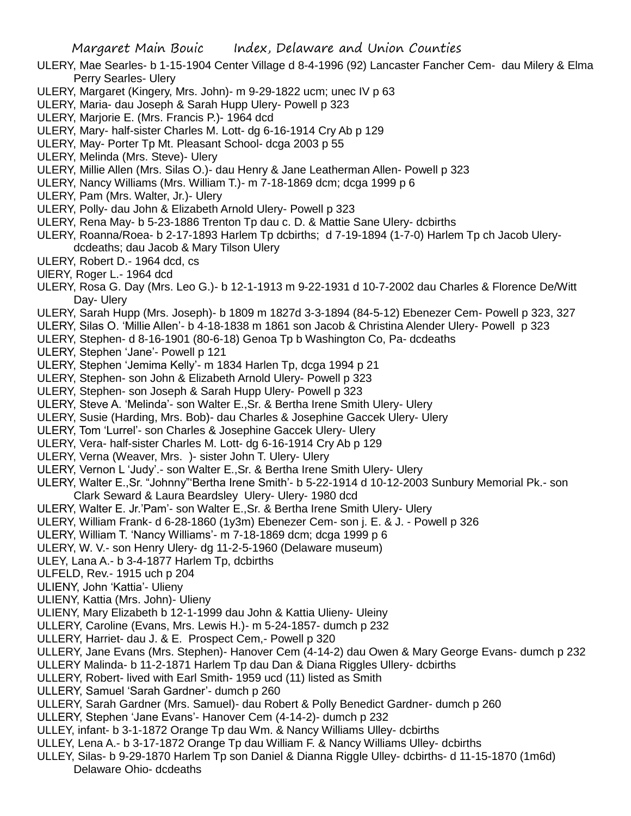- ULERY, Mae Searles- b 1-15-1904 Center Village d 8-4-1996 (92) Lancaster Fancher Cem- dau Milery & Elma Perry Searles- Ulery
- ULERY, Margaret (Kingery, Mrs. John)- m 9-29-1822 ucm; unec IV p 63
- ULERY, Maria- dau Joseph & Sarah Hupp Ulery- Powell p 323
- ULERY, Marjorie E. (Mrs. Francis P.)- 1964 dcd
- ULERY, Mary- half-sister Charles M. Lott- dg 6-16-1914 Cry Ab p 129
- ULERY, May- Porter Tp Mt. Pleasant School- dcga 2003 p 55
- ULERY, Melinda (Mrs. Steve)- Ulery
- ULERY, Millie Allen (Mrs. Silas O.)- dau Henry & Jane Leatherman Allen- Powell p 323
- ULERY, Nancy Williams (Mrs. William T.)- m 7-18-1869 dcm; dcga 1999 p 6
- ULERY, Pam (Mrs. Walter, Jr.)- Ulery
- ULERY, Polly- dau John & Elizabeth Arnold Ulery- Powell p 323
- ULERY, Rena May- b 5-23-1886 Trenton Tp dau c. D. & Mattie Sane Ulery- dcbirths
- ULERY, Roanna/Roea- b 2-17-1893 Harlem Tp dcbirths; d 7-19-1894 (1-7-0) Harlem Tp ch Jacob Ulerydcdeaths; dau Jacob & Mary Tilson Ulery
- ULERY, Robert D.- 1964 dcd, cs
- UlERY, Roger L.- 1964 dcd
- ULERY, Rosa G. Day (Mrs. Leo G.)- b 12-1-1913 m 9-22-1931 d 10-7-2002 dau Charles & Florence De/Witt Day- Ulery
- ULERY, Sarah Hupp (Mrs. Joseph)- b 1809 m 1827d 3-3-1894 (84-5-12) Ebenezer Cem- Powell p 323, 327
- ULERY, Silas O. 'Millie Allen'- b 4-18-1838 m 1861 son Jacob & Christina Alender Ulery- Powell p 323
- ULERY, Stephen- d 8-16-1901 (80-6-18) Genoa Tp b Washington Co, Pa- dcdeaths
- ULERY, Stephen 'Jane'- Powell p 121
- ULERY, Stephen 'Jemima Kelly'- m 1834 Harlen Tp, dcga 1994 p 21
- ULERY, Stephen- son John & Elizabeth Arnold Ulery- Powell p 323
- ULERY, Stephen- son Joseph & Sarah Hupp Ulery- Powell p 323
- ULERY, Steve A. 'Melinda'- son Walter E.,Sr. & Bertha Irene Smith Ulery- Ulery
- ULERY, Susie (Harding, Mrs. Bob)- dau Charles & Josephine Gaccek Ulery- Ulery
- ULERY, Tom 'Lurrel'- son Charles & Josephine Gaccek Ulery- Ulery
- ULERY, Vera- half-sister Charles M. Lott- dg 6-16-1914 Cry Ab p 129
- ULERY, Verna (Weaver, Mrs. )- sister John T. Ulery- Ulery
- ULERY, Vernon L 'Judy'.- son Walter E.,Sr. & Bertha Irene Smith Ulery- Ulery
- ULERY, Walter E.,Sr. "Johnny"'Bertha Irene Smith'- b 5-22-1914 d 10-12-2003 Sunbury Memorial Pk.- son Clark Seward & Laura Beardsley Ulery- Ulery- 1980 dcd
- ULERY, Walter E. Jr.'Pam'- son Walter E.,Sr. & Bertha Irene Smith Ulery- Ulery
- ULERY, William Frank- d 6-28-1860 (1y3m) Ebenezer Cem- son j. E. & J. Powell p 326
- ULERY, William T. 'Nancy Williams'- m 7-18-1869 dcm; dcga 1999 p 6
- ULERY, W. V.- son Henry Ulery- dg 11-2-5-1960 (Delaware museum)
- ULEY, Lana A.- b 3-4-1877 Harlem Tp, dcbirths
- ULFELD, Rev.- 1915 uch p 204
- ULIENY, John 'Kattia'- Ulieny
- ULIENY, Kattia (Mrs. John)- Ulieny
- ULIENY, Mary Elizabeth b 12-1-1999 dau John & Kattia Ulieny- Uleiny
- ULLERY, Caroline (Evans, Mrs. Lewis H.)- m 5-24-1857- dumch p 232
- ULLERY, Harriet- dau J. & E. Prospect Cem,- Powell p 320
- ULLERY, Jane Evans (Mrs. Stephen)- Hanover Cem (4-14-2) dau Owen & Mary George Evans- dumch p 232
- ULLERY Malinda- b 11-2-1871 Harlem Tp dau Dan & Diana Riggles Ullery- dcbirths
- ULLERY, Robert- lived with Earl Smith- 1959 ucd (11) listed as Smith
- ULLERY, Samuel 'Sarah Gardner'- dumch p 260
- ULLERY, Sarah Gardner (Mrs. Samuel)- dau Robert & Polly Benedict Gardner- dumch p 260
- ULLERY, Stephen 'Jane Evans'- Hanover Cem (4-14-2)- dumch p 232
- ULLEY, infant- b 3-1-1872 Orange Tp dau Wm. & Nancy Williams Ulley- dcbirths
- ULLEY, Lena A.- b 3-17-1872 Orange Tp dau William F. & Nancy Williams Ulley- dcbirths
- ULLEY, Silas- b 9-29-1870 Harlem Tp son Daniel & Dianna Riggle Ulley- dcbirths- d 11-15-1870 (1m6d) Delaware Ohio- dcdeaths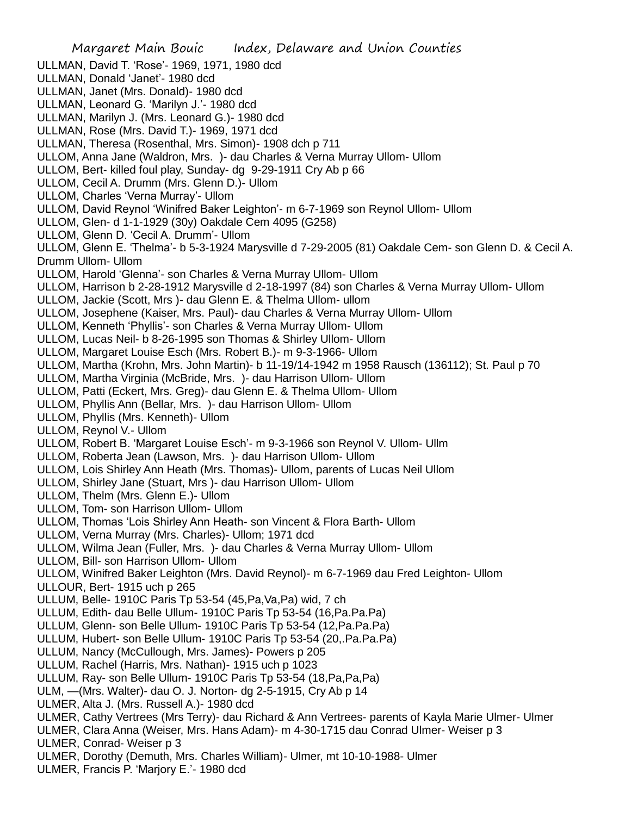Margaret Main Bouic Index, Delaware and Union Counties ULLMAN, David T. 'Rose'- 1969, 1971, 1980 dcd ULLMAN, Donald 'Janet'- 1980 dcd ULLMAN, Janet (Mrs. Donald)- 1980 dcd ULLMAN, Leonard G. 'Marilyn J.'- 1980 dcd ULLMAN, Marilyn J. (Mrs. Leonard G.)- 1980 dcd ULLMAN, Rose (Mrs. David T.)- 1969, 1971 dcd ULLMAN, Theresa (Rosenthal, Mrs. Simon)- 1908 dch p 711 ULLOM, Anna Jane (Waldron, Mrs. )- dau Charles & Verna Murray Ullom- Ullom ULLOM, Bert- killed foul play, Sunday- dg 9-29-1911 Cry Ab p 66 ULLOM, Cecil A. Drumm (Mrs. Glenn D.)- Ullom ULLOM, Charles 'Verna Murray'- Ullom ULLOM, David Reynol 'Winifred Baker Leighton'- m 6-7-1969 son Reynol Ullom- Ullom ULLOM, Glen- d 1-1-1929 (30y) Oakdale Cem 4095 (G258) ULLOM, Glenn D. 'Cecil A. Drumm'- Ullom ULLOM, Glenn E. 'Thelma'- b 5-3-1924 Marysville d 7-29-2005 (81) Oakdale Cem- son Glenn D. & Cecil A. Drumm Ullom- Ullom ULLOM, Harold 'Glenna'- son Charles & Verna Murray Ullom- Ullom ULLOM, Harrison b 2-28-1912 Marysville d 2-18-1997 (84) son Charles & Verna Murray Ullom- Ullom ULLOM, Jackie (Scott, Mrs )- dau Glenn E. & Thelma Ullom- ullom ULLOM, Josephene (Kaiser, Mrs. Paul)- dau Charles & Verna Murray Ullom- Ullom ULLOM, Kenneth 'Phyllis'- son Charles & Verna Murray Ullom- Ullom ULLOM, Lucas Neil- b 8-26-1995 son Thomas & Shirley Ullom- Ullom ULLOM, Margaret Louise Esch (Mrs. Robert B.)- m 9-3-1966- Ullom ULLOM, Martha (Krohn, Mrs. John Martin)- b 11-19/14-1942 m 1958 Rausch (136112); St. Paul p 70 ULLOM, Martha Virginia (McBride, Mrs. )- dau Harrison Ullom- Ullom ULLOM, Patti (Eckert, Mrs. Greg)- dau Glenn E. & Thelma Ullom- Ullom ULLOM, Phyllis Ann (Bellar, Mrs. )- dau Harrison Ullom- Ullom ULLOM, Phyllis (Mrs. Kenneth)- Ullom ULLOM, Reynol V.- Ullom ULLOM, Robert B. 'Margaret Louise Esch'- m 9-3-1966 son Reynol V. Ullom- Ullm ULLOM, Roberta Jean (Lawson, Mrs. )- dau Harrison Ullom- Ullom ULLOM, Lois Shirley Ann Heath (Mrs. Thomas)- Ullom, parents of Lucas Neil Ullom ULLOM, Shirley Jane (Stuart, Mrs )- dau Harrison Ullom- Ullom ULLOM, Thelm (Mrs. Glenn E.)- Ullom ULLOM, Tom- son Harrison Ullom- Ullom ULLOM, Thomas 'Lois Shirley Ann Heath- son Vincent & Flora Barth- Ullom ULLOM, Verna Murray (Mrs. Charles)- Ullom; 1971 dcd ULLOM, Wilma Jean (Fuller, Mrs. )- dau Charles & Verna Murray Ullom- Ullom ULLOM, Bill- son Harrison Ullom- Ullom ULLOM, Winifred Baker Leighton (Mrs. David Reynol)- m 6-7-1969 dau Fred Leighton- Ullom ULLOUR, Bert- 1915 uch p 265 ULLUM, Belle- 1910C Paris Tp 53-54 (45,Pa,Va,Pa) wid, 7 ch ULLUM, Edith- dau Belle Ullum- 1910C Paris Tp 53-54 (16,Pa.Pa.Pa) ULLUM, Glenn- son Belle Ullum- 1910C Paris Tp 53-54 (12,Pa.Pa.Pa) ULLUM, Hubert- son Belle Ullum- 1910C Paris Tp 53-54 (20,.Pa.Pa.Pa) ULLUM, Nancy (McCullough, Mrs. James)- Powers p 205 ULLUM, Rachel (Harris, Mrs. Nathan)- 1915 uch p 1023 ULLUM, Ray- son Belle Ullum- 1910C Paris Tp 53-54 (18,Pa,Pa,Pa) ULM, —(Mrs. Walter)- dau O. J. Norton- dg 2-5-1915, Cry Ab p 14 ULMER, Alta J. (Mrs. Russell A.)- 1980 dcd ULMER, Cathy Vertrees (Mrs Terry)- dau Richard & Ann Vertrees- parents of Kayla Marie Ulmer- Ulmer ULMER, Clara Anna (Weiser, Mrs. Hans Adam)- m 4-30-1715 dau Conrad Ulmer- Weiser p 3 ULMER, Conrad- Weiser p 3 ULMER, Dorothy (Demuth, Mrs. Charles William)- Ulmer, mt 10-10-1988- Ulmer ULMER, Francis P. 'Marjory E.'- 1980 dcd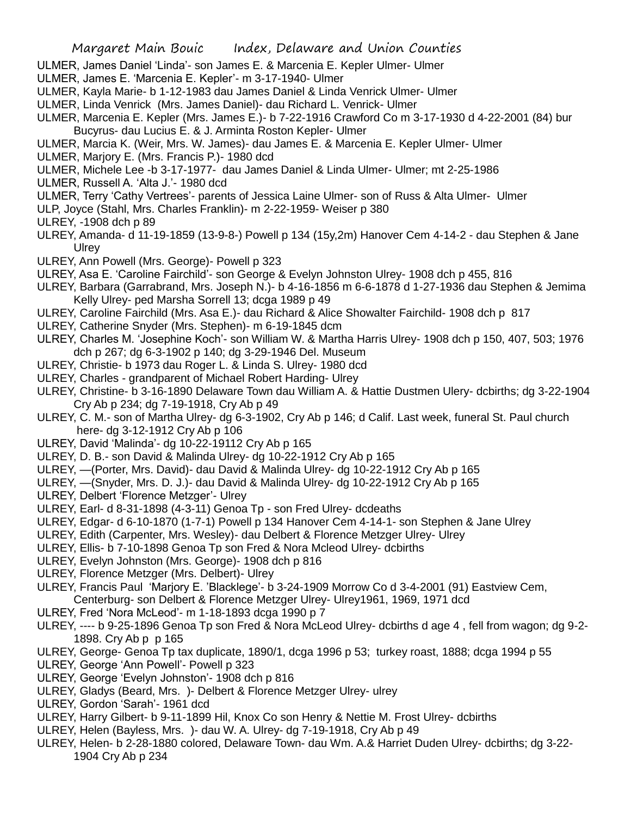- ULMER, James Daniel 'Linda'- son James E. & Marcenia E. Kepler Ulmer- Ulmer
- ULMER, James E. 'Marcenia E. Kepler'- m 3-17-1940- Ulmer
- ULMER, Kayla Marie- b 1-12-1983 dau James Daniel & Linda Venrick Ulmer- Ulmer
- ULMER, Linda Venrick (Mrs. James Daniel)- dau Richard L. Venrick- Ulmer
- ULMER, Marcenia E. Kepler (Mrs. James E.)- b 7-22-1916 Crawford Co m 3-17-1930 d 4-22-2001 (84) bur Bucyrus- dau Lucius E. & J. Arminta Roston Kepler- Ulmer
- ULMER, Marcia K. (Weir, Mrs. W. James)- dau James E. & Marcenia E. Kepler Ulmer- Ulmer
- ULMER, Marjory E. (Mrs. Francis P.)- 1980 dcd
- ULMER, Michele Lee -b 3-17-1977- dau James Daniel & Linda Ulmer- Ulmer; mt 2-25-1986
- ULMER, Russell A. 'Alta J.'- 1980 dcd
- ULMER, Terry 'Cathy Vertrees'- parents of Jessica Laine Ulmer- son of Russ & Alta Ulmer- Ulmer
- ULP, Joyce (Stahl, Mrs. Charles Franklin)- m 2-22-1959- Weiser p 380
- ULREY, -1908 dch p 89
- ULREY, Amanda- d 11-19-1859 (13-9-8-) Powell p 134 (15y,2m) Hanover Cem 4-14-2 dau Stephen & Jane **Ulrey**
- ULREY, Ann Powell (Mrs. George)- Powell p 323
- ULREY, Asa E. 'Caroline Fairchild'- son George & Evelyn Johnston Ulrey- 1908 dch p 455, 816
- ULREY, Barbara (Garrabrand, Mrs. Joseph N.)- b 4-16-1856 m 6-6-1878 d 1-27-1936 dau Stephen & Jemima Kelly Ulrey- ped Marsha Sorrell 13; dcga 1989 p 49
- ULREY, Caroline Fairchild (Mrs. Asa E.)- dau Richard & Alice Showalter Fairchild- 1908 dch p 817
- ULREY, Catherine Snyder (Mrs. Stephen)- m 6-19-1845 dcm
- ULREY, Charles M. 'Josephine Koch'- son William W. & Martha Harris Ulrey- 1908 dch p 150, 407, 503; 1976 dch p 267; dg 6-3-1902 p 140; dg 3-29-1946 Del. Museum
- ULREY, Christie- b 1973 dau Roger L. & Linda S. Ulrey- 1980 dcd
- ULREY, Charles grandparent of Michael Robert Harding- Ulrey
- ULREY, Christine- b 3-16-1890 Delaware Town dau William A. & Hattie Dustmen Ulery- dcbirths; dg 3-22-1904 Cry Ab p 234; dg 7-19-1918, Cry Ab p 49
- ULREY, C. M.- son of Martha Ulrey- dg 6-3-1902, Cry Ab p 146; d Calif. Last week, funeral St. Paul church here- dg 3-12-1912 Cry Ab p 106
- ULREY, David 'Malinda'- dg 10-22-19112 Cry Ab p 165
- ULREY, D. B.- son David & Malinda Ulrey- dg 10-22-1912 Cry Ab p 165
- ULREY, —(Porter, Mrs. David)- dau David & Malinda Ulrey- dg 10-22-1912 Cry Ab p 165
- ULREY, —(Snyder, Mrs. D. J.)- dau David & Malinda Ulrey- dg 10-22-1912 Cry Ab p 165
- ULREY, Delbert 'Florence Metzger'- Ulrey
- ULREY, Earl- d 8-31-1898 (4-3-11) Genoa Tp son Fred Ulrey- dcdeaths
- ULREY, Edgar- d 6-10-1870 (1-7-1) Powell p 134 Hanover Cem 4-14-1- son Stephen & Jane Ulrey
- ULREY, Edith (Carpenter, Mrs. Wesley)- dau Delbert & Florence Metzger Ulrey- Ulrey
- ULREY, Ellis- b 7-10-1898 Genoa Tp son Fred & Nora Mcleod Ulrey- dcbirths
- ULREY, Evelyn Johnston (Mrs. George)- 1908 dch p 816
- ULREY, Florence Metzger (Mrs. Delbert)- Ulrey
- ULREY, Francis Paul 'Marjory E. 'Blacklege'- b 3-24-1909 Morrow Co d 3-4-2001 (91) Eastview Cem, Centerburg- son Delbert & Florence Metzger Ulrey- Ulrey1961, 1969, 1971 dcd
- ULREY, Fred 'Nora McLeod'- m 1-18-1893 dcga 1990 p 7
- ULREY, ---- b 9-25-1896 Genoa Tp son Fred & Nora McLeod Ulrey- dcbirths d age 4 , fell from wagon; dg 9-2- 1898. Cry Ab p p 165
- ULREY, George- Genoa Tp tax duplicate, 1890/1, dcga 1996 p 53; turkey roast, 1888; dcga 1994 p 55
- ULREY, George 'Ann Powell'- Powell p 323
- ULREY, George 'Evelyn Johnston'- 1908 dch p 816
- ULREY, Gladys (Beard, Mrs. )- Delbert & Florence Metzger Ulrey- ulrey
- ULREY, Gordon 'Sarah'- 1961 dcd
- ULREY, Harry Gilbert- b 9-11-1899 Hil, Knox Co son Henry & Nettie M. Frost Ulrey- dcbirths
- ULREY, Helen (Bayless, Mrs. )- dau W. A. Ulrey- dg 7-19-1918, Cry Ab p 49
- ULREY, Helen- b 2-28-1880 colored, Delaware Town- dau Wm. A.& Harriet Duden Ulrey- dcbirths; dg 3-22- 1904 Cry Ab p 234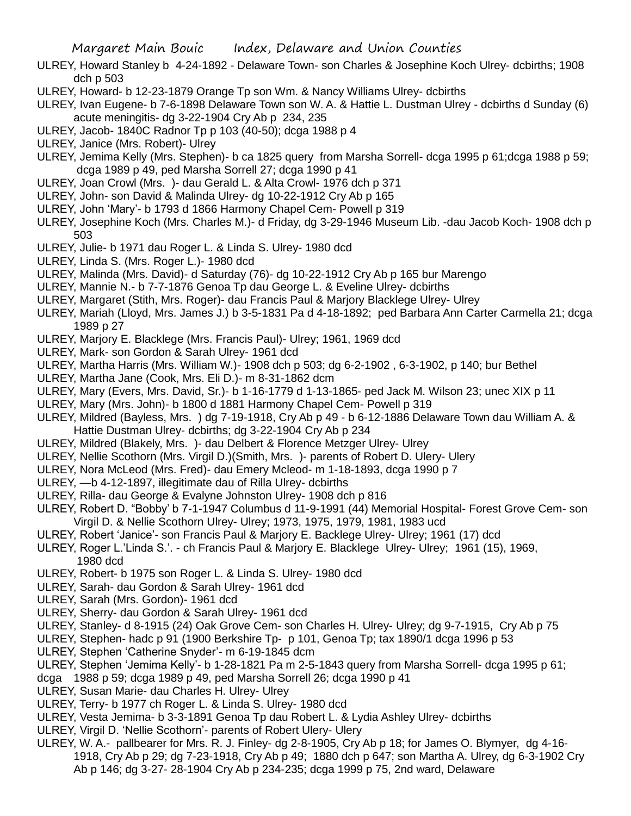- ULREY, Howard Stanley b 4-24-1892 Delaware Town- son Charles & Josephine Koch Ulrey- dcbirths; 1908 dch p 503
- ULREY, Howard- b 12-23-1879 Orange Tp son Wm. & Nancy Williams Ulrey- dcbirths
- ULREY, Ivan Eugene- b 7-6-1898 Delaware Town son W. A. & Hattie L. Dustman Ulrey dcbirths d Sunday (6) acute meningitis- dg 3-22-1904 Cry Ab p 234, 235
- ULREY, Jacob- 1840C Radnor Tp p 103 (40-50); dcga 1988 p 4
- ULREY, Janice (Mrs. Robert)- Ulrey
- ULREY, Jemima Kelly (Mrs. Stephen)- b ca 1825 query from Marsha Sorrell- dcga 1995 p 61;dcga 1988 p 59; dcga 1989 p 49, ped Marsha Sorrell 27; dcga 1990 p 41
- ULREY, Joan Crowl (Mrs. )- dau Gerald L. & Alta Crowl- 1976 dch p 371
- ULREY, John- son David & Malinda Ulrey- dg 10-22-1912 Cry Ab p 165
- ULREY, John 'Mary'- b 1793 d 1866 Harmony Chapel Cem- Powell p 319
- ULREY, Josephine Koch (Mrs. Charles M.)- d Friday, dg 3-29-1946 Museum Lib. -dau Jacob Koch- 1908 dch p 503
- ULREY, Julie- b 1971 dau Roger L. & Linda S. Ulrey- 1980 dcd
- ULREY, Linda S. (Mrs. Roger L.)- 1980 dcd
- ULREY, Malinda (Mrs. David)- d Saturday (76)- dg 10-22-1912 Cry Ab p 165 bur Marengo
- ULREY, Mannie N.- b 7-7-1876 Genoa Tp dau George L. & Eveline Ulrey- dcbirths
- ULREY, Margaret (Stith, Mrs. Roger)- dau Francis Paul & Marjory Blacklege Ulrey- Ulrey
- ULREY, Mariah (Lloyd, Mrs. James J.) b 3-5-1831 Pa d 4-18-1892; ped Barbara Ann Carter Carmella 21; dcga 1989 p 27
- ULREY, Marjory E. Blacklege (Mrs. Francis Paul)- Ulrey; 1961, 1969 dcd
- ULREY, Mark- son Gordon & Sarah Ulrey- 1961 dcd
- ULREY, Martha Harris (Mrs. William W.)- 1908 dch p 503; dg 6-2-1902 , 6-3-1902, p 140; bur Bethel
- ULREY, Martha Jane (Cook, Mrs. Eli D.)- m 8-31-1862 dcm
- ULREY, Mary (Evers, Mrs. David, Sr.)- b 1-16-1779 d 1-13-1865- ped Jack M. Wilson 23; unec XIX p 11
- ULREY, Mary (Mrs. John)- b 1800 d 1881 Harmony Chapel Cem- Powell p 319
- ULREY, Mildred (Bayless, Mrs. ) dg 7-19-1918, Cry Ab p 49 b 6-12-1886 Delaware Town dau William A. & Hattie Dustman Ulrey- dcbirths; dg 3-22-1904 Cry Ab p 234
- ULREY, Mildred (Blakely, Mrs. )- dau Delbert & Florence Metzger Ulrey- Ulrey
- ULREY, Nellie Scothorn (Mrs. Virgil D.)(Smith, Mrs. )- parents of Robert D. Ulery- Ulery
- ULREY, Nora McLeod (Mrs. Fred)- dau Emery Mcleod- m 1-18-1893, dcga 1990 p 7
- ULREY, —b 4-12-1897, illegitimate dau of Rilla Ulrey- dcbirths
- ULREY, Rilla- dau George & Evalyne Johnston Ulrey- 1908 dch p 816
- ULREY, Robert D. "Bobby' b 7-1-1947 Columbus d 11-9-1991 (44) Memorial Hospital- Forest Grove Cem- son Virgil D. & Nellie Scothorn Ulrey- Ulrey; 1973, 1975, 1979, 1981, 1983 ucd
- ULREY, Robert 'Janice'- son Francis Paul & Marjory E. Backlege Ulrey- Ulrey; 1961 (17) dcd
- ULREY, Roger L.'Linda S.'. ch Francis Paul & Marjory E. Blacklege Ulrey- Ulrey; 1961 (15), 1969, 1980 dcd
- ULREY, Robert- b 1975 son Roger L. & Linda S. Ulrey- 1980 dcd
- ULREY, Sarah- dau Gordon & Sarah Ulrey- 1961 dcd
- ULREY, Sarah (Mrs. Gordon)- 1961 dcd
- ULREY, Sherry- dau Gordon & Sarah Ulrey- 1961 dcd
- ULREY, Stanley- d 8-1915 (24) Oak Grove Cem- son Charles H. Ulrey- Ulrey; dg 9-7-1915, Cry Ab p 75
- ULREY, Stephen- hadc p 91 (1900 Berkshire Tp- p 101, Genoa Tp; tax 1890/1 dcga 1996 p 53
- ULREY, Stephen 'Catherine Snyder'- m 6-19-1845 dcm
- ULREY, Stephen 'Jemima Kelly'- b 1-28-1821 Pa m 2-5-1843 query from Marsha Sorrell- dcga 1995 p 61;
- dcga 1988 p 59; dcga 1989 p 49, ped Marsha Sorrell 26; dcga 1990 p 41
- ULREY, Susan Marie- dau Charles H. Ulrey- Ulrey
- ULREY, Terry- b 1977 ch Roger L. & Linda S. Ulrey- 1980 dcd
- ULREY, Vesta Jemima- b 3-3-1891 Genoa Tp dau Robert L. & Lydia Ashley Ulrey- dcbirths
- ULREY, Virgil D. 'Nellie Scothorn'- parents of Robert Ulery- Ulery
- ULREY, W. A.- pallbearer for Mrs. R. J. Finley- dg 2-8-1905, Cry Ab p 18; for James O. Blymyer, dg 4-16- 1918, Cry Ab p 29; dg 7-23-1918, Cry Ab p 49; 1880 dch p 647; son Martha A. Ulrey, dg 6-3-1902 Cry Ab p 146; dg 3-27- 28-1904 Cry Ab p 234-235; dcga 1999 p 75, 2nd ward, Delaware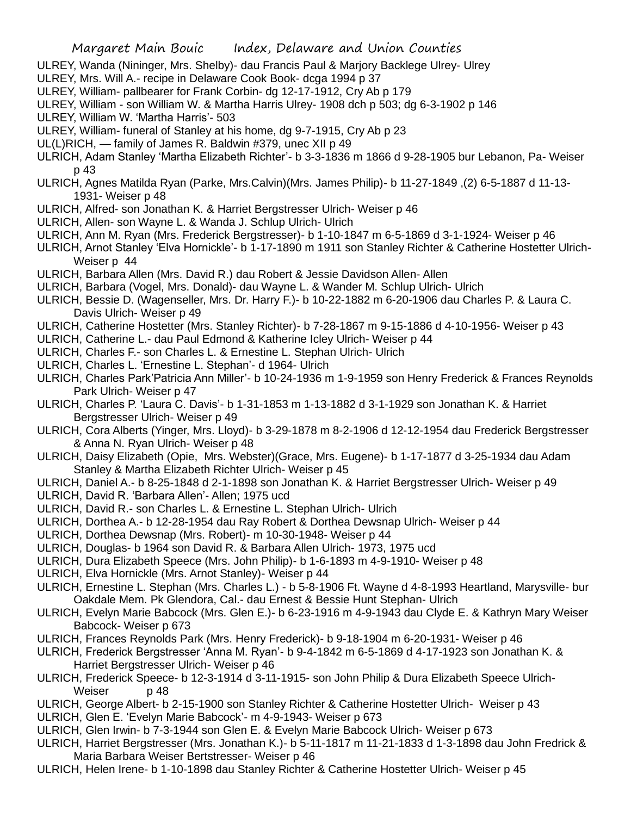- ULREY, Wanda (Nininger, Mrs. Shelby)- dau Francis Paul & Marjory Backlege Ulrey- Ulrey
- ULREY, Mrs. Will A.- recipe in Delaware Cook Book- dcga 1994 p 37
- ULREY, William- pallbearer for Frank Corbin- dg 12-17-1912, Cry Ab p 179
- ULREY, William son William W. & Martha Harris Ulrey- 1908 dch p 503; dg 6-3-1902 p 146
- ULREY, William W. 'Martha Harris'- 503
- ULREY, William- funeral of Stanley at his home, dg 9-7-1915, Cry Ab p 23
- UL(L)RICH, family of James R. Baldwin #379, unec XII p 49
- ULRICH, Adam Stanley 'Martha Elizabeth Richter'- b 3-3-1836 m 1866 d 9-28-1905 bur Lebanon, Pa- Weiser p 43
- ULRICH, Agnes Matilda Ryan (Parke, Mrs.Calvin)(Mrs. James Philip)- b 11-27-1849 ,(2) 6-5-1887 d 11-13- 1931- Weiser p 48
- ULRICH, Alfred- son Jonathan K. & Harriet Bergstresser Ulrich- Weiser p 46
- ULRICH, Allen- son Wayne L. & Wanda J. Schlup Ulrich- Ulrich
- ULRICH, Ann M. Ryan (Mrs. Frederick Bergstresser)- b 1-10-1847 m 6-5-1869 d 3-1-1924- Weiser p 46
- ULRICH, Arnot Stanley 'Elva Hornickle'- b 1-17-1890 m 1911 son Stanley Richter & Catherine Hostetter Ulrich-Weiser p 44
- ULRICH, Barbara Allen (Mrs. David R.) dau Robert & Jessie Davidson Allen- Allen
- ULRICH, Barbara (Vogel, Mrs. Donald)- dau Wayne L. & Wander M. Schlup Ulrich- Ulrich
- ULRICH, Bessie D. (Wagenseller, Mrs. Dr. Harry F.)- b 10-22-1882 m 6-20-1906 dau Charles P. & Laura C. Davis Ulrich- Weiser p 49
- ULRICH, Catherine Hostetter (Mrs. Stanley Richter)- b 7-28-1867 m 9-15-1886 d 4-10-1956- Weiser p 43
- ULRICH, Catherine L.- dau Paul Edmond & Katherine Icley Ulrich- Weiser p 44
- ULRICH, Charles F.- son Charles L. & Ernestine L. Stephan Ulrich- Ulrich
- ULRICH, Charles L. 'Ernestine L. Stephan'- d 1964- Ulrich
- ULRICH, Charles Park'Patricia Ann Miller'- b 10-24-1936 m 1-9-1959 son Henry Frederick & Frances Reynolds Park Ulrich- Weiser p 47
- ULRICH, Charles P. 'Laura C. Davis'- b 1-31-1853 m 1-13-1882 d 3-1-1929 son Jonathan K. & Harriet Bergstresser Ulrich- Weiser p 49
- ULRICH, Cora Alberts (Yinger, Mrs. Lloyd)- b 3-29-1878 m 8-2-1906 d 12-12-1954 dau Frederick Bergstresser & Anna N. Ryan Ulrich- Weiser p 48
- ULRICH, Daisy Elizabeth (Opie, Mrs. Webster)(Grace, Mrs. Eugene)- b 1-17-1877 d 3-25-1934 dau Adam Stanley & Martha Elizabeth Richter Ulrich- Weiser p 45
- ULRICH, Daniel A.- b 8-25-1848 d 2-1-1898 son Jonathan K. & Harriet Bergstresser Ulrich- Weiser p 49
- ULRICH, David R. 'Barbara Allen'- Allen; 1975 ucd
- ULRICH, David R.- son Charles L. & Ernestine L. Stephan Ulrich- Ulrich
- ULRICH, Dorthea A.- b 12-28-1954 dau Ray Robert & Dorthea Dewsnap Ulrich- Weiser p 44
- ULRICH, Dorthea Dewsnap (Mrs. Robert)- m 10-30-1948- Weiser p 44
- ULRICH, Douglas- b 1964 son David R. & Barbara Allen Ulrich- 1973, 1975 ucd
- ULRICH, Dura Elizabeth Speece (Mrs. John Philip)- b 1-6-1893 m 4-9-1910- Weiser p 48
- ULRICH, Elva Hornickle (Mrs. Arnot Stanley)- Weiser p 44
- ULRICH, Ernestine L. Stephan (Mrs. Charles L.) b 5-8-1906 Ft. Wayne d 4-8-1993 Heartland, Marysville- bur Oakdale Mem. Pk Glendora, Cal.- dau Ernest & Bessie Hunt Stephan- Ulrich
- ULRICH, Evelyn Marie Babcock (Mrs. Glen E.)- b 6-23-1916 m 4-9-1943 dau Clyde E. & Kathryn Mary Weiser Babcock- Weiser p 673
- ULRICH, Frances Reynolds Park (Mrs. Henry Frederick)- b 9-18-1904 m 6-20-1931- Weiser p 46
- ULRICH, Frederick Bergstresser 'Anna M. Ryan'- b 9-4-1842 m 6-5-1869 d 4-17-1923 son Jonathan K. & Harriet Bergstresser Ulrich- Weiser p 46
- ULRICH, Frederick Speece- b 12-3-1914 d 3-11-1915- son John Philip & Dura Elizabeth Speece Ulrich-Weiser p 48
- ULRICH, George Albert- b 2-15-1900 son Stanley Richter & Catherine Hostetter Ulrich- Weiser p 43
- ULRICH, Glen E. 'Evelyn Marie Babcock'- m 4-9-1943- Weiser p 673
- ULRICH, Glen Irwin- b 7-3-1944 son Glen E. & Evelyn Marie Babcock Ulrich- Weiser p 673
- ULRICH, Harriet Bergstresser (Mrs. Jonathan K.)- b 5-11-1817 m 11-21-1833 d 1-3-1898 dau John Fredrick & Maria Barbara Weiser Bertstresser- Weiser p 46
- ULRICH, Helen Irene- b 1-10-1898 dau Stanley Richter & Catherine Hostetter Ulrich- Weiser p 45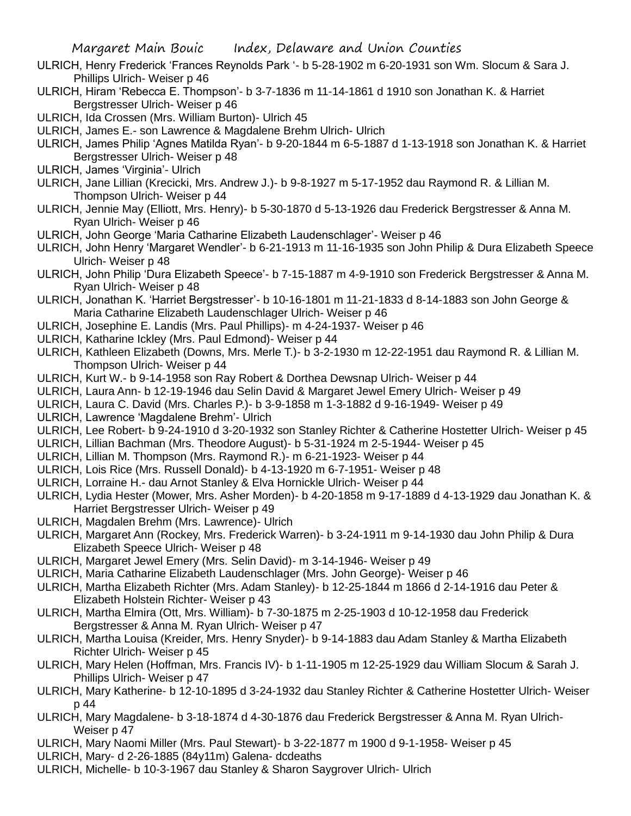- ULRICH, Henry Frederick 'Frances Reynolds Park '- b 5-28-1902 m 6-20-1931 son Wm. Slocum & Sara J. Phillips Ulrich- Weiser p 46
- ULRICH, Hiram 'Rebecca E. Thompson'- b 3-7-1836 m 11-14-1861 d 1910 son Jonathan K. & Harriet Bergstresser Ulrich- Weiser p 46
- ULRICH, Ida Crossen (Mrs. William Burton)- Ulrich 45
- ULRICH, James E.- son Lawrence & Magdalene Brehm Ulrich- Ulrich
- ULRICH, James Philip 'Agnes Matilda Ryan'- b 9-20-1844 m 6-5-1887 d 1-13-1918 son Jonathan K. & Harriet Bergstresser Ulrich- Weiser p 48
- ULRICH, James 'Virginia'- Ulrich
- ULRICH, Jane Lillian (Krecicki, Mrs. Andrew J.)- b 9-8-1927 m 5-17-1952 dau Raymond R. & Lillian M. Thompson Ulrich- Weiser p 44
- ULRICH, Jennie May (Elliott, Mrs. Henry)- b 5-30-1870 d 5-13-1926 dau Frederick Bergstresser & Anna M. Ryan Ulrich- Weiser p 46
- ULRICH, John George 'Maria Catharine Elizabeth Laudenschlager'- Weiser p 46
- ULRICH, John Henry 'Margaret Wendler'- b 6-21-1913 m 11-16-1935 son John Philip & Dura Elizabeth Speece Ulrich- Weiser p 48
- ULRICH, John Philip 'Dura Elizabeth Speece'- b 7-15-1887 m 4-9-1910 son Frederick Bergstresser & Anna M. Ryan Ulrich- Weiser p 48
- ULRICH, Jonathan K. 'Harriet Bergstresser'- b 10-16-1801 m 11-21-1833 d 8-14-1883 son John George & Maria Catharine Elizabeth Laudenschlager Ulrich- Weiser p 46
- ULRICH, Josephine E. Landis (Mrs. Paul Phillips)- m 4-24-1937- Weiser p 46
- ULRICH, Katharine Ickley (Mrs. Paul Edmond)- Weiser p 44
- ULRICH, Kathleen Elizabeth (Downs, Mrs. Merle T.)- b 3-2-1930 m 12-22-1951 dau Raymond R. & Lillian M. Thompson Ulrich- Weiser p 44
- ULRICH, Kurt W.- b 9-14-1958 son Ray Robert & Dorthea Dewsnap Ulrich- Weiser p 44
- ULRICH, Laura Ann- b 12-19-1946 dau Selin David & Margaret Jewel Emery Ulrich- Weiser p 49
- ULRICH, Laura C. David (Mrs. Charles P.)- b 3-9-1858 m 1-3-1882 d 9-16-1949- Weiser p 49
- ULRICH, Lawrence 'Magdalene Brehm'- Ulrich
- ULRICH, Lee Robert- b 9-24-1910 d 3-20-1932 son Stanley Richter & Catherine Hostetter Ulrich- Weiser p 45
- ULRICH, Lillian Bachman (Mrs. Theodore August)- b 5-31-1924 m 2-5-1944- Weiser p 45
- ULRICH, Lillian M. Thompson (Mrs. Raymond R.)- m 6-21-1923- Weiser p 44
- ULRICH, Lois Rice (Mrs. Russell Donald)- b 4-13-1920 m 6-7-1951- Weiser p 48
- ULRICH, Lorraine H.- dau Arnot Stanley & Elva Hornickle Ulrich- Weiser p 44
- ULRICH, Lydia Hester (Mower, Mrs. Asher Morden)- b 4-20-1858 m 9-17-1889 d 4-13-1929 dau Jonathan K. & Harriet Bergstresser Ulrich- Weiser p 49
- ULRICH, Magdalen Brehm (Mrs. Lawrence)- Ulrich
- ULRICH, Margaret Ann (Rockey, Mrs. Frederick Warren)- b 3-24-1911 m 9-14-1930 dau John Philip & Dura Elizabeth Speece Ulrich- Weiser p 48
- ULRICH, Margaret Jewel Emery (Mrs. Selin David)- m 3-14-1946- Weiser p 49
- ULRICH, Maria Catharine Elizabeth Laudenschlager (Mrs. John George)- Weiser p 46
- ULRICH, Martha Elizabeth Richter (Mrs. Adam Stanley)- b 12-25-1844 m 1866 d 2-14-1916 dau Peter & Elizabeth Holstein Richter- Weiser p 43
- ULRICH, Martha Elmira (Ott, Mrs. William)- b 7-30-1875 m 2-25-1903 d 10-12-1958 dau Frederick Bergstresser & Anna M. Ryan Ulrich- Weiser p 47
- ULRICH, Martha Louisa (Kreider, Mrs. Henry Snyder)- b 9-14-1883 dau Adam Stanley & Martha Elizabeth Richter Ulrich- Weiser p 45
- ULRICH, Mary Helen (Hoffman, Mrs. Francis IV)- b 1-11-1905 m 12-25-1929 dau William Slocum & Sarah J. Phillips Ulrich- Weiser p 47
- ULRICH, Mary Katherine- b 12-10-1895 d 3-24-1932 dau Stanley Richter & Catherine Hostetter Ulrich- Weiser p 44
- ULRICH, Mary Magdalene- b 3-18-1874 d 4-30-1876 dau Frederick Bergstresser & Anna M. Ryan Ulrich-Weiser p 47
- ULRICH, Mary Naomi Miller (Mrs. Paul Stewart)- b 3-22-1877 m 1900 d 9-1-1958- Weiser p 45
- ULRICH, Mary- d 2-26-1885 (84y11m) Galena- dcdeaths
- ULRICH, Michelle- b 10-3-1967 dau Stanley & Sharon Saygrover Ulrich- Ulrich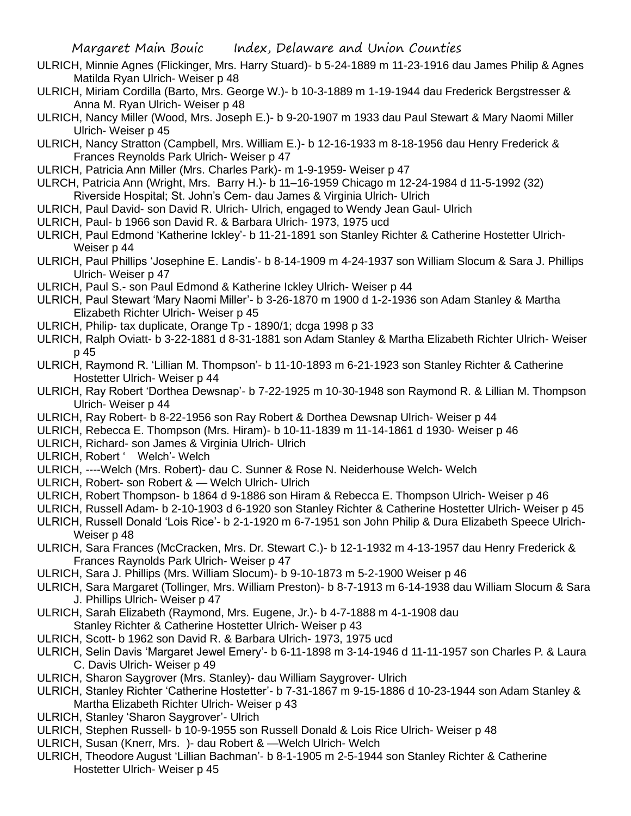- ULRICH, Minnie Agnes (Flickinger, Mrs. Harry Stuard)- b 5-24-1889 m 11-23-1916 dau James Philip & Agnes Matilda Ryan Ulrich- Weiser p 48
- ULRICH, Miriam Cordilla (Barto, Mrs. George W.)- b 10-3-1889 m 1-19-1944 dau Frederick Bergstresser & Anna M. Ryan Ulrich- Weiser p 48
- ULRICH, Nancy Miller (Wood, Mrs. Joseph E.)- b 9-20-1907 m 1933 dau Paul Stewart & Mary Naomi Miller Ulrich- Weiser p 45
- ULRICH, Nancy Stratton (Campbell, Mrs. William E.)- b 12-16-1933 m 8-18-1956 dau Henry Frederick & Frances Reynolds Park Ulrich- Weiser p 47
- ULRICH, Patricia Ann Miller (Mrs. Charles Park)- m 1-9-1959- Weiser p 47
- ULRCH, Patricia Ann (Wright, Mrs. Barry H.)- b 11–16-1959 Chicago m 12-24-1984 d 11-5-1992 (32) Riverside Hospital; St. John's Cem- dau James & Virginia Ulrich- Ulrich
- ULRICH, Paul David- son David R. Ulrich- Ulrich, engaged to Wendy Jean Gaul- Ulrich
- ULRICH, Paul- b 1966 son David R. & Barbara Ulrich- 1973, 1975 ucd
- ULRICH, Paul Edmond 'Katherine Ickley'- b 11-21-1891 son Stanley Richter & Catherine Hostetter Ulrich-Weiser p 44
- ULRICH, Paul Phillips 'Josephine E. Landis'- b 8-14-1909 m 4-24-1937 son William Slocum & Sara J. Phillips Ulrich- Weiser p 47
- ULRICH, Paul S.- son Paul Edmond & Katherine Ickley Ulrich- Weiser p 44
- ULRICH, Paul Stewart 'Mary Naomi Miller'- b 3-26-1870 m 1900 d 1-2-1936 son Adam Stanley & Martha Elizabeth Richter Ulrich- Weiser p 45
- ULRICH, Philip- tax duplicate, Orange Tp 1890/1; dcga 1998 p 33
- ULRICH, Ralph Oviatt- b 3-22-1881 d 8-31-1881 son Adam Stanley & Martha Elizabeth Richter Ulrich- Weiser p 45
- ULRICH, Raymond R. 'Lillian M. Thompson'- b 11-10-1893 m 6-21-1923 son Stanley Richter & Catherine Hostetter Ulrich- Weiser p 44
- ULRICH, Ray Robert 'Dorthea Dewsnap'- b 7-22-1925 m 10-30-1948 son Raymond R. & Lillian M. Thompson Ulrich- Weiser p 44
- ULRICH, Ray Robert- b 8-22-1956 son Ray Robert & Dorthea Dewsnap Ulrich- Weiser p 44
- ULRICH, Rebecca E. Thompson (Mrs. Hiram)- b 10-11-1839 m 11-14-1861 d 1930- Weiser p 46
- ULRICH, Richard- son James & Virginia Ulrich- Ulrich
- ULRICH, Robert ' Welch'- Welch
- ULRICH, ----Welch (Mrs. Robert)- dau C. Sunner & Rose N. Neiderhouse Welch- Welch
- ULRICH, Robert- son Robert & Welch Ulrich- Ulrich
- ULRICH, Robert Thompson- b 1864 d 9-1886 son Hiram & Rebecca E. Thompson Ulrich- Weiser p 46
- ULRICH, Russell Adam- b 2-10-1903 d 6-1920 son Stanley Richter & Catherine Hostetter Ulrich- Weiser p 45
- ULRICH, Russell Donald 'Lois Rice'- b 2-1-1920 m 6-7-1951 son John Philip & Dura Elizabeth Speece Ulrich-Weiser p 48
- ULRICH, Sara Frances (McCracken, Mrs. Dr. Stewart C.)- b 12-1-1932 m 4-13-1957 dau Henry Frederick & Frances Raynolds Park Ulrich- Weiser p 47
- ULRICH, Sara J. Phillips (Mrs. William Slocum)- b 9-10-1873 m 5-2-1900 Weiser p 46
- ULRICH, Sara Margaret (Tollinger, Mrs. William Preston)- b 8-7-1913 m 6-14-1938 dau William Slocum & Sara J. Phillips Ulrich- Weiser p 47
- ULRICH, Sarah Elizabeth (Raymond, Mrs. Eugene, Jr.)- b 4-7-1888 m 4-1-1908 dau Stanley Richter & Catherine Hostetter Ulrich- Weiser p 43
- ULRICH, Scott- b 1962 son David R. & Barbara Ulrich- 1973, 1975 ucd
- ULRICH, Selin Davis 'Margaret Jewel Emery'- b 6-11-1898 m 3-14-1946 d 11-11-1957 son Charles P. & Laura C. Davis Ulrich- Weiser p 49
- ULRICH, Sharon Saygrover (Mrs. Stanley)- dau William Saygrover- Ulrich
- ULRICH, Stanley Richter 'Catherine Hostetter'- b 7-31-1867 m 9-15-1886 d 10-23-1944 son Adam Stanley & Martha Elizabeth Richter Ulrich- Weiser p 43
- ULRICH, Stanley 'Sharon Saygrover'- Ulrich
- ULRICH, Stephen Russell- b 10-9-1955 son Russell Donald & Lois Rice Ulrich- Weiser p 48
- ULRICH, Susan (Knerr, Mrs. )- dau Robert & —Welch Ulrich- Welch
- ULRICH, Theodore August 'Lillian Bachman'- b 8-1-1905 m 2-5-1944 son Stanley Richter & Catherine Hostetter Ulrich- Weiser p 45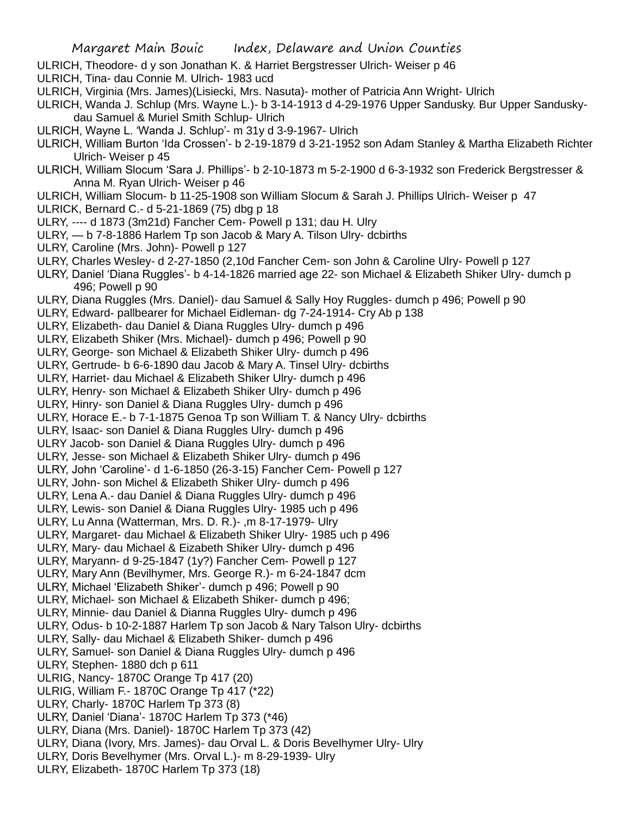- ULRICH, Theodore- d y son Jonathan K. & Harriet Bergstresser Ulrich- Weiser p 46
- ULRICH, Tina- dau Connie M. Ulrich- 1983 ucd
- ULRICH, Virginia (Mrs. James)(Lisiecki, Mrs. Nasuta)- mother of Patricia Ann Wright- Ulrich
- ULRICH, Wanda J. Schlup (Mrs. Wayne L.)- b 3-14-1913 d 4-29-1976 Upper Sandusky. Bur Upper Sanduskydau Samuel & Muriel Smith Schlup- Ulrich
- ULRICH, Wayne L. 'Wanda J. Schlup'- m 31y d 3-9-1967- Ulrich
- ULRICH, William Burton 'Ida Crossen'- b 2-19-1879 d 3-21-1952 son Adam Stanley & Martha Elizabeth Richter Ulrich- Weiser p 45
- ULRICH, William Slocum 'Sara J. Phillips'- b 2-10-1873 m 5-2-1900 d 6-3-1932 son Frederick Bergstresser & Anna M. Ryan Ulrich- Weiser p 46
- ULRICH, William Slocum- b 11-25-1908 son William Slocum & Sarah J. Phillips Ulrich- Weiser p 47
- ULRICK, Bernard C.- d 5-21-1869 (75) dbg p 18
- ULRY, ---- d 1873 (3m21d) Fancher Cem- Powell p 131; dau H. Ulry
- ULRY, b 7-8-1886 Harlem Tp son Jacob & Mary A. Tilson Ulry- dcbirths
- ULRY, Caroline (Mrs. John)- Powell p 127
- ULRY, Charles Wesley- d 2-27-1850 (2,10d Fancher Cem- son John & Caroline Ulry- Powell p 127
- ULRY, Daniel 'Diana Ruggles'- b 4-14-1826 married age 22- son Michael & Elizabeth Shiker Ulry- dumch p 496; Powell p 90
- ULRY, Diana Ruggles (Mrs. Daniel)- dau Samuel & Sally Hoy Ruggles- dumch p 496; Powell p 90
- ULRY, Edward- pallbearer for Michael Eidleman- dg 7-24-1914- Cry Ab p 138
- ULRY, Elizabeth- dau Daniel & Diana Ruggles Ulry- dumch p 496
- ULRY, Elizabeth Shiker (Mrs. Michael)- dumch p 496; Powell p 90
- ULRY, George- son Michael & Elizabeth Shiker Ulry- dumch p 496
- ULRY, Gertrude- b 6-6-1890 dau Jacob & Mary A. Tinsel Ulry- dcbirths
- ULRY, Harriet- dau Michael & Elizabeth Shiker Ulry- dumch p 496
- ULRY, Henry- son Michael & Elizabeth Shiker Ulry- dumch p 496
- ULRY, Hinry- son Daniel & Diana Ruggles Ulry- dumch p 496
- ULRY, Horace E.- b 7-1-1875 Genoa Tp son William T. & Nancy Ulry- dcbirths
- ULRY, Isaac- son Daniel & Diana Ruggles Ulry- dumch p 496
- ULRY Jacob- son Daniel & Diana Ruggles Ulry- dumch p 496
- ULRY, Jesse- son Michael & Elizabeth Shiker Ulry- dumch p 496
- ULRY, John 'Caroline'- d 1-6-1850 (26-3-15) Fancher Cem- Powell p 127
- ULRY, John- son Michel & Elizabeth Shiker Ulry- dumch p 496
- ULRY, Lena A.- dau Daniel & Diana Ruggles Ulry- dumch p 496
- ULRY, Lewis- son Daniel & Diana Ruggles Ulry- 1985 uch p 496
- ULRY, Lu Anna (Watterman, Mrs. D. R.)- ,m 8-17-1979- Ulry
- ULRY, Margaret- dau Michael & Elizabeth Shiker Ulry- 1985 uch p 496
- ULRY, Mary- dau Michael & Eizabeth Shiker Ulry- dumch p 496
- ULRY, Maryann- d 9-25-1847 (1y?) Fancher Cem- Powell p 127
- ULRY, Mary Ann (Bevilhymer, Mrs. George R.)- m 6-24-1847 dcm
- ULRY, Michael 'Elizabeth Shiker'- dumch p 496; Powell p 90
- ULRY, Michael- son Michael & Elizabeth Shiker- dumch p 496;
- ULRY, Minnie- dau Daniel & Dianna Ruggles Ulry- dumch p 496
- ULRY, Odus- b 10-2-1887 Harlem Tp son Jacob & Nary Talson Ulry- dcbirths
- ULRY, Sally- dau Michael & Elizabeth Shiker- dumch p 496
- ULRY, Samuel- son Daniel & Diana Ruggles Ulry- dumch p 496
- ULRY, Stephen- 1880 dch p 611
- ULRIG, Nancy- 1870C Orange Tp 417 (20)
- ULRIG, William F.- 1870C Orange Tp 417 (\*22)
- ULRY, Charly- 1870C Harlem Tp 373 (8)
- ULRY, Daniel 'Diana'- 1870C Harlem Tp 373 (\*46)
- ULRY, Diana (Mrs. Daniel)- 1870C Harlem Tp 373 (42)
- ULRY, Diana (Ivory, Mrs. James)- dau Orval L. & Doris Bevelhymer Ulry- Ulry
- ULRY, Doris Bevelhymer (Mrs. Orval L.)- m 8-29-1939- Ulry
- ULRY, Elizabeth- 1870C Harlem Tp 373 (18)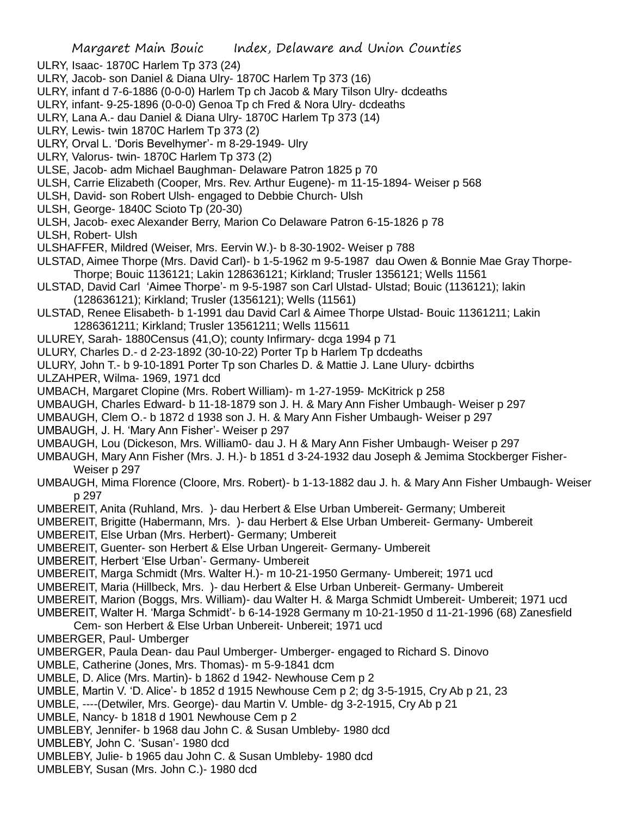ULRY, Isaac- 1870C Harlem Tp 373 (24)

- ULRY, Jacob- son Daniel & Diana Ulry- 1870C Harlem Tp 373 (16)
- ULRY, infant d 7-6-1886 (0-0-0) Harlem Tp ch Jacob & Mary Tilson Ulry- dcdeaths
- ULRY, infant- 9-25-1896 (0-0-0) Genoa Tp ch Fred & Nora Ulry- dcdeaths
- ULRY, Lana A.- dau Daniel & Diana Ulry- 1870C Harlem Tp 373 (14)
- ULRY, Lewis- twin 1870C Harlem Tp 373 (2)
- ULRY, Orval L. 'Doris Bevelhymer'- m 8-29-1949- Ulry
- ULRY, Valorus- twin- 1870C Harlem Tp 373 (2)
- ULSE, Jacob- adm Michael Baughman- Delaware Patron 1825 p 70
- ULSH, Carrie Elizabeth (Cooper, Mrs. Rev. Arthur Eugene)- m 11-15-1894- Weiser p 568
- ULSH, David- son Robert Ulsh- engaged to Debbie Church- Ulsh
- ULSH, George- 1840C Scioto Tp (20-30)
- ULSH, Jacob- exec Alexander Berry, Marion Co Delaware Patron 6-15-1826 p 78
- ULSH, Robert- Ulsh
- ULSHAFFER, Mildred (Weiser, Mrs. Eervin W.)- b 8-30-1902- Weiser p 788
- ULSTAD, Aimee Thorpe (Mrs. David Carl)- b 1-5-1962 m 9-5-1987 dau Owen & Bonnie Mae Gray Thorpe-Thorpe; Bouic 1136121; Lakin 128636121; Kirkland; Trusler 1356121; Wells 11561
- ULSTAD, David Carl 'Aimee Thorpe'- m 9-5-1987 son Carl Ulstad- Ulstad; Bouic (1136121); lakin (128636121); Kirkland; Trusler (1356121); Wells (11561)
- ULSTAD, Renee Elisabeth- b 1-1991 dau David Carl & Aimee Thorpe Ulstad- Bouic 11361211; Lakin 1286361211; Kirkland; Trusler 13561211; Wells 115611
- ULUREY, Sarah- 1880Census (41,O); county Infirmary- dcga 1994 p 71
- ULURY, Charles D.- d 2-23-1892 (30-10-22) Porter Tp b Harlem Tp dcdeaths
- ULURY, John T.- b 9-10-1891 Porter Tp son Charles D. & Mattie J. Lane Ulury- dcbirths
- ULZAHPER, Wilma- 1969, 1971 dcd
- UMBACH, Margaret Clopine (Mrs. Robert William)- m 1-27-1959- McKitrick p 258
- UMBAUGH, Charles Edward- b 11-18-1879 son J. H. & Mary Ann Fisher Umbaugh- Weiser p 297
- UMBAUGH, Clem O.- b 1872 d 1938 son J. H. & Mary Ann Fisher Umbaugh- Weiser p 297
- UMBAUGH, J. H. 'Mary Ann Fisher'- Weiser p 297
- UMBAUGH, Lou (Dickeson, Mrs. William0- dau J. H & Mary Ann Fisher Umbaugh- Weiser p 297
- UMBAUGH, Mary Ann Fisher (Mrs. J. H.)- b 1851 d 3-24-1932 dau Joseph & Jemima Stockberger Fisher-Weiser p 297
- UMBAUGH, Mima Florence (Cloore, Mrs. Robert)- b 1-13-1882 dau J. h. & Mary Ann Fisher Umbaugh- Weiser p 297
- UMBEREIT, Anita (Ruhland, Mrs. )- dau Herbert & Else Urban Umbereit- Germany; Umbereit
- UMBEREIT, Brigitte (Habermann, Mrs. )- dau Herbert & Else Urban Umbereit- Germany- Umbereit
- UMBEREIT, Else Urban (Mrs. Herbert)- Germany; Umbereit
- UMBEREIT, Guenter- son Herbert & Else Urban Ungereit- Germany- Umbereit
- UMBEREIT, Herbert 'Else Urban'- Germany- Umbereit
- UMBEREIT, Marga Schmidt (Mrs. Walter H.)- m 10-21-1950 Germany- Umbereit; 1971 ucd
- UMBEREIT, Maria (Hillbeck, Mrs. )- dau Herbert & Else Urban Unbereit- Germany- Umbereit
- UMBEREIT, Marion (Boggs, Mrs. William)- dau Walter H. & Marga Schmidt Umbereit- Umbereit; 1971 ucd
- UMBEREIT, Walter H. 'Marga Schmidt'- b 6-14-1928 Germany m 10-21-1950 d 11-21-1996 (68) Zanesfield
- Cem- son Herbert & Else Urban Unbereit- Unbereit; 1971 ucd
- UMBERGER, Paul- Umberger
- UMBERGER, Paula Dean- dau Paul Umberger- Umberger- engaged to Richard S. Dinovo
- UMBLE, Catherine (Jones, Mrs. Thomas)- m 5-9-1841 dcm
- UMBLE, D. Alice (Mrs. Martin)- b 1862 d 1942- Newhouse Cem p 2
- UMBLE, Martin V. 'D. Alice'- b 1852 d 1915 Newhouse Cem p 2; dg 3-5-1915, Cry Ab p 21, 23
- UMBLE, ----(Detwiler, Mrs. George)- dau Martin V. Umble- dg 3-2-1915, Cry Ab p 21
- UMBLE, Nancy- b 1818 d 1901 Newhouse Cem p 2
- UMBLEBY, Jennifer- b 1968 dau John C. & Susan Umbleby- 1980 dcd
- UMBLEBY, John C. 'Susan'- 1980 dcd
- UMBLEBY, Julie- b 1965 dau John C. & Susan Umbleby- 1980 dcd
- UMBLEBY, Susan (Mrs. John C.)- 1980 dcd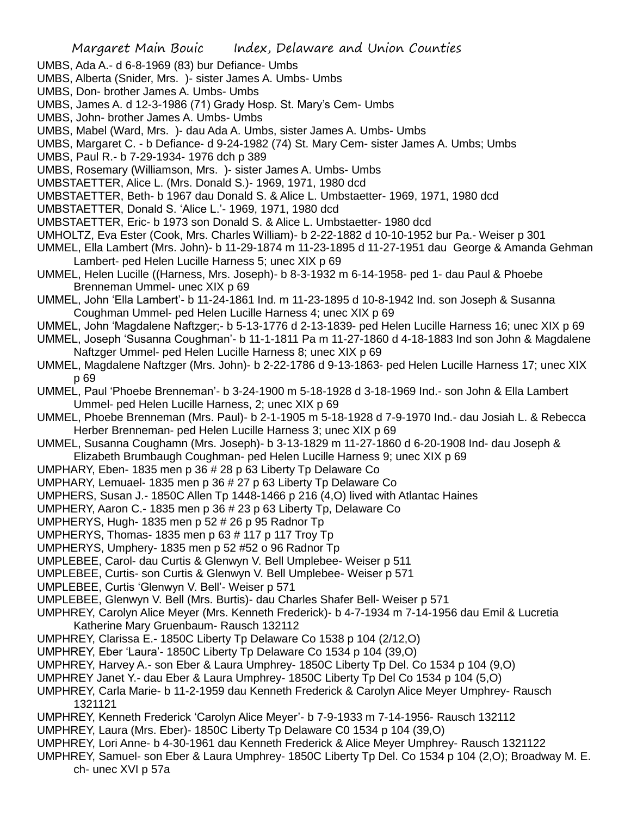- UMBS, Ada A.- d 6-8-1969 (83) bur Defiance- Umbs
- UMBS, Alberta (Snider, Mrs. )- sister James A. Umbs- Umbs
- UMBS, Don- brother James A. Umbs- Umbs
- UMBS, James A. d 12-3-1986 (71) Grady Hosp. St. Mary's Cem- Umbs
- UMBS, John- brother James A. Umbs- Umbs
- UMBS, Mabel (Ward, Mrs. )- dau Ada A. Umbs, sister James A. Umbs- Umbs
- UMBS, Margaret C. b Defiance- d 9-24-1982 (74) St. Mary Cem- sister James A. Umbs; Umbs
- UMBS, Paul R.- b 7-29-1934- 1976 dch p 389
- UMBS, Rosemary (Williamson, Mrs. )- sister James A. Umbs- Umbs
- UMBSTAETTER, Alice L. (Mrs. Donald S.)- 1969, 1971, 1980 dcd
- UMBSTAETTER, Beth- b 1967 dau Donald S. & Alice L. Umbstaetter- 1969, 1971, 1980 dcd
- UMBSTAETTER, Donald S. 'Alice L.'- 1969, 1971, 1980 dcd
- UMBSTAETTER, Eric- b 1973 son Donald S. & Alice L. Umbstaetter- 1980 dcd
- UMHOLTZ, Eva Ester (Cook, Mrs. Charles William)- b 2-22-1882 d 10-10-1952 bur Pa.- Weiser p 301
- UMMEL, Ella Lambert (Mrs. John)- b 11-29-1874 m 11-23-1895 d 11-27-1951 dau George & Amanda Gehman Lambert- ped Helen Lucille Harness 5; unec XIX p 69
- UMMEL, Helen Lucille ((Harness, Mrs. Joseph)- b 8-3-1932 m 6-14-1958- ped 1- dau Paul & Phoebe Brenneman Ummel- unec XIX p 69
- UMMEL, John 'Ella Lambert'- b 11-24-1861 Ind. m 11-23-1895 d 10-8-1942 Ind. son Joseph & Susanna Coughman Ummel- ped Helen Lucille Harness 4; unec XIX p 69
- UMMEL, John 'Magdalene Naftzger;- b 5-13-1776 d 2-13-1839- ped Helen Lucille Harness 16; unec XIX p 69
- UMMEL, Joseph 'Susanna Coughman'- b 11-1-1811 Pa m 11-27-1860 d 4-18-1883 Ind son John & Magdalene Naftzger Ummel- ped Helen Lucille Harness 8; unec XIX p 69
- UMMEL, Magdalene Naftzger (Mrs. John)- b 2-22-1786 d 9-13-1863- ped Helen Lucille Harness 17; unec XIX p 69
- UMMEL, Paul 'Phoebe Brenneman'- b 3-24-1900 m 5-18-1928 d 3-18-1969 Ind.- son John & Ella Lambert Ummel- ped Helen Lucille Harness, 2; unec XIX p 69
- UMMEL, Phoebe Brenneman (Mrs. Paul)- b 2-1-1905 m 5-18-1928 d 7-9-1970 Ind.- dau Josiah L. & Rebecca Herber Brenneman- ped Helen Lucille Harness 3; unec XIX p 69
- UMMEL, Susanna Coughamn (Mrs. Joseph)- b 3-13-1829 m 11-27-1860 d 6-20-1908 Ind- dau Joseph & Elizabeth Brumbaugh Coughman- ped Helen Lucille Harness 9; unec XIX p 69
- UMPHARY, Eben- 1835 men p 36 # 28 p 63 Liberty Tp Delaware Co
- UMPHARY, Lemuael- 1835 men p 36 # 27 p 63 Liberty Tp Delaware Co
- UMPHERS, Susan J.- 1850C Allen Tp 1448-1466 p 216 (4,O) lived with Atlantac Haines
- UMPHERY, Aaron C.- 1835 men p 36 # 23 p 63 Liberty Tp, Delaware Co
- UMPHERYS, Hugh- 1835 men p 52 # 26 p 95 Radnor Tp
- UMPHERYS, Thomas- 1835 men p 63 # 117 p 117 Troy Tp
- UMPHERYS, Umphery- 1835 men p 52 #52 o 96 Radnor Tp
- UMPLEBEE, Carol- dau Curtis & Glenwyn V. Bell Umplebee- Weiser p 511
- UMPLEBEE, Curtis- son Curtis & Glenwyn V. Bell Umplebee- Weiser p 571
- UMPLEBEE, Curtis 'Glenwyn V. Bell'- Weiser p 571
- UMPLEBEE, Glenwyn V. Bell (Mrs. Burtis)- dau Charles Shafer Bell- Weiser p 571
- UMPHREY, Carolyn Alice Meyer (Mrs. Kenneth Frederick)- b 4-7-1934 m 7-14-1956 dau Emil & Lucretia Katherine Mary Gruenbaum- Rausch 132112
- UMPHREY, Clarissa E.- 1850C Liberty Tp Delaware Co 1538 p 104 (2/12,O)
- UMPHREY, Eber 'Laura'- 1850C Liberty Tp Delaware Co 1534 p 104 (39,O)
- UMPHREY, Harvey A.- son Eber & Laura Umphrey- 1850C Liberty Tp Del. Co 1534 p 104 (9,O)
- UMPHREY Janet Y.- dau Eber & Laura Umphrey- 1850C Liberty Tp Del Co 1534 p 104 (5,O)
- UMPHREY, Carla Marie- b 11-2-1959 dau Kenneth Frederick & Carolyn Alice Meyer Umphrey- Rausch 1321121
- UMPHREY, Kenneth Frederick 'Carolyn Alice Meyer'- b 7-9-1933 m 7-14-1956- Rausch 132112
- UMPHREY, Laura (Mrs. Eber)- 1850C Liberty Tp Delaware C0 1534 p 104 (39,O)
- UMPHREY, Lori Anne- b 4-30-1961 dau Kenneth Frederick & Alice Meyer Umphrey- Rausch 1321122
- UMPHREY, Samuel- son Eber & Laura Umphrey- 1850C Liberty Tp Del. Co 1534 p 104 (2,O); Broadway M. E. ch- unec XVI p 57a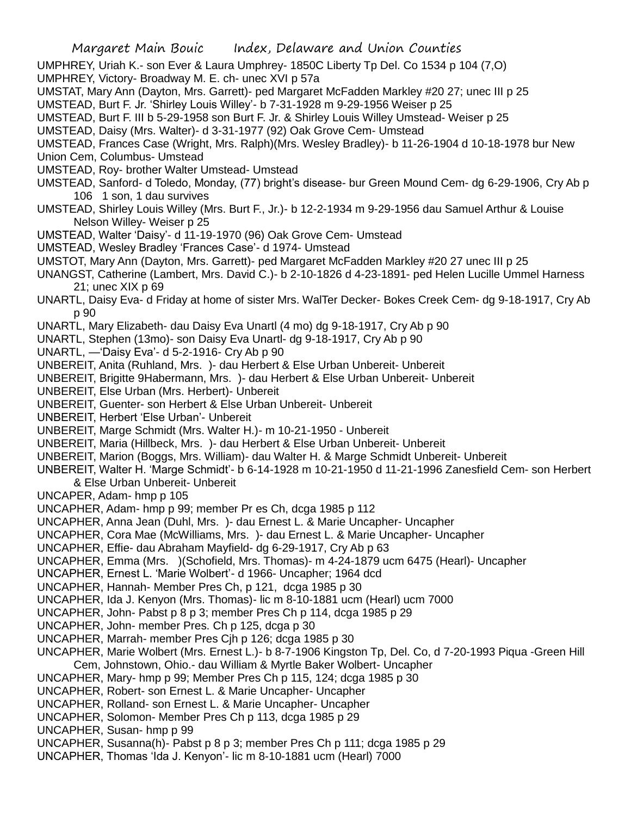UMPHREY, Uriah K.- son Ever & Laura Umphrey- 1850C Liberty Tp Del. Co 1534 p 104 (7,O)

UMPHREY, Victory- Broadway M. E. ch- unec XVI p 57a

UMSTAT, Mary Ann (Dayton, Mrs. Garrett)- ped Margaret McFadden Markley #20 27; unec III p 25

UMSTEAD, Burt F. Jr. 'Shirley Louis Willey'- b 7-31-1928 m 9-29-1956 Weiser p 25

UMSTEAD, Burt F. III b 5-29-1958 son Burt F. Jr. & Shirley Louis Willey Umstead- Weiser p 25

UMSTEAD, Daisy (Mrs. Walter)- d 3-31-1977 (92) Oak Grove Cem- Umstead

UMSTEAD, Frances Case (Wright, Mrs. Ralph)(Mrs. Wesley Bradley)- b 11-26-1904 d 10-18-1978 bur New

Union Cem, Columbus- Umstead

UMSTEAD, Roy- brother Walter Umstead- Umstead

UMSTEAD, Sanford- d Toledo, Monday, (77) bright's disease- bur Green Mound Cem- dg 6-29-1906, Cry Ab p 106 1 son, 1 dau survives

- UMSTEAD, Shirley Louis Willey (Mrs. Burt F., Jr.)- b 12-2-1934 m 9-29-1956 dau Samuel Arthur & Louise Nelson Willey- Weiser p 25
- UMSTEAD, Walter 'Daisy'- d 11-19-1970 (96) Oak Grove Cem- Umstead

UMSTEAD, Wesley Bradley 'Frances Case'- d 1974- Umstead

- UMSTOT, Mary Ann (Dayton, Mrs. Garrett)- ped Margaret McFadden Markley #20 27 unec III p 25
- UNANGST, Catherine (Lambert, Mrs. David C.)- b 2-10-1826 d 4-23-1891- ped Helen Lucille Ummel Harness 21; unec XIX p 69
- UNARTL, Daisy Eva- d Friday at home of sister Mrs. WalTer Decker- Bokes Creek Cem- dg 9-18-1917, Cry Ab p 90
- UNARTL, Mary Elizabeth- dau Daisy Eva Unartl (4 mo) dg 9-18-1917, Cry Ab p 90
- UNARTL, Stephen (13mo)- son Daisy Eva Unartl- dg 9-18-1917, Cry Ab p 90
- UNARTL, —'Daisy Eva'- d 5-2-1916- Cry Ab p 90

UNBEREIT, Anita (Ruhland, Mrs. )- dau Herbert & Else Urban Unbereit- Unbereit

- UNBEREIT, Brigitte 9Habermann, Mrs. )- dau Herbert & Else Urban Unbereit- Unbereit
- UNBEREIT, Else Urban (Mrs. Herbert)- Unbereit
- UNBEREIT, Guenter- son Herbert & Else Urban Unbereit- Unbereit
- UNBEREIT, Herbert 'Else Urban'- Unbereit
- UNBEREIT, Marge Schmidt (Mrs. Walter H.)- m 10-21-1950 Unbereit
- UNBEREIT, Maria (Hillbeck, Mrs. )- dau Herbert & Else Urban Unbereit- Unbereit
- UNBEREIT, Marion (Boggs, Mrs. William)- dau Walter H. & Marge Schmidt Unbereit- Unbereit
- UNBEREIT, Walter H. 'Marge Schmidt'- b 6-14-1928 m 10-21-1950 d 11-21-1996 Zanesfield Cem- son Herbert & Else Urban Unbereit- Unbereit

UNCAPER, Adam- hmp p 105

- UNCAPHER, Adam- hmp p 99; member Pr es Ch, dcga 1985 p 112
- UNCAPHER, Anna Jean (Duhl, Mrs. )- dau Ernest L. & Marie Uncapher- Uncapher
- UNCAPHER, Cora Mae (McWilliams, Mrs. )- dau Ernest L. & Marie Uncapher- Uncapher
- UNCAPHER, Effie- dau Abraham Mayfield- dg 6-29-1917, Cry Ab p 63
- UNCAPHER, Emma (Mrs. )(Schofield, Mrs. Thomas)- m 4-24-1879 ucm 6475 (Hearl)- Uncapher
- UNCAPHER, Ernest L. 'Marie Wolbert'- d 1966- Uncapher; 1964 dcd
- UNCAPHER, Hannah- Member Pres Ch, p 121, dcga 1985 p 30
- UNCAPHER, Ida J. Kenyon (Mrs. Thomas)- lic m 8-10-1881 ucm (Hearl) ucm 7000
- UNCAPHER, John- Pabst p 8 p 3; member Pres Ch p 114, dcga 1985 p 29
- UNCAPHER, John- member Pres. Ch p 125, dcga p 30
- UNCAPHER, Marrah- member Pres Cjh p 126; dcga 1985 p 30
- UNCAPHER, Marie Wolbert (Mrs. Ernest L.)- b 8-7-1906 Kingston Tp, Del. Co, d 7-20-1993 Piqua -Green Hill Cem, Johnstown, Ohio.- dau William & Myrtle Baker Wolbert- Uncapher
- UNCAPHER, Mary- hmp p 99; Member Pres Ch p 115, 124; dcga 1985 p 30
- UNCAPHER, Robert- son Ernest L. & Marie Uncapher- Uncapher
- UNCAPHER, Rolland- son Ernest L. & Marie Uncapher- Uncapher
- UNCAPHER, Solomon- Member Pres Ch p 113, dcga 1985 p 29
- UNCAPHER, Susan- hmp p 99
- UNCAPHER, Susanna(h)- Pabst p 8 p 3; member Pres Ch p 111; dcga 1985 p 29
- UNCAPHER, Thomas 'Ida J. Kenyon'- lic m 8-10-1881 ucm (Hearl) 7000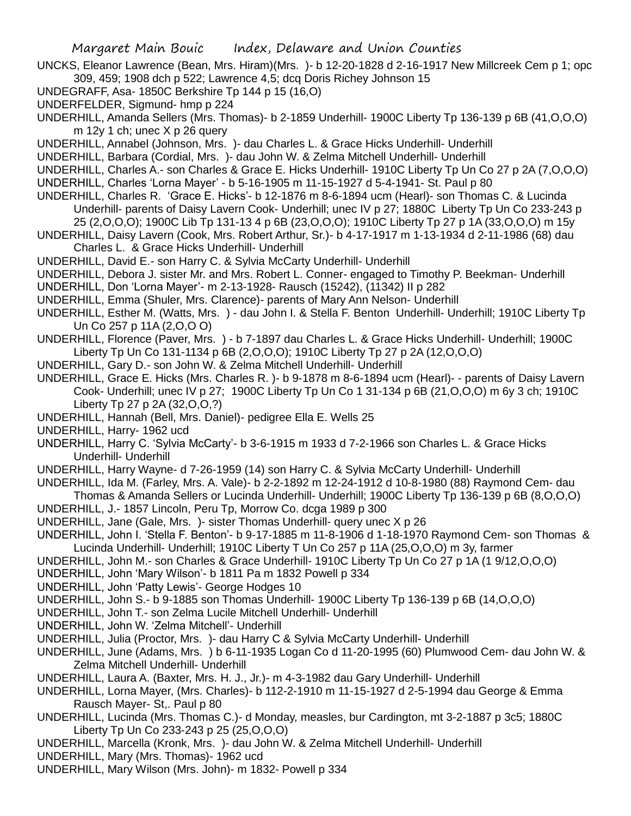UNCKS, Eleanor Lawrence (Bean, Mrs. Hiram)(Mrs. )- b 12-20-1828 d 2-16-1917 New Millcreek Cem p 1; opc 309, 459; 1908 dch p 522; Lawrence 4,5; dcq Doris Richey Johnson 15

- UNDEGRAFF, Asa- 1850C Berkshire Tp 144 p 15 (16,O)
- UNDERFELDER, Sigmund- hmp p 224
- UNDERHILL, Amanda Sellers (Mrs. Thomas)- b 2-1859 Underhill- 1900C Liberty Tp 136-139 p 6B (41,O,O,O) m 12y 1 ch; unec X p 26 query
- UNDERHILL, Annabel (Johnson, Mrs. )- dau Charles L. & Grace Hicks Underhill- Underhill
- UNDERHILL, Barbara (Cordial, Mrs. )- dau John W. & Zelma Mitchell Underhill- Underhill
- UNDERHILL, Charles A.- son Charles & Grace E. Hicks Underhill- 1910C Liberty Tp Un Co 27 p 2A (7,O,O,O)
- UNDERHILL, Charles 'Lorna Mayer' b 5-16-1905 m 11-15-1927 d 5-4-1941- St. Paul p 80
- UNDERHILL, Charles R. 'Grace E. Hicks'- b 12-1876 m 8-6-1894 ucm (Hearl)- son Thomas C. & Lucinda Underhill- parents of Daisy Lavern Cook- Underhill; unec IV p 27; 1880C Liberty Tp Un Co 233-243 p 25 (2,O,O,O); 1900C Lib Tp 131-13 4 p 6B (23,O,O,O); 1910C Liberty Tp 27 p 1A (33,O,O,O) m 15y
- UNDERHILL, Daisy Lavern (Cook, Mrs. Robert Arthur, Sr.)- b 4-17-1917 m 1-13-1934 d 2-11-1986 (68) dau Charles L. & Grace Hicks Underhill- Underhill
- UNDERHILL, David E.- son Harry C. & Sylvia McCarty Underhill- Underhill
- UNDERHILL, Debora J. sister Mr. and Mrs. Robert L. Conner- engaged to Timothy P. Beekman- Underhill
- UNDERHILL, Don 'Lorna Mayer'- m 2-13-1928- Rausch (15242), (11342) II p 282
- UNDERHILL, Emma (Shuler, Mrs. Clarence)- parents of Mary Ann Nelson- Underhill
- UNDERHILL, Esther M. (Watts, Mrs. ) dau John I. & Stella F. Benton Underhill- Underhill; 1910C Liberty Tp Un Co 257 p 11A (2,O,O O)
- UNDERHILL, Florence (Paver, Mrs. ) b 7-1897 dau Charles L. & Grace Hicks Underhill- Underhill; 1900C Liberty Tp Un Co 131-1134 p 6B (2,O,O,O); 1910C Liberty Tp 27 p 2A (12,O,O,O)
- UNDERHILL, Gary D.- son John W. & Zelma Mitchell Underhill- Underhill
- UNDERHILL, Grace E. Hicks (Mrs. Charles R. )- b 9-1878 m 8-6-1894 ucm (Hearl)- parents of Daisy Lavern Cook- Underhill; unec IV p 27; 1900C Liberty Tp Un Co 1 31-134 p 6B (21,O,O,O) m 6y 3 ch; 1910C Liberty Tp 27 p 2A (32,O,O,?)
- UNDERHILL, Hannah (Bell, Mrs. Daniel)- pedigree Ella E. Wells 25
- UNDERHILL, Harry- 1962 ucd
- UNDERHILL, Harry C. 'Sylvia McCarty'- b 3-6-1915 m 1933 d 7-2-1966 son Charles L. & Grace Hicks Underhill- Underhill
- UNDERHILL, Harry Wayne- d 7-26-1959 (14) son Harry C. & Sylvia McCarty Underhill- Underhill
- UNDERHILL, Ida M. (Farley, Mrs. A. Vale)- b 2-2-1892 m 12-24-1912 d 10-8-1980 (88) Raymond Cem- dau Thomas & Amanda Sellers or Lucinda Underhill- Underhill; 1900C Liberty Tp 136-139 p 6B (8,O,O,O)
- UNDERHILL, J.- 1857 Lincoln, Peru Tp, Morrow Co. dcga 1989 p 300
- UNDERHILL, Jane (Gale, Mrs. )- sister Thomas Underhill- query unec X p 26
- UNDERHILL, John I. 'Stella F. Benton'- b 9-17-1885 m 11-8-1906 d 1-18-1970 Raymond Cem- son Thomas & Lucinda Underhill- Underhill; 1910C Liberty T Un Co 257 p 11A (25,O,O,O) m 3y, farmer
- UNDERHILL, John M.- son Charles & Grace Underhill- 1910C Liberty Tp Un Co 27 p 1A (1 9/12,O,O,O)
- UNDERHILL, John 'Mary Wilson'- b 1811 Pa m 1832 Powell p 334
- UNDERHILL, John 'Patty Lewis'- George Hodges 10
- UNDERHILL, John S.- b 9-1885 son Thomas Underhill- 1900C Liberty Tp 136-139 p 6B (14,O,O,O)
- UNDERHILL, John T.- son Zelma Lucile Mitchell Underhill- Underhill
- UNDERHILL, John W. 'Zelma Mitchell'- Underhill
- UNDERHILL, Julia (Proctor, Mrs. )- dau Harry C & Sylvia McCarty Underhill- Underhill
- UNDERHILL, June (Adams, Mrs. ) b 6-11-1935 Logan Co d 11-20-1995 (60) Plumwood Cem- dau John W. & Zelma Mitchell Underhill- Underhill
- UNDERHILL, Laura A. (Baxter, Mrs. H. J., Jr.)- m 4-3-1982 dau Gary Underhill- Underhill
- UNDERHILL, Lorna Mayer, (Mrs. Charles)- b 112-2-1910 m 11-15-1927 d 2-5-1994 dau George & Emma Rausch Mayer- St,. Paul p 80
- UNDERHILL, Lucinda (Mrs. Thomas C.)- d Monday, measles, bur Cardington, mt 3-2-1887 p 3c5; 1880C Liberty Tp Un Co 233-243 p 25 (25,O,O,O)
- UNDERHILL, Marcella (Kronk, Mrs. )- dau John W. & Zelma Mitchell Underhill- Underhill
- UNDERHILL, Mary (Mrs. Thomas)- 1962 ucd
- UNDERHILL, Mary Wilson (Mrs. John)- m 1832- Powell p 334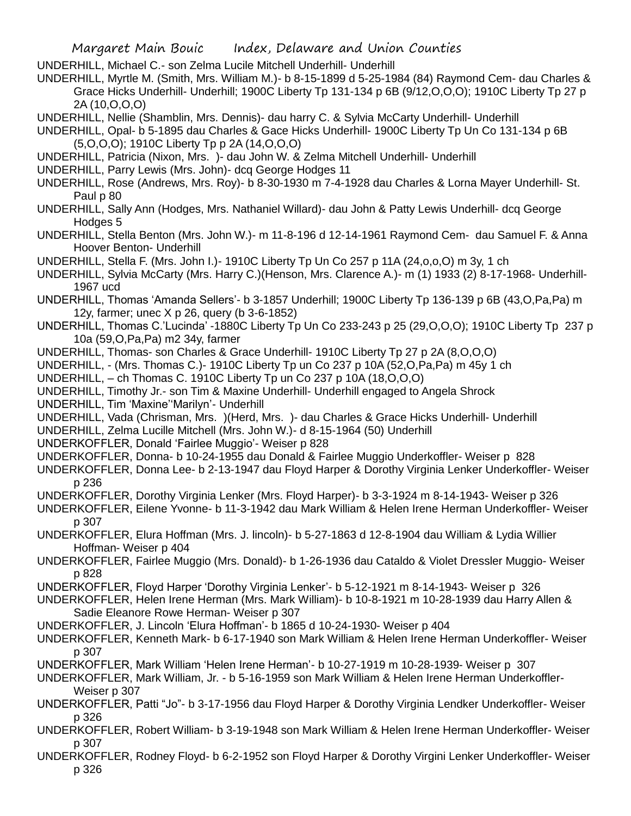- UNDERHILL, Michael C.- son Zelma Lucile Mitchell Underhill- Underhill
- UNDERHILL, Myrtle M. (Smith, Mrs. William M.)- b 8-15-1899 d 5-25-1984 (84) Raymond Cem- dau Charles & Grace Hicks Underhill- Underhill; 1900C Liberty Tp 131-134 p 6B (9/12,O,O,O); 1910C Liberty Tp 27 p 2A (10,O,O,O)
- UNDERHILL, Nellie (Shamblin, Mrs. Dennis)- dau harry C. & Sylvia McCarty Underhill- Underhill
- UNDERHILL, Opal- b 5-1895 dau Charles & Gace Hicks Underhill- 1900C Liberty Tp Un Co 131-134 p 6B (5,O,O,O); 1910C Liberty Tp p 2A (14,O,O,O)
- UNDERHILL, Patricia (Nixon, Mrs. )- dau John W. & Zelma Mitchell Underhill- Underhill
- UNDERHILL, Parry Lewis (Mrs. John)- dcq George Hodges 11
- UNDERHILL, Rose (Andrews, Mrs. Roy)- b 8-30-1930 m 7-4-1928 dau Charles & Lorna Mayer Underhill- St. Paul p 80
- UNDERHILL, Sally Ann (Hodges, Mrs. Nathaniel Willard)- dau John & Patty Lewis Underhill- dcq George Hodges 5
- UNDERHILL, Stella Benton (Mrs. John W.)- m 11-8-196 d 12-14-1961 Raymond Cem- dau Samuel F. & Anna Hoover Benton- Underhill
- UNDERHILL, Stella F. (Mrs. John I.)- 1910C Liberty Tp Un Co 257 p 11A (24,o,o,O) m 3y, 1 ch
- UNDERHILL, Sylvia McCarty (Mrs. Harry C.)(Henson, Mrs. Clarence A.)- m (1) 1933 (2) 8-17-1968- Underhill-1967 ucd
- UNDERHILL, Thomas 'Amanda Sellers'- b 3-1857 Underhill; 1900C Liberty Tp 136-139 p 6B (43,O,Pa,Pa) m 12y, farmer; unec X p 26, query (b 3-6-1852)
- UNDERHILL, Thomas C.'Lucinda' -1880C Liberty Tp Un Co 233-243 p 25 (29,O,O,O); 1910C Liberty Tp 237 p 10a (59,O,Pa,Pa) m2 34y, farmer
- UNDERHILL, Thomas- son Charles & Grace Underhill- 1910C Liberty Tp 27 p 2A (8,O,O,O)
- UNDERHILL, (Mrs. Thomas C.)- 1910C Liberty Tp un Co 237 p 10A (52,O,Pa,Pa) m 45y 1 ch
- UNDERHILL, ch Thomas C. 1910C Liberty Tp un Co 237 p 10A (18,O,O,O)
- UNDERHILL, Timothy Jr.- son Tim & Maxine Underhill- Underhill engaged to Angela Shrock
- UNDERHILL, Tim 'Maxine''Marilyn'- Underhill
- UNDERHILL, Vada (Chrisman, Mrs. )(Herd, Mrs. )- dau Charles & Grace Hicks Underhill- Underhill
- UNDERHILL, Zelma Lucille Mitchell (Mrs. John W.)- d 8-15-1964 (50) Underhill
- UNDERKOFFLER, Donald 'Fairlee Muggio'- Weiser p 828
- UNDERKOFFLER, Donna- b 10-24-1955 dau Donald & Fairlee Muggio Underkoffler- Weiser p 828
- UNDERKOFFLER, Donna Lee- b 2-13-1947 dau Floyd Harper & Dorothy Virginia Lenker Underkoffler- Weiser p 236
- UNDERKOFFLER, Dorothy Virginia Lenker (Mrs. Floyd Harper)- b 3-3-1924 m 8-14-1943- Weiser p 326
- UNDERKOFFLER, Eilene Yvonne- b 11-3-1942 dau Mark William & Helen Irene Herman Underkoffler- Weiser p 307
- UNDERKOFFLER, Elura Hoffman (Mrs. J. lincoln)- b 5-27-1863 d 12-8-1904 dau William & Lydia Willier Hoffman- Weiser p 404
- UNDERKOFFLER, Fairlee Muggio (Mrs. Donald)- b 1-26-1936 dau Cataldo & Violet Dressler Muggio- Weiser p 828
- UNDERKOFFLER, Floyd Harper 'Dorothy Virginia Lenker'- b 5-12-1921 m 8-14-1943- Weiser p 326
- UNDERKOFFLER, Helen Irene Herman (Mrs. Mark William)- b 10-8-1921 m 10-28-1939 dau Harry Allen & Sadie Eleanore Rowe Herman- Weiser p 307
- UNDERKOFFLER, J. Lincoln 'Elura Hoffman'- b 1865 d 10-24-1930- Weiser p 404
- UNDERKOFFLER, Kenneth Mark- b 6-17-1940 son Mark William & Helen Irene Herman Underkoffler- Weiser p 307
- UNDERKOFFLER, Mark William 'Helen Irene Herman'- b 10-27-1919 m 10-28-1939- Weiser p 307
- UNDERKOFFLER, Mark William, Jr. b 5-16-1959 son Mark William & Helen Irene Herman Underkoffler-Weiser p 307
- UNDERKOFFLER, Patti "Jo"- b 3-17-1956 dau Floyd Harper & Dorothy Virginia Lendker Underkoffler- Weiser p 326
- UNDERKOFFLER, Robert William- b 3-19-1948 son Mark William & Helen Irene Herman Underkoffler- Weiser p 307
- UNDERKOFFLER, Rodney Floyd- b 6-2-1952 son Floyd Harper & Dorothy Virgini Lenker Underkoffler- Weiser p 326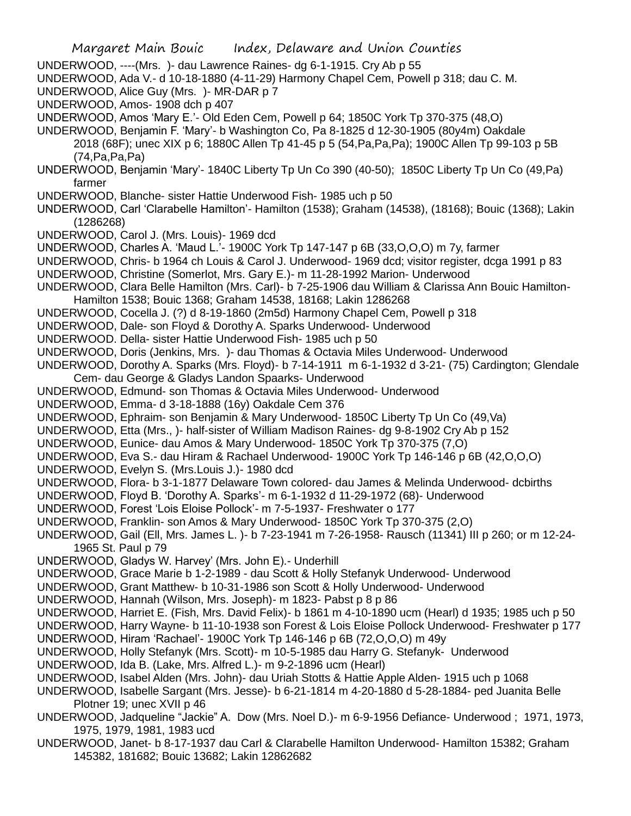- UNDERWOOD, ----(Mrs. )- dau Lawrence Raines- dg 6-1-1915. Cry Ab p 55
- UNDERWOOD, Ada V.- d 10-18-1880 (4-11-29) Harmony Chapel Cem, Powell p 318; dau C. M.
- UNDERWOOD, Alice Guy (Mrs. )- MR-DAR p 7
- UNDERWOOD, Amos- 1908 dch p 407
- UNDERWOOD, Amos 'Mary E.'- Old Eden Cem, Powell p 64; 1850C York Tp 370-375 (48,O)
- UNDERWOOD, Benjamin F. 'Mary'- b Washington Co, Pa 8-1825 d 12-30-1905 (80y4m) Oakdale 2018 (68F); unec XIX p 6; 1880C Allen Tp 41-45 p 5 (54,Pa,Pa,Pa); 1900C Allen Tp 99-103 p 5B (74,Pa,Pa,Pa)
- UNDERWOOD, Benjamin 'Mary'- 1840C Liberty Tp Un Co 390 (40-50); 1850C Liberty Tp Un Co (49,Pa) farmer
- UNDERWOOD, Blanche- sister Hattie Underwood Fish- 1985 uch p 50
- UNDERWOOD, Carl 'Clarabelle Hamilton'- Hamilton (1538); Graham (14538), (18168); Bouic (1368); Lakin (1286268)
- UNDERWOOD, Carol J. (Mrs. Louis)- 1969 dcd
- UNDERWOOD, Charles A. 'Maud L.'- 1900C York Tp 147-147 p 6B (33,O,O,O) m 7y, farmer
- UNDERWOOD, Chris- b 1964 ch Louis & Carol J. Underwood- 1969 dcd; visitor register, dcga 1991 p 83
- UNDERWOOD, Christine (Somerlot, Mrs. Gary E.)- m 11-28-1992 Marion- Underwood
- UNDERWOOD, Clara Belle Hamilton (Mrs. Carl)- b 7-25-1906 dau William & Clarissa Ann Bouic Hamilton-Hamilton 1538; Bouic 1368; Graham 14538, 18168; Lakin 1286268
- UNDERWOOD, Cocella J. (?) d 8-19-1860 (2m5d) Harmony Chapel Cem, Powell p 318
- UNDERWOOD, Dale- son Floyd & Dorothy A. Sparks Underwood- Underwood
- UNDERWOOD. Della- sister Hattie Underwood Fish- 1985 uch p 50
- UNDERWOOD, Doris (Jenkins, Mrs. )- dau Thomas & Octavia Miles Underwood- Underwood
- UNDERWOOD, Dorothy A. Sparks (Mrs. Floyd)- b 7-14-1911 m 6-1-1932 d 3-21- (75) Cardington; Glendale Cem- dau George & Gladys Landon Spaarks- Underwood
- UNDERWOOD, Edmund- son Thomas & Octavia Miles Underwood- Underwood
- UNDERWOOD, Emma- d 3-18-1888 (16y) Oakdale Cem 376
- UNDERWOOD, Ephraim- son Benjamin & Mary Underwood- 1850C Liberty Tp Un Co (49,Va)
- UNDERWOOD, Etta (Mrs., )- half-sister of William Madison Raines- dg 9-8-1902 Cry Ab p 152
- UNDERWOOD, Eunice- dau Amos & Mary Underwood- 1850C York Tp 370-375 (7,O)
- UNDERWOOD, Eva S.- dau Hiram & Rachael Underwood- 1900C York Tp 146-146 p 6B (42,O,O,O)
- UNDERWOOD, Evelyn S. (Mrs.Louis J.)- 1980 dcd
- UNDERWOOD, Flora- b 3-1-1877 Delaware Town colored- dau James & Melinda Underwood- dcbirths
- UNDERWOOD, Floyd B. 'Dorothy A. Sparks'- m 6-1-1932 d 11-29-1972 (68)- Underwood
- UNDERWOOD, Forest 'Lois Eloise Pollock'- m 7-5-1937- Freshwater o 177
- UNDERWOOD, Franklin- son Amos & Mary Underwood- 1850C York Tp 370-375 (2,O)
- UNDERWOOD, Gail (Ell, Mrs. James L. )- b 7-23-1941 m 7-26-1958- Rausch (11341) III p 260; or m 12-24- 1965 St. Paul p 79
- UNDERWOOD, Gladys W. Harvey' (Mrs. John E).- Underhill
- UNDERWOOD, Grace Marie b 1-2-1989 dau Scott & Holly Stefanyk Underwood- Underwood
- UNDERWOOD, Grant Matthew- b 10-31-1986 son Scott & Holly Underwood- Underwood
- UNDERWOOD, Hannah (Wilson, Mrs. Joseph)- m 1823- Pabst p 8 p 86
- UNDERWOOD, Harriet E. (Fish, Mrs. David Felix)- b 1861 m 4-10-1890 ucm (Hearl) d 1935; 1985 uch p 50
- UNDERWOOD, Harry Wayne- b 11-10-1938 son Forest & Lois Eloise Pollock Underwood- Freshwater p 177
- UNDERWOOD, Hiram 'Rachael'- 1900C York Tp 146-146 p 6B (72,O,O,O) m 49y
- UNDERWOOD, Holly Stefanyk (Mrs. Scott)- m 10-5-1985 dau Harry G. Stefanyk- Underwood
- UNDERWOOD, Ida B. (Lake, Mrs. Alfred L.)- m 9-2-1896 ucm (Hearl)
- UNDERWOOD, Isabel Alden (Mrs. John)- dau Uriah Stotts & Hattie Apple Alden- 1915 uch p 1068
- UNDERWOOD, Isabelle Sargant (Mrs. Jesse)- b 6-21-1814 m 4-20-1880 d 5-28-1884- ped Juanita Belle Plotner 19; unec XVII p 46
- UNDERWOOD, Jadqueline "Jackie" A. Dow (Mrs. Noel D.)- m 6-9-1956 Defiance- Underwood ; 1971, 1973, 1975, 1979, 1981, 1983 ucd
- UNDERWOOD, Janet- b 8-17-1937 dau Carl & Clarabelle Hamilton Underwood- Hamilton 15382; Graham 145382, 181682; Bouic 13682; Lakin 12862682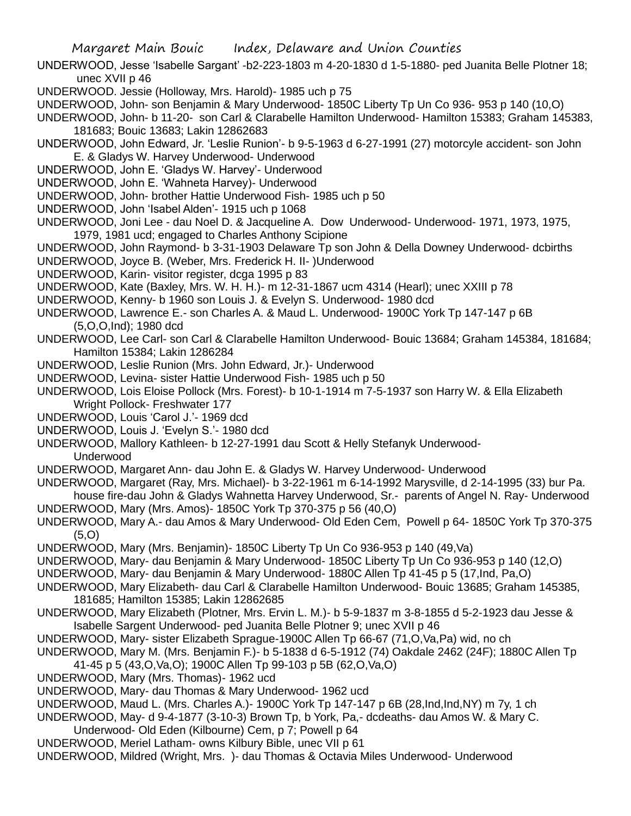UNDERWOOD, Jesse 'Isabelle Sargant' -b2-223-1803 m 4-20-1830 d 1-5-1880- ped Juanita Belle Plotner 18; unec XVII p 46

- UNDERWOOD. Jessie (Holloway, Mrs. Harold)- 1985 uch p 75
- UNDERWOOD, John- son Benjamin & Mary Underwood- 1850C Liberty Tp Un Co 936- 953 p 140 (10,O)

UNDERWOOD, John- b 11-20- son Carl & Clarabelle Hamilton Underwood- Hamilton 15383; Graham 145383, 181683; Bouic 13683; Lakin 12862683

UNDERWOOD, John Edward, Jr. 'Leslie Runion'- b 9-5-1963 d 6-27-1991 (27) motorcyle accident- son John E. & Gladys W. Harvey Underwood- Underwood

UNDERWOOD, John E. 'Gladys W. Harvey'- Underwood

UNDERWOOD, John E. 'Wahneta Harvey)- Underwood

UNDERWOOD, John- brother Hattie Underwood Fish- 1985 uch p 50

- UNDERWOOD, John 'Isabel Alden'- 1915 uch p 1068
- UNDERWOOD, Joni Lee dau Noel D. & Jacqueline A. Dow Underwood- Underwood- 1971, 1973, 1975, 1979, 1981 ucd; engaged to Charles Anthony Scipione

UNDERWOOD, John Raymond- b 3-31-1903 Delaware Tp son John & Della Downey Underwood- dcbirths

UNDERWOOD, Joyce B. (Weber, Mrs. Frederick H. II- )Underwood

UNDERWOOD, Karin- visitor register, dcga 1995 p 83

UNDERWOOD, Kate (Baxley, Mrs. W. H. H.)- m 12-31-1867 ucm 4314 (Hearl); unec XXIII p 78

UNDERWOOD, Kenny- b 1960 son Louis J. & Evelyn S. Underwood- 1980 dcd

- UNDERWOOD, Lawrence E.- son Charles A. & Maud L. Underwood- 1900C York Tp 147-147 p 6B (5,O,O,Ind); 1980 dcd
- UNDERWOOD, Lee Carl- son Carl & Clarabelle Hamilton Underwood- Bouic 13684; Graham 145384, 181684; Hamilton 15384; Lakin 1286284
- UNDERWOOD, Leslie Runion (Mrs. John Edward, Jr.)- Underwood
- UNDERWOOD, Levina- sister Hattie Underwood Fish- 1985 uch p 50
- UNDERWOOD, Lois Eloise Pollock (Mrs. Forest)- b 10-1-1914 m 7-5-1937 son Harry W. & Ella Elizabeth Wright Pollock- Freshwater 177
- UNDERWOOD, Louis 'Carol J.'- 1969 dcd
- UNDERWOOD, Louis J. 'Evelyn S.'- 1980 dcd
- UNDERWOOD, Mallory Kathleen- b 12-27-1991 dau Scott & Helly Stefanyk Underwood-Underwood
- UNDERWOOD, Margaret Ann- dau John E. & Gladys W. Harvey Underwood- Underwood
- UNDERWOOD, Margaret (Ray, Mrs. Michael)- b 3-22-1961 m 6-14-1992 Marysville, d 2-14-1995 (33) bur Pa.

house fire-dau John & Gladys Wahnetta Harvey Underwood, Sr.- parents of Angel N. Ray- Underwood UNDERWOOD, Mary (Mrs. Amos)- 1850C York Tp 370-375 p 56 (40,O)

UNDERWOOD, Mary A.- dau Amos & Mary Underwood- Old Eden Cem, Powell p 64- 1850C York Tp 370-375 (5,O)

- UNDERWOOD, Mary (Mrs. Benjamin)- 1850C Liberty Tp Un Co 936-953 p 140 (49,Va)
- UNDERWOOD, Mary- dau Benjamin & Mary Underwood- 1850C Liberty Tp Un Co 936-953 p 140 (12,O)

UNDERWOOD, Mary- dau Benjamin & Mary Underwood- 1880C Allen Tp 41-45 p 5 (17,Ind, Pa,O)

- UNDERWOOD, Mary Elizabeth- dau Carl & Clarabelle Hamilton Underwood- Bouic 13685; Graham 145385, 181685; Hamilton 15385; Lakin 12862685
- UNDERWOOD, Mary Elizabeth (Plotner, Mrs. Ervin L. M.)- b 5-9-1837 m 3-8-1855 d 5-2-1923 dau Jesse & Isabelle Sargent Underwood- ped Juanita Belle Plotner 9; unec XVII p 46

UNDERWOOD, Mary- sister Elizabeth Sprague-1900C Allen Tp 66-67 (71,O,Va,Pa) wid, no ch

- UNDERWOOD, Mary M. (Mrs. Benjamin F.)- b 5-1838 d 6-5-1912 (74) Oakdale 2462 (24F); 1880C Allen Tp 41-45 p 5 (43,O,Va,O); 1900C Allen Tp 99-103 p 5B (62,O,Va,O)
- UNDERWOOD, Mary (Mrs. Thomas)- 1962 ucd
- UNDERWOOD, Mary- dau Thomas & Mary Underwood- 1962 ucd

UNDERWOOD, Maud L. (Mrs. Charles A.)- 1900C York Tp 147-147 p 6B (28,Ind,Ind,NY) m 7y, 1 ch

- UNDERWOOD, May- d 9-4-1877 (3-10-3) Brown Tp, b York, Pa,- dcdeaths- dau Amos W. & Mary C.
- Underwood- Old Eden (Kilbourne) Cem, p 7; Powell p 64
- UNDERWOOD, Meriel Latham- owns Kilbury Bible, unec VII p 61
- UNDERWOOD, Mildred (Wright, Mrs. )- dau Thomas & Octavia Miles Underwood- Underwood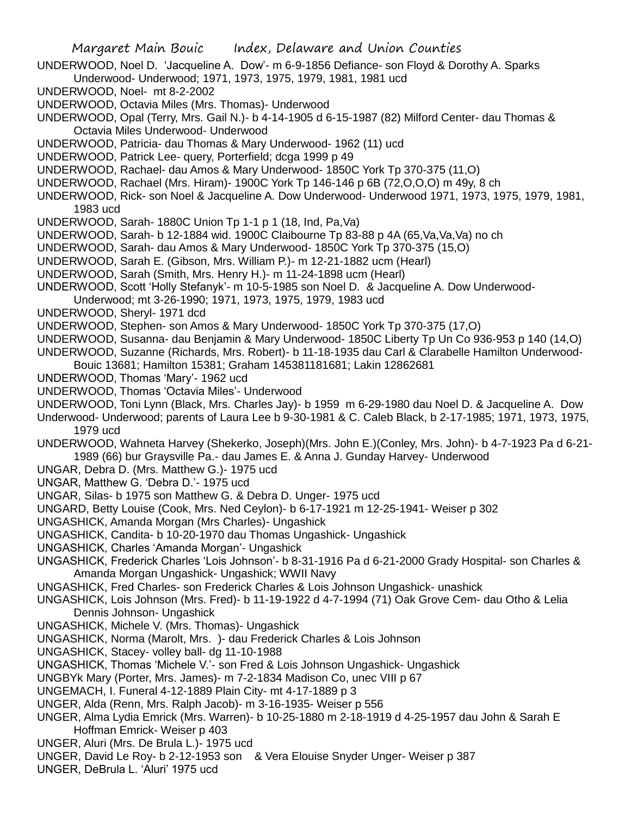UNDERWOOD, Noel D. 'Jacqueline A. Dow'- m 6-9-1856 Defiance- son Floyd & Dorothy A. Sparks Underwood- Underwood; 1971, 1973, 1975, 1979, 1981, 1981 ucd

UNDERWOOD, Noel- mt 8-2-2002

UNDERWOOD, Octavia Miles (Mrs. Thomas)- Underwood

UNDERWOOD, Opal (Terry, Mrs. Gail N.)- b 4-14-1905 d 6-15-1987 (82) Milford Center- dau Thomas & Octavia Miles Underwood- Underwood

UNDERWOOD, Patricia- dau Thomas & Mary Underwood- 1962 (11) ucd

UNDERWOOD, Patrick Lee- query, Porterfield; dcga 1999 p 49

UNDERWOOD, Rachael- dau Amos & Mary Underwood- 1850C York Tp 370-375 (11,O)

UNDERWOOD, Rachael (Mrs. Hiram)- 1900C York Tp 146-146 p 6B (72,O,O,O) m 49y, 8 ch

UNDERWOOD, Rick- son Noel & Jacqueline A. Dow Underwood- Underwood 1971, 1973, 1975, 1979, 1981, 1983 ucd

UNDERWOOD, Sarah- 1880C Union Tp 1-1 p 1 (18, Ind, Pa,Va)

UNDERWOOD, Sarah- b 12-1884 wid. 1900C Claibourne Tp 83-88 p 4A (65,Va,Va,Va) no ch

UNDERWOOD, Sarah- dau Amos & Mary Underwood- 1850C York Tp 370-375 (15,O)

UNDERWOOD, Sarah E. (Gibson, Mrs. William P.)- m 12-21-1882 ucm (Hearl)

UNDERWOOD, Sarah (Smith, Mrs. Henry H.)- m 11-24-1898 ucm (Hearl)

UNDERWOOD, Scott 'Holly Stefanyk'- m 10-5-1985 son Noel D. & Jacqueline A. Dow Underwood-

Underwood; mt 3-26-1990; 1971, 1973, 1975, 1979, 1983 ucd

UNDERWOOD, Sheryl- 1971 dcd

UNDERWOOD, Stephen- son Amos & Mary Underwood- 1850C York Tp 370-375 (17,O)

UNDERWOOD, Susanna- dau Benjamin & Mary Underwood- 1850C Liberty Tp Un Co 936-953 p 140 (14,O)

UNDERWOOD, Suzanne (Richards, Mrs. Robert)- b 11-18-1935 dau Carl & Clarabelle Hamilton Underwood-

Bouic 13681; Hamilton 15381; Graham 145381181681; Lakin 12862681

UNDERWOOD, Thomas 'Mary'- 1962 ucd

UNDERWOOD, Thomas 'Octavia Miles'- Underwood

UNDERWOOD, Toni Lynn (Black, Mrs. Charles Jay)- b 1959 m 6-29-1980 dau Noel D. & Jacqueline A. Dow

Underwood- Underwood; parents of Laura Lee b 9-30-1981 & C. Caleb Black, b 2-17-1985; 1971, 1973, 1975, 1979 ucd

UNDERWOOD, Wahneta Harvey (Shekerko, Joseph)(Mrs. John E.)(Conley, Mrs. John)- b 4-7-1923 Pa d 6-21- 1989 (66) bur Graysville Pa.- dau James E. & Anna J. Gunday Harvey- Underwood

UNGAR, Debra D. (Mrs. Matthew G.)- 1975 ucd

UNGAR, Matthew G. 'Debra D.'- 1975 ucd

UNGAR, Silas- b 1975 son Matthew G. & Debra D. Unger- 1975 ucd

UNGARD, Betty Louise (Cook, Mrs. Ned Ceylon)- b 6-17-1921 m 12-25-1941- Weiser p 302

UNGASHICK, Amanda Morgan (Mrs Charles)- Ungashick

UNGASHICK, Candita- b 10-20-1970 dau Thomas Ungashick- Ungashick

UNGASHICK, Charles 'Amanda Morgan'- Ungashick

UNGASHICK, Frederick Charles 'Lois Johnson'- b 8-31-1916 Pa d 6-21-2000 Grady Hospital- son Charles & Amanda Morgan Ungashick- Ungashick; WWII Navy

UNGASHICK, Fred Charles- son Frederick Charles & Lois Johnson Ungashick- unashick

UNGASHICK, Lois Johnson (Mrs. Fred)- b 11-19-1922 d 4-7-1994 (71) Oak Grove Cem- dau Otho & Lelia Dennis Johnson- Ungashick

UNGASHICK, Michele V. (Mrs. Thomas)- Ungashick

UNGASHICK, Norma (Marolt, Mrs. )- dau Frederick Charles & Lois Johnson

UNGASHICK, Stacey- volley ball- dg 11-10-1988

UNGASHICK, Thomas 'Michele V.'- son Fred & Lois Johnson Ungashick- Ungashick

UNGBYk Mary (Porter, Mrs. James)- m 7-2-1834 Madison Co, unec VIII p 67

UNGEMACH, I. Funeral 4-12-1889 Plain City- mt 4-17-1889 p 3

UNGER, Alda (Renn, Mrs. Ralph Jacob)- m 3-16-1935- Weiser p 556

UNGER, Alma Lydia Emrick (Mrs. Warren)- b 10-25-1880 m 2-18-1919 d 4-25-1957 dau John & Sarah E Hoffman Emrick- Weiser p 403

UNGER, Aluri (Mrs. De Brula L.)- 1975 ucd

UNGER, David Le Roy- b 2-12-1953 son & Vera Elouise Snyder Unger- Weiser p 387

UNGER, DeBrula L. 'Aluri' 1975 ucd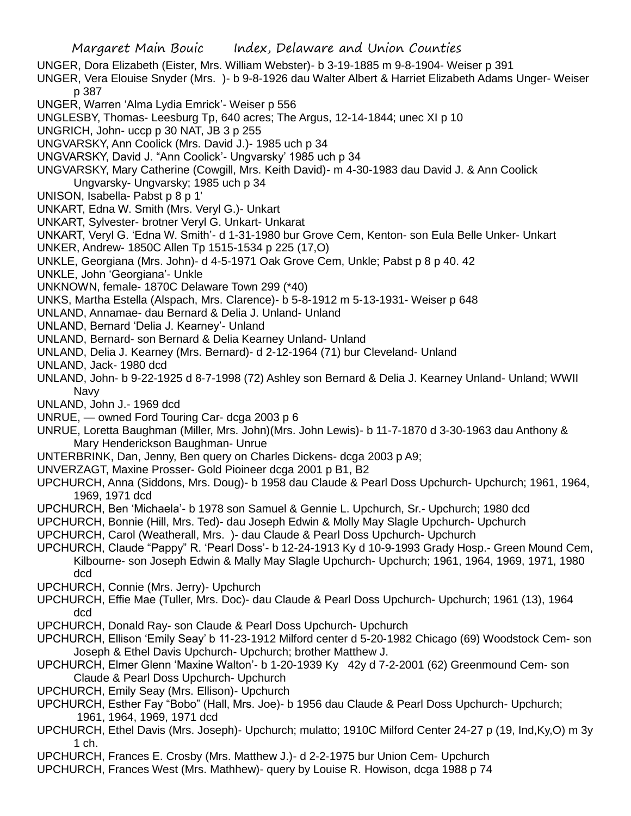Margaret Main Bouic Index, Delaware and Union Counties UNGER, Dora Elizabeth (Eister, Mrs. William Webster)- b 3-19-1885 m 9-8-1904- Weiser p 391 UNGER, Vera Elouise Snyder (Mrs. )- b 9-8-1926 dau Walter Albert & Harriet Elizabeth Adams Unger- Weiser p 387 UNGER, Warren 'Alma Lydia Emrick'- Weiser p 556 UNGLESBY, Thomas- Leesburg Tp, 640 acres; The Argus, 12-14-1844; unec XI p 10 UNGRICH, John- uccp p 30 NAT, JB 3 p 255 UNGVARSKY, Ann Coolick (Mrs. David J.)- 1985 uch p 34 UNGVARSKY, David J. "Ann Coolick'- Ungvarsky' 1985 uch p 34 UNGVARSKY, Mary Catherine (Cowgill, Mrs. Keith David)- m 4-30-1983 dau David J. & Ann Coolick Ungvarsky- Ungvarsky; 1985 uch p 34 UNISON, Isabella- Pabst p 8 p 1' UNKART, Edna W. Smith (Mrs. Veryl G.)- Unkart UNKART, Sylvester- brotner Veryl G. Unkart- Unkarat UNKART, Veryl G. 'Edna W. Smith'- d 1-31-1980 bur Grove Cem, Kenton- son Eula Belle Unker- Unkart UNKER, Andrew- 1850C Allen Tp 1515-1534 p 225 (17,O) UNKLE, Georgiana (Mrs. John)- d 4-5-1971 Oak Grove Cem, Unkle; Pabst p 8 p 40. 42 UNKLE, John 'Georgiana'- Unkle UNKNOWN, female- 1870C Delaware Town 299 (\*40) UNKS, Martha Estella (Alspach, Mrs. Clarence)- b 5-8-1912 m 5-13-1931- Weiser p 648 UNLAND, Annamae- dau Bernard & Delia J. Unland- Unland UNLAND, Bernard 'Delia J. Kearney'- Unland UNLAND, Bernard- son Bernard & Delia Kearney Unland- Unland UNLAND, Delia J. Kearney (Mrs. Bernard)- d 2-12-1964 (71) bur Cleveland- Unland UNLAND, Jack- 1980 dcd UNLAND, John- b 9-22-1925 d 8-7-1998 (72) Ashley son Bernard & Delia J. Kearney Unland- Unland; WWII Navy UNLAND, John J.- 1969 dcd UNRUE, — owned Ford Touring Car- dcga 2003 p 6 UNRUE, Loretta Baughman (Miller, Mrs. John)(Mrs. John Lewis)- b 11-7-1870 d 3-30-1963 dau Anthony & Mary Henderickson Baughman- Unrue UNTERBRINK, Dan, Jenny, Ben query on Charles Dickens- dcga 2003 p A9; UNVERZAGT, Maxine Prosser- Gold Pioineer dcga 2001 p B1, B2 UPCHURCH, Anna (Siddons, Mrs. Doug)- b 1958 dau Claude & Pearl Doss Upchurch- Upchurch; 1961, 1964, 1969, 1971 dcd UPCHURCH, Ben 'Michaela'- b 1978 son Samuel & Gennie L. Upchurch, Sr.- Upchurch; 1980 dcd UPCHURCH, Bonnie (Hill, Mrs. Ted)- dau Joseph Edwin & Molly May Slagle Upchurch- Upchurch UPCHURCH, Carol (Weatherall, Mrs. )- dau Claude & Pearl Doss Upchurch- Upchurch UPCHURCH, Claude "Pappy" R. 'Pearl Doss'- b 12-24-1913 Ky d 10-9-1993 Grady Hosp.- Green Mound Cem, Kilbourne- son Joseph Edwin & Mally May Slagle Upchurch- Upchurch; 1961, 1964, 1969, 1971, 1980

UPCHURCH, Connie (Mrs. Jerry)- Upchurch

dcd

- UPCHURCH, Effie Mae (Tuller, Mrs. Doc)- dau Claude & Pearl Doss Upchurch- Upchurch; 1961 (13), 1964 dcd
- UPCHURCH, Donald Ray- son Claude & Pearl Doss Upchurch- Upchurch
- UPCHURCH, Ellison 'Emily Seay' b 11-23-1912 Milford center d 5-20-1982 Chicago (69) Woodstock Cem- son Joseph & Ethel Davis Upchurch- Upchurch; brother Matthew J.
- UPCHURCH, Elmer Glenn 'Maxine Walton'- b 1-20-1939 Ky 42y d 7-2-2001 (62) Greenmound Cem- son Claude & Pearl Doss Upchurch- Upchurch
- UPCHURCH, Emily Seay (Mrs. Ellison)- Upchurch
- UPCHURCH, Esther Fay "Bobo" (Hall, Mrs. Joe)- b 1956 dau Claude & Pearl Doss Upchurch- Upchurch; 1961, 1964, 1969, 1971 dcd
- UPCHURCH, Ethel Davis (Mrs. Joseph)- Upchurch; mulatto; 1910C Milford Center 24-27 p (19, Ind,Ky,O) m 3y 1 ch.
- UPCHURCH, Frances E. Crosby (Mrs. Matthew J.)- d 2-2-1975 bur Union Cem- Upchurch
- UPCHURCH, Frances West (Mrs. Mathhew)- query by Louise R. Howison, dcga 1988 p 74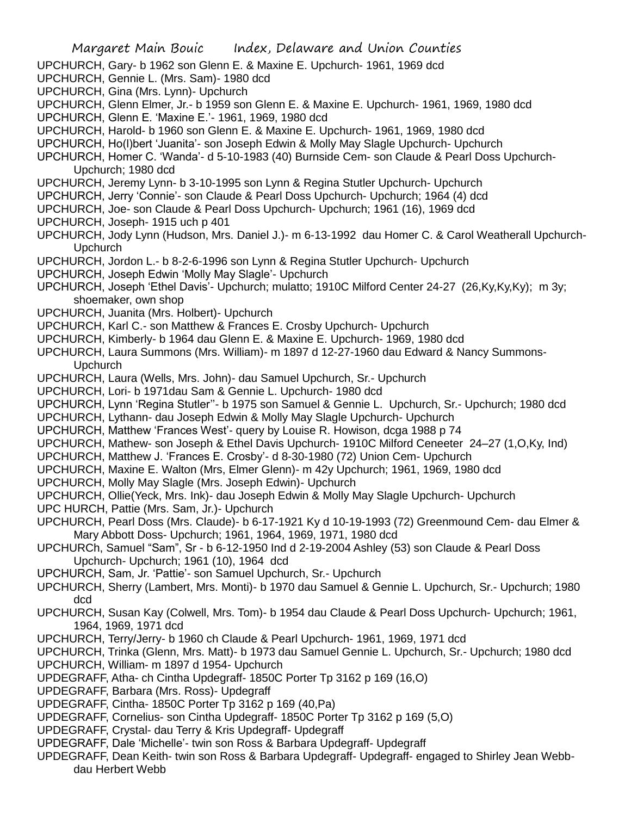UPCHURCH, Gary- b 1962 son Glenn E. & Maxine E. Upchurch- 1961, 1969 dcd

- UPCHURCH, Gennie L. (Mrs. Sam)- 1980 dcd
- UPCHURCH, Gina (Mrs. Lynn)- Upchurch
- UPCHURCH, Glenn Elmer, Jr.- b 1959 son Glenn E. & Maxine E. Upchurch- 1961, 1969, 1980 dcd
- UPCHURCH, Glenn E. 'Maxine E.'- 1961, 1969, 1980 dcd
- UPCHURCH, Harold- b 1960 son Glenn E. & Maxine E. Upchurch- 1961, 1969, 1980 dcd
- UPCHURCH, Ho(l)bert 'Juanita'- son Joseph Edwin & Molly May Slagle Upchurch- Upchurch
- UPCHURCH, Homer C. 'Wanda'- d 5-10-1983 (40) Burnside Cem- son Claude & Pearl Doss Upchurch-Upchurch; 1980 dcd
- UPCHURCH, Jeremy Lynn- b 3-10-1995 son Lynn & Regina Stutler Upchurch- Upchurch
- UPCHURCH, Jerry 'Connie'- son Claude & Pearl Doss Upchurch- Upchurch; 1964 (4) dcd
- UPCHURCH, Joe- son Claude & Pearl Doss Upchurch- Upchurch; 1961 (16), 1969 dcd
- UPCHURCH, Joseph- 1915 uch p 401
- UPCHURCH, Jody Lynn (Hudson, Mrs. Daniel J.)- m 6-13-1992 dau Homer C. & Carol Weatherall Upchurch-Upchurch
- UPCHURCH, Jordon L.- b 8-2-6-1996 son Lynn & Regina Stutler Upchurch- Upchurch
- UPCHURCH, Joseph Edwin 'Molly May Slagle'- Upchurch
- UPCHURCH, Joseph 'Ethel Davis'- Upchurch; mulatto; 1910C Milford Center 24-27 (26,Ky,Ky,Ky); m 3y; shoemaker, own shop
- UPCHURCH, Juanita (Mrs. Holbert)- Upchurch
- UPCHURCH, Karl C.- son Matthew & Frances E. Crosby Upchurch- Upchurch
- UPCHURCH, Kimberly- b 1964 dau Glenn E. & Maxine E. Upchurch- 1969, 1980 dcd
- UPCHURCH, Laura Summons (Mrs. William)- m 1897 d 12-27-1960 dau Edward & Nancy Summons-Upchurch
- UPCHURCH, Laura (Wells, Mrs. John)- dau Samuel Upchurch, Sr.- Upchurch
- UPCHURCH, Lori- b 1971dau Sam & Gennie L. Upchurch- 1980 dcd
- UPCHURCH, Lynn 'Regina Stutler''- b 1975 son Samuel & Gennie L. Upchurch, Sr.- Upchurch; 1980 dcd
- UPCHURCH, Lythann- dau Joseph Edwin & Molly May Slagle Upchurch- Upchurch
- UPCHURCH, Matthew 'Frances West'- query by Louise R. Howison, dcga 1988 p 74
- UPCHURCH, Mathew- son Joseph & Ethel Davis Upchurch- 1910C Milford Ceneeter 24–27 (1,O,Ky, Ind)
- UPCHURCH, Matthew J. 'Frances E. Crosby'- d 8-30-1980 (72) Union Cem- Upchurch
- UPCHURCH, Maxine E. Walton (Mrs, Elmer Glenn)- m 42y Upchurch; 1961, 1969, 1980 dcd
- UPCHURCH, Molly May Slagle (Mrs. Joseph Edwin)- Upchurch
- UPCHURCH, Ollie(Yeck, Mrs. Ink)- dau Joseph Edwin & Molly May Slagle Upchurch- Upchurch
- UPC HURCH, Pattie (Mrs. Sam, Jr.)- Upchurch
- UPCHURCH, Pearl Doss (Mrs. Claude)- b 6-17-1921 Ky d 10-19-1993 (72) Greenmound Cem- dau Elmer & Mary Abbott Doss- Upchurch; 1961, 1964, 1969, 1971, 1980 dcd
- UPCHURCh, Samuel "Sam", Sr b 6-12-1950 Ind d 2-19-2004 Ashley (53) son Claude & Pearl Doss Upchurch- Upchurch; 1961 (10), 1964 dcd
- UPCHURCH, Sam, Jr. 'Pattie'- son Samuel Upchurch, Sr.- Upchurch
- UPCHURCH, Sherry (Lambert, Mrs. Monti)- b 1970 dau Samuel & Gennie L. Upchurch, Sr.- Upchurch; 1980 dcd
- UPCHURCH, Susan Kay (Colwell, Mrs. Tom)- b 1954 dau Claude & Pearl Doss Upchurch- Upchurch; 1961, 1964, 1969, 1971 dcd
- UPCHURCH, Terry/Jerry- b 1960 ch Claude & Pearl Upchurch- 1961, 1969, 1971 dcd
- UPCHURCH, Trinka (Glenn, Mrs. Matt)- b 1973 dau Samuel Gennie L. Upchurch, Sr.- Upchurch; 1980 dcd
- UPCHURCH, William- m 1897 d 1954- Upchurch
- UPDEGRAFF, Atha- ch Cintha Updegraff- 1850C Porter Tp 3162 p 169 (16,O)
- UPDEGRAFF, Barbara (Mrs. Ross)- Updegraff
- UPDEGRAFF, Cintha- 1850C Porter Tp 3162 p 169 (40,Pa)
- UPDEGRAFF, Cornelius- son Cintha Updegraff- 1850C Porter Tp 3162 p 169 (5,O)
- UPDEGRAFF, Crystal- dau Terry & Kris Updegraff- Updegraff
- UPDEGRAFF, Dale 'Michelle'- twin son Ross & Barbara Updegraff- Updegraff
- UPDEGRAFF, Dean Keith- twin son Ross & Barbara Updegraff- Updegraff- engaged to Shirley Jean Webbdau Herbert Webb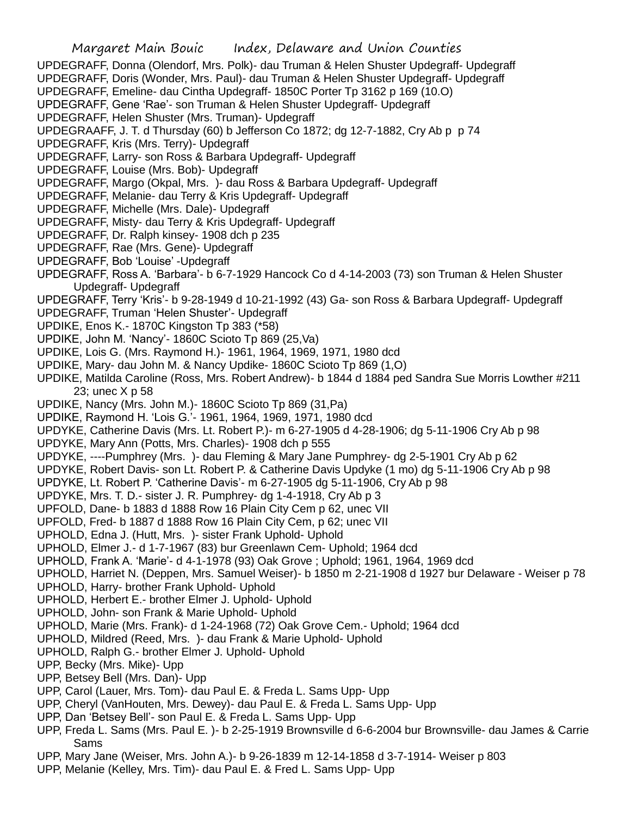UPDEGRAFF, Donna (Olendorf, Mrs. Polk)- dau Truman & Helen Shuster Updegraff- Updegraff

- UPDEGRAFF, Doris (Wonder, Mrs. Paul)- dau Truman & Helen Shuster Updegraff- Updegraff
- UPDEGRAFF, Emeline- dau Cintha Updegraff- 1850C Porter Tp 3162 p 169 (10.O)

UPDEGRAFF, Gene 'Rae'- son Truman & Helen Shuster Updegraff- Updegraff

UPDEGRAFF, Helen Shuster (Mrs. Truman)- Updegraff

UPDEGRAAFF, J. T. d Thursday (60) b Jefferson Co 1872; dg 12-7-1882, Cry Ab p p 74

- UPDEGRAFF, Kris (Mrs. Terry)- Updegraff
- UPDEGRAFF, Larry- son Ross & Barbara Updegraff- Updegraff
- UPDEGRAFF, Louise (Mrs. Bob)- Updegraff
- UPDEGRAFF, Margo (Okpal, Mrs. )- dau Ross & Barbara Updegraff- Updegraff
- UPDEGRAFF, Melanie- dau Terry & Kris Updegraff- Updegraff
- UPDEGRAFF, Michelle (Mrs. Dale)- Updegraff
- UPDEGRAFF, Misty- dau Terry & Kris Updegraff- Updegraff
- UPDEGRAFF, Dr. Ralph kinsey- 1908 dch p 235
- UPDEGRAFF, Rae (Mrs. Gene)- Updegraff
- UPDEGRAFF, Bob 'Louise' -Updegraff
- UPDEGRAFF, Ross A. 'Barbara'- b 6-7-1929 Hancock Co d 4-14-2003 (73) son Truman & Helen Shuster Updegraff- Updegraff

UPDEGRAFF, Terry 'Kris'- b 9-28-1949 d 10-21-1992 (43) Ga- son Ross & Barbara Updegraff- Updegraff

- UPDEGRAFF, Truman 'Helen Shuster'- Updegraff
- UPDIKE, Enos K.- 1870C Kingston Tp 383 (\*58)
- UPDIKE, John M. 'Nancy'- 1860C Scioto Tp 869 (25,Va)
- UPDIKE, Lois G. (Mrs. Raymond H.)- 1961, 1964, 1969, 1971, 1980 dcd
- UPDIKE, Mary- dau John M. & Nancy Updike- 1860C Scioto Tp 869 (1,O)
- UPDIKE, Matilda Caroline (Ross, Mrs. Robert Andrew)- b 1844 d 1884 ped Sandra Sue Morris Lowther #211 23; unec X p 58
- UPDIKE, Nancy (Mrs. John M.)- 1860C Scioto Tp 869 (31,Pa)
- UPDIKE, Raymond H. 'Lois G.'- 1961, 1964, 1969, 1971, 1980 dcd
- UPDYKE, Catherine Davis (Mrs. Lt. Robert P.)- m 6-27-1905 d 4-28-1906; dg 5-11-1906 Cry Ab p 98
- UPDYKE, Mary Ann (Potts, Mrs. Charles)- 1908 dch p 555
- UPDYKE, ----Pumphrey (Mrs. )- dau Fleming & Mary Jane Pumphrey- dg 2-5-1901 Cry Ab p 62
- UPDYKE, Robert Davis- son Lt. Robert P. & Catherine Davis Updyke (1 mo) dg 5-11-1906 Cry Ab p 98
- UPDYKE, Lt. Robert P. 'Catherine Davis'- m 6-27-1905 dg 5-11-1906, Cry Ab p 98
- UPDYKE, Mrs. T. D.- sister J. R. Pumphrey- dg 1-4-1918, Cry Ab p 3
- UPFOLD, Dane- b 1883 d 1888 Row 16 Plain City Cem p 62, unec VII
- UPFOLD, Fred- b 1887 d 1888 Row 16 Plain City Cem, p 62; unec VII
- UPHOLD, Edna J. (Hutt, Mrs. )- sister Frank Uphold- Uphold
- UPHOLD, Elmer J.- d 1-7-1967 (83) bur Greenlawn Cem- Uphold; 1964 dcd
- UPHOLD, Frank A. 'Marie'- d 4-1-1978 (93) Oak Grove ; Uphold; 1961, 1964, 1969 dcd
- UPHOLD, Harriet N. (Deppen, Mrs. Samuel Weiser)- b 1850 m 2-21-1908 d 1927 bur Delaware Weiser p 78
- UPHOLD, Harry- brother Frank Uphold- Uphold
- UPHOLD, Herbert E.- brother Elmer J. Uphold- Uphold
- UPHOLD, John- son Frank & Marie Uphold- Uphold
- UPHOLD, Marie (Mrs. Frank)- d 1-24-1968 (72) Oak Grove Cem.- Uphold; 1964 dcd
- UPHOLD, Mildred (Reed, Mrs. )- dau Frank & Marie Uphold- Uphold
- UPHOLD, Ralph G.- brother Elmer J. Uphold- Uphold
- UPP, Becky (Mrs. Mike)- Upp
- UPP, Betsey Bell (Mrs. Dan)- Upp
- UPP, Carol (Lauer, Mrs. Tom)- dau Paul E. & Freda L. Sams Upp- Upp
- UPP, Cheryl (VanHouten, Mrs. Dewey)- dau Paul E. & Freda L. Sams Upp- Upp
- UPP, Dan 'Betsey Bell'- son Paul E. & Freda L. Sams Upp- Upp
- UPP, Freda L. Sams (Mrs. Paul E. )- b 2-25-1919 Brownsville d 6-6-2004 bur Brownsville- dau James & Carrie Sams
- UPP, Mary Jane (Weiser, Mrs. John A.)- b 9-26-1839 m 12-14-1858 d 3-7-1914- Weiser p 803
- UPP, Melanie (Kelley, Mrs. Tim)- dau Paul E. & Fred L. Sams Upp- Upp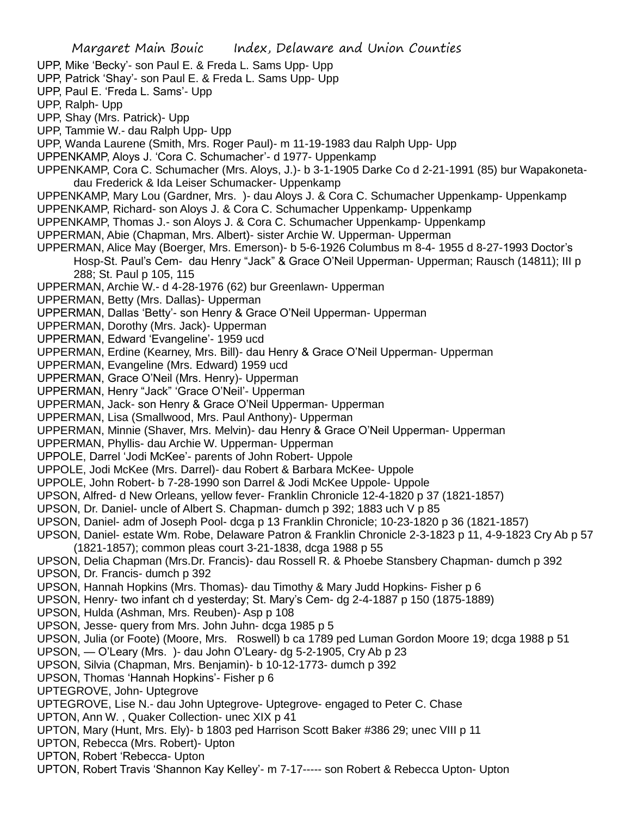UPP, Mike 'Becky'- son Paul E. & Freda L. Sams Upp- Upp

UPP, Patrick 'Shay'- son Paul E. & Freda L. Sams Upp- Upp

UPP, Paul E. 'Freda L. Sams'- Upp

UPP, Ralph- Upp

UPP, Shay (Mrs. Patrick)- Upp

UPP, Tammie W.- dau Ralph Upp- Upp

UPP, Wanda Laurene (Smith, Mrs. Roger Paul)- m 11-19-1983 dau Ralph Upp- Upp

UPPENKAMP, Aloys J. 'Cora C. Schumacher'- d 1977- Uppenkamp

UPPENKAMP, Cora C. Schumacher (Mrs. Aloys, J.)- b 3-1-1905 Darke Co d 2-21-1991 (85) bur Wapakonetadau Frederick & Ida Leiser Schumacker- Uppenkamp

UPPENKAMP, Mary Lou (Gardner, Mrs. )- dau Aloys J. & Cora C. Schumacher Uppenkamp- Uppenkamp

UPPENKAMP, Richard- son Aloys J. & Cora C. Schumacher Uppenkamp- Uppenkamp

UPPENKAMP, Thomas J.- son Aloys J. & Cora C. Schumacher Uppenkamp- Uppenkamp

UPPERMAN, Abie (Chapman, Mrs. Albert)- sister Archie W. Upperman- Upperman

UPPERMAN, Alice May (Boerger, Mrs. Emerson)- b 5-6-1926 Columbus m 8-4- 1955 d 8-27-1993 Doctor's Hosp-St. Paul's Cem- dau Henry "Jack" & Grace O'Neil Upperman- Upperman; Rausch (14811); III p 288; St. Paul p 105, 115

UPPERMAN, Archie W.- d 4-28-1976 (62) bur Greenlawn- Upperman

UPPERMAN, Betty (Mrs. Dallas)- Upperman

UPPERMAN, Dallas 'Betty'- son Henry & Grace O'Neil Upperman- Upperman

UPPERMAN, Dorothy (Mrs. Jack)- Upperman

UPPERMAN, Edward 'Evangeline'- 1959 ucd

UPPERMAN, Erdine (Kearney, Mrs. Bill)- dau Henry & Grace O'Neil Upperman- Upperman

UPPERMAN, Evangeline (Mrs. Edward) 1959 ucd

UPPERMAN, Grace O'Neil (Mrs. Henry)- Upperman

UPPERMAN, Henry "Jack" 'Grace O'Neil'- Upperman

UPPERMAN, Jack- son Henry & Grace O'Neil Upperman- Upperman

UPPERMAN, Lisa (Smallwood, Mrs. Paul Anthony)- Upperman

UPPERMAN, Minnie (Shaver, Mrs. Melvin)- dau Henry & Grace O'Neil Upperman- Upperman

UPPERMAN, Phyllis- dau Archie W. Upperman- Upperman

UPPOLE, Darrel 'Jodi McKee'- parents of John Robert- Uppole

UPPOLE, Jodi McKee (Mrs. Darrel)- dau Robert & Barbara McKee- Uppole

UPPOLE, John Robert- b 7-28-1990 son Darrel & Jodi McKee Uppole- Uppole

UPSON, Alfred- d New Orleans, yellow fever- Franklin Chronicle 12-4-1820 p 37 (1821-1857)

UPSON, Dr. Daniel- uncle of Albert S. Chapman- dumch p 392; 1883 uch V p 85

UPSON, Daniel- adm of Joseph Pool- dcga p 13 Franklin Chronicle; 10-23-1820 p 36 (1821-1857)

UPSON, Daniel- estate Wm. Robe, Delaware Patron & Franklin Chronicle 2-3-1823 p 11, 4-9-1823 Cry Ab p 57 (1821-1857); common pleas court 3-21-1838, dcga 1988 p 55

UPSON, Delia Chapman (Mrs.Dr. Francis)- dau Rossell R. & Phoebe Stansbery Chapman- dumch p 392

UPSON, Dr. Francis- dumch p 392

UPSON, Hannah Hopkins (Mrs. Thomas)- dau Timothy & Mary Judd Hopkins- Fisher p 6

UPSON, Henry- two infant ch d yesterday; St. Mary's Cem- dg 2-4-1887 p 150 (1875-1889)

UPSON, Hulda (Ashman, Mrs. Reuben)- Asp p 108

UPSON, Jesse- query from Mrs. John Juhn- dcga 1985 p 5

UPSON, Julia (or Foote) (Moore, Mrs. Roswell) b ca 1789 ped Luman Gordon Moore 19; dcga 1988 p 51

UPSON, — O'Leary (Mrs. )- dau John O'Leary- dg 5-2-1905, Cry Ab p 23

UPSON, Silvia (Chapman, Mrs. Benjamin)- b 10-12-1773- dumch p 392

UPSON, Thomas 'Hannah Hopkins'- Fisher p 6

UPTEGROVE, John- Uptegrove

UPTEGROVE, Lise N.- dau John Uptegrove- Uptegrove- engaged to Peter C. Chase

UPTON, Ann W. , Quaker Collection- unec XIX p 41

UPTON, Mary (Hunt, Mrs. Ely)- b 1803 ped Harrison Scott Baker #386 29; unec VIII p 11

UPTON, Rebecca (Mrs. Robert)- Upton

UPTON, Robert 'Rebecca- Upton

UPTON, Robert Travis 'Shannon Kay Kelley'- m 7-17----- son Robert & Rebecca Upton- Upton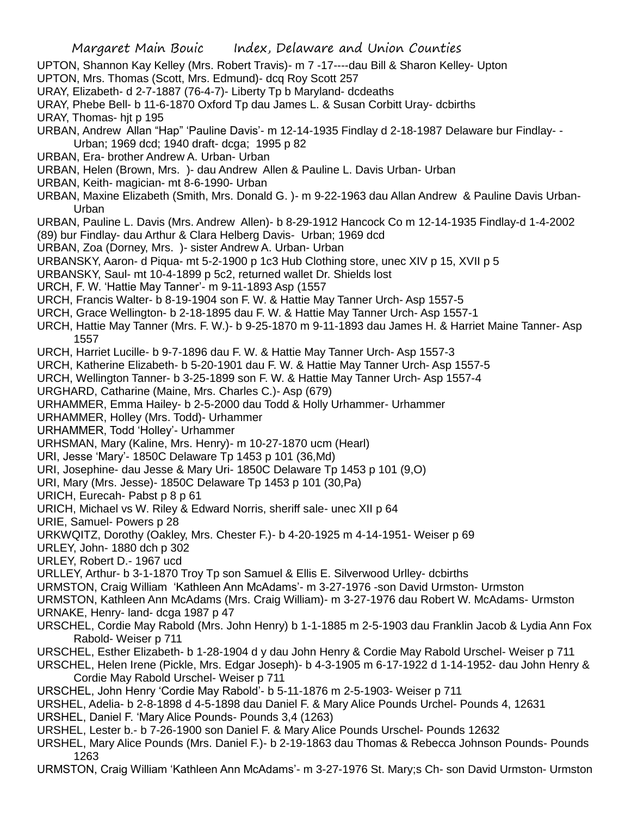- UPTON, Shannon Kay Kelley (Mrs. Robert Travis)- m 7 -17----dau Bill & Sharon Kelley- Upton
- UPTON, Mrs. Thomas (Scott, Mrs. Edmund)- dcq Roy Scott 257
- URAY, Elizabeth- d 2-7-1887 (76-4-7)- Liberty Tp b Maryland- dcdeaths
- URAY, Phebe Bell- b 11-6-1870 Oxford Tp dau James L. & Susan Corbitt Uray- dcbirths

URAY, Thomas- hit p 195

- URBAN, Andrew Allan "Hap" 'Pauline Davis'- m 12-14-1935 Findlay d 2-18-1987 Delaware bur Findlay- -
- Urban; 1969 dcd; 1940 draft- dcga; 1995 p 82
- URBAN, Era- brother Andrew A. Urban- Urban
- URBAN, Helen (Brown, Mrs. )- dau Andrew Allen & Pauline L. Davis Urban- Urban
- URBAN, Keith- magician- mt 8-6-1990- Urban
- URBAN, Maxine Elizabeth (Smith, Mrs. Donald G. )- m 9-22-1963 dau Allan Andrew & Pauline Davis Urban-Urban
- URBAN, Pauline L. Davis (Mrs. Andrew Allen)- b 8-29-1912 Hancock Co m 12-14-1935 Findlay-d 1-4-2002
- (89) bur Findlay- dau Arthur & Clara Helberg Davis- Urban; 1969 dcd
- URBAN, Zoa (Dorney, Mrs. )- sister Andrew A. Urban- Urban
- URBANSKY, Aaron- d Piqua- mt 5-2-1900 p 1c3 Hub Clothing store, unec XIV p 15, XVII p 5
- URBANSKY, Saul- mt 10-4-1899 p 5c2, returned wallet Dr. Shields lost
- URCH, F. W. 'Hattie May Tanner'- m 9-11-1893 Asp (1557
- URCH, Francis Walter- b 8-19-1904 son F. W. & Hattie May Tanner Urch- Asp 1557-5
- URCH, Grace Wellington- b 2-18-1895 dau F. W. & Hattie May Tanner Urch- Asp 1557-1
- URCH, Hattie May Tanner (Mrs. F. W.)- b 9-25-1870 m 9-11-1893 dau James H. & Harriet Maine Tanner- Asp 1557
- URCH, Harriet Lucille- b 9-7-1896 dau F. W. & Hattie May Tanner Urch- Asp 1557-3
- URCH, Katherine Elizabeth- b 5-20-1901 dau F. W. & Hattie May Tanner Urch- Asp 1557-5
- URCH, Wellington Tanner- b 3-25-1899 son F. W. & Hattie May Tanner Urch- Asp 1557-4
- URGHARD, Catharine (Maine, Mrs. Charles C.)- Asp (679)
- URHAMMER, Emma Hailey- b 2-5-2000 dau Todd & Holly Urhammer- Urhammer
- URHAMMER, Holley (Mrs. Todd)- Urhammer
- URHAMMER, Todd 'Holley'- Urhammer
- URHSMAN, Mary (Kaline, Mrs. Henry)- m 10-27-1870 ucm (Hearl)
- URI, Jesse 'Mary'- 1850C Delaware Tp 1453 p 101 (36,Md)
- URI, Josephine- dau Jesse & Mary Uri- 1850C Delaware Tp 1453 p 101 (9,O)
- URI, Mary (Mrs. Jesse)- 1850C Delaware Tp 1453 p 101 (30,Pa)
- URICH, Eurecah- Pabst p 8 p 61
- URICH, Michael vs W. Riley & Edward Norris, sheriff sale- unec XII p 64
- URIE, Samuel- Powers p 28
- URKWQITZ, Dorothy (Oakley, Mrs. Chester F.)- b 4-20-1925 m 4-14-1951- Weiser p 69
- URLEY, John- 1880 dch p 302
- URLEY, Robert D.- 1967 ucd
- URLLEY, Arthur- b 3-1-1870 Troy Tp son Samuel & Ellis E. Silverwood Urlley- dcbirths
- URMSTON, Craig William 'Kathleen Ann McAdams'- m 3-27-1976 -son David Urmston- Urmston
- URMSTON, Kathleen Ann McAdams (Mrs. Craig William)- m 3-27-1976 dau Robert W. McAdams- Urmston URNAKE, Henry- land- dcga 1987 p 47
- URSCHEL, Cordie May Rabold (Mrs. John Henry) b 1-1-1885 m 2-5-1903 dau Franklin Jacob & Lydia Ann Fox Rabold- Weiser p 711
- URSCHEL, Esther Elizabeth- b 1-28-1904 d y dau John Henry & Cordie May Rabold Urschel- Weiser p 711
- URSCHEL, Helen Irene (Pickle, Mrs. Edgar Joseph)- b 4-3-1905 m 6-17-1922 d 1-14-1952- dau John Henry & Cordie May Rabold Urschel- Weiser p 711
- URSCHEL, John Henry 'Cordie May Rabold'- b 5-11-1876 m 2-5-1903- Weiser p 711
- URSHEL, Adelia- b 2-8-1898 d 4-5-1898 dau Daniel F. & Mary Alice Pounds Urchel- Pounds 4, 12631
- URSHEL, Daniel F. 'Mary Alice Pounds- Pounds 3,4 (1263)
- URSHEL, Lester b.- b 7-26-1900 son Daniel F. & Mary Alice Pounds Urschel- Pounds 12632
- URSHEL, Mary Alice Pounds (Mrs. Daniel F.)- b 2-19-1863 dau Thomas & Rebecca Johnson Pounds- Pounds 1263
- URMSTON, Craig William 'Kathleen Ann McAdams'- m 3-27-1976 St. Mary;s Ch- son David Urmston- Urmston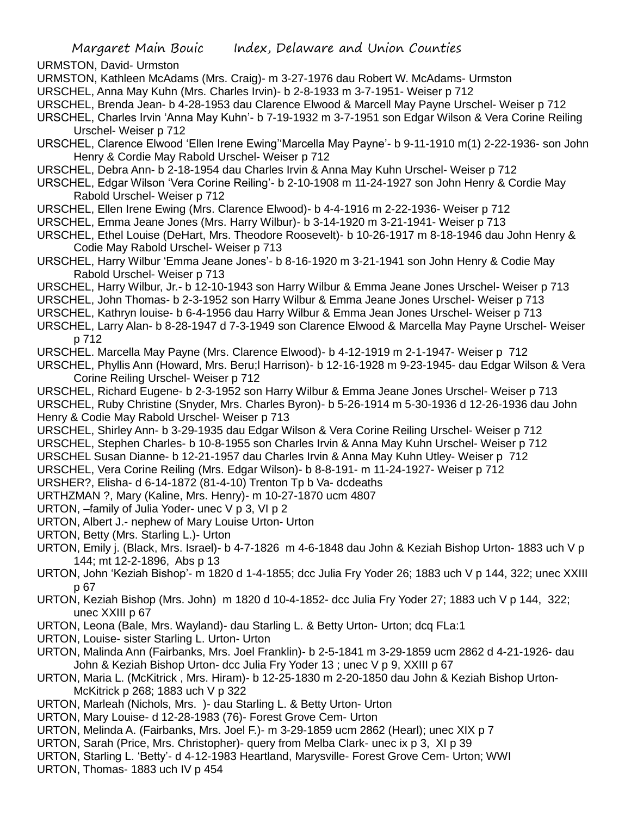URMSTON, David- Urmston

- URMSTON, Kathleen McAdams (Mrs. Craig)- m 3-27-1976 dau Robert W. McAdams- Urmston
- URSCHEL, Anna May Kuhn (Mrs. Charles Irvin)- b 2-8-1933 m 3-7-1951- Weiser p 712
- URSCHEL, Brenda Jean- b 4-28-1953 dau Clarence Elwood & Marcell May Payne Urschel- Weiser p 712
- URSCHEL, Charles Irvin 'Anna May Kuhn'- b 7-19-1932 m 3-7-1951 son Edgar Wilson & Vera Corine Reiling Urschel- Weiser p 712

URSCHEL, Clarence Elwood 'Ellen Irene Ewing''Marcella May Payne'- b 9-11-1910 m(1) 2-22-1936- son John Henry & Cordie May Rabold Urschel- Weiser p 712

- URSCHEL, Debra Ann- b 2-18-1954 dau Charles Irvin & Anna May Kuhn Urschel- Weiser p 712
- URSCHEL, Edgar Wilson 'Vera Corine Reiling'- b 2-10-1908 m 11-24-1927 son John Henry & Cordie May Rabold Urschel- Weiser p 712
- URSCHEL, Ellen Irene Ewing (Mrs. Clarence Elwood)- b 4-4-1916 m 2-22-1936- Weiser p 712
- URSCHEL, Emma Jeane Jones (Mrs. Harry Wilbur)- b 3-14-1920 m 3-21-1941- Weiser p 713
- URSCHEL, Ethel Louise (DeHart, Mrs. Theodore Roosevelt)- b 10-26-1917 m 8-18-1946 dau John Henry & Codie May Rabold Urschel- Weiser p 713
- URSCHEL, Harry Wilbur 'Emma Jeane Jones'- b 8-16-1920 m 3-21-1941 son John Henry & Codie May Rabold Urschel- Weiser p 713
- URSCHEL, Harry Wilbur, Jr.- b 12-10-1943 son Harry Wilbur & Emma Jeane Jones Urschel- Weiser p 713
- URSCHEL, John Thomas- b 2-3-1952 son Harry Wilbur & Emma Jeane Jones Urschel- Weiser p 713
- URSCHEL, Kathryn louise- b 6-4-1956 dau Harry Wilbur & Emma Jean Jones Urschel- Weiser p 713
- URSCHEL, Larry Alan- b 8-28-1947 d 7-3-1949 son Clarence Elwood & Marcella May Payne Urschel- Weiser p 712
- URSCHEL. Marcella May Payne (Mrs. Clarence Elwood)- b 4-12-1919 m 2-1-1947- Weiser p 712
- URSCHEL, Phyllis Ann (Howard, Mrs. Beru;l Harrison)- b 12-16-1928 m 9-23-1945- dau Edgar Wilson & Vera Corine Reiling Urschel- Weiser p 712
- URSCHEL, Richard Eugene- b 2-3-1952 son Harry Wilbur & Emma Jeane Jones Urschel- Weiser p 713 URSCHEL, Ruby Christine (Snyder, Mrs. Charles Byron)- b 5-26-1914 m 5-30-1936 d 12-26-1936 dau John Henry & Codie May Rabold Urschel- Weiser p 713
- URSCHEL, Shirley Ann- b 3-29-1935 dau Edgar Wilson & Vera Corine Reiling Urschel- Weiser p 712
- URSCHEL, Stephen Charles- b 10-8-1955 son Charles Irvin & Anna May Kuhn Urschel- Weiser p 712
- URSCHEL Susan Dianne- b 12-21-1957 dau Charles Irvin & Anna May Kuhn Utley- Weiser p 712
- URSCHEL, Vera Corine Reiling (Mrs. Edgar Wilson)- b 8-8-191- m 11-24-1927- Weiser p 712

URSHER?, Elisha- d 6-14-1872 (81-4-10) Trenton Tp b Va- dcdeaths

- URTHZMAN ?, Mary (Kaline, Mrs. Henry)- m 10-27-1870 ucm 4807
- URTON, –family of Julia Yoder- unec V p 3, VI p 2
- URTON, Albert J.- nephew of Mary Louise Urton- Urton
- URTON, Betty (Mrs. Starling L.)- Urton
- URTON, Emily j. (Black, Mrs. Israel)- b 4-7-1826 m 4-6-1848 dau John & Keziah Bishop Urton- 1883 uch V p 144; mt 12-2-1896, Abs p 13
- URTON, John 'Keziah Bishop'- m 1820 d 1-4-1855; dcc Julia Fry Yoder 26; 1883 uch V p 144, 322; unec XXIII p 67
- URTON, Keziah Bishop (Mrs. John) m 1820 d 10-4-1852- dcc Julia Fry Yoder 27; 1883 uch V p 144, 322; unec XXIII p 67
- URTON, Leona (Bale, Mrs. Wayland)- dau Starling L. & Betty Urton- Urton; dcq FLa:1
- URTON, Louise- sister Starling L. Urton- Urton
- URTON, Malinda Ann (Fairbanks, Mrs. Joel Franklin)- b 2-5-1841 m 3-29-1859 ucm 2862 d 4-21-1926- dau John & Keziah Bishop Urton- dcc Julia Fry Yoder 13 ; unec V p 9, XXIII p 67
- URTON, Maria L. (McKitrick , Mrs. Hiram)- b 12-25-1830 m 2-20-1850 dau John & Keziah Bishop Urton-McKitrick p 268; 1883 uch V p 322
- URTON, Marleah (Nichols, Mrs. )- dau Starling L. & Betty Urton- Urton
- URTON, Mary Louise- d 12-28-1983 (76)- Forest Grove Cem- Urton
- URTON, Melinda A. (Fairbanks, Mrs. Joel F.)- m 3-29-1859 ucm 2862 (Hearl); unec XIX p 7
- URTON, Sarah (Price, Mrs. Christopher)- query from Melba Clark- unec ix p 3, XI p 39
- URTON, Starling L. 'Betty'- d 4-12-1983 Heartland, Marysville- Forest Grove Cem- Urton; WWI
- URTON, Thomas- 1883 uch IV p 454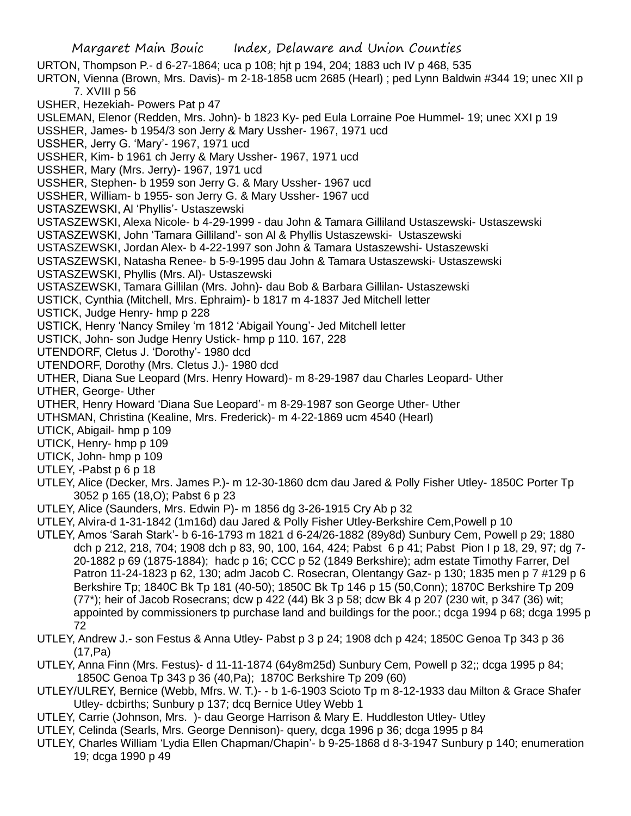Margaret Main Bouic Index, Delaware and Union Counties URTON, Thompson P.- d 6-27-1864; uca p 108; hjt p 194, 204; 1883 uch IV p 468, 535 URTON, Vienna (Brown, Mrs. Davis)- m 2-18-1858 ucm 2685 (Hearl) ; ped Lynn Baldwin #344 19; unec XII p 7. XVIII p 56 USHER, Hezekiah- Powers Pat p 47 USLEMAN, Elenor (Redden, Mrs. John)- b 1823 Ky- ped Eula Lorraine Poe Hummel- 19; unec XXI p 19 USSHER, James- b 1954/3 son Jerry & Mary Ussher- 1967, 1971 ucd USSHER, Jerry G. 'Mary'- 1967, 1971 ucd USSHER, Kim- b 1961 ch Jerry & Mary Ussher- 1967, 1971 ucd USSHER, Mary (Mrs. Jerry)- 1967, 1971 ucd USSHER, Stephen- b 1959 son Jerry G. & Mary Ussher- 1967 ucd USSHER, William- b 1955- son Jerry G. & Mary Ussher- 1967 ucd USTASZEWSKI, Al 'Phyllis'- Ustaszewski USTASZEWSKI, Alexa Nicole- b 4-29-1999 - dau John & Tamara Gilliland Ustaszewski- Ustaszewski USTASZEWSKI, John 'Tamara Gilliland'- son Al & Phyllis Ustaszewski- Ustaszewski USTASZEWSKI, Jordan Alex- b 4-22-1997 son John & Tamara Ustaszewshi- Ustaszewski USTASZEWSKI, Natasha Renee- b 5-9-1995 dau John & Tamara Ustaszewski- Ustaszewski USTASZEWSKI, Phyllis (Mrs. Al)- Ustaszewski USTASZEWSKI, Tamara Gillilan (Mrs. John)- dau Bob & Barbara Gillilan- Ustaszewski USTICK, Cynthia (Mitchell, Mrs. Ephraim)- b 1817 m 4-1837 Jed Mitchell letter USTICK, Judge Henry- hmp p 228 USTICK, Henry 'Nancy Smiley 'm 1812 'Abigail Young'- Jed Mitchell letter USTICK, John- son Judge Henry Ustick- hmp p 110. 167, 228 UTENDORF, Cletus J. 'Dorothy'- 1980 dcd UTENDORF, Dorothy (Mrs. Cletus J.)- 1980 dcd UTHER, Diana Sue Leopard (Mrs. Henry Howard)- m 8-29-1987 dau Charles Leopard- Uther UTHER, George- Uther UTHER, Henry Howard 'Diana Sue Leopard'- m 8-29-1987 son George Uther- Uther UTHSMAN, Christina (Kealine, Mrs. Frederick)- m 4-22-1869 ucm 4540 (Hearl) UTICK, Abigail- hmp p 109 UTICK, Henry- hmp p 109 UTICK, John- hmp p 109 UTLEY, -Pabst p 6 p 18 UTLEY, Alice (Decker, Mrs. James P.)- m 12-30-1860 dcm dau Jared & Polly Fisher Utley- 1850C Porter Tp 3052 p 165 (18,O); Pabst 6 p 23 UTLEY, Alice (Saunders, Mrs. Edwin P)- m 1856 dg 3-26-1915 Cry Ab p 32 UTLEY, Alvira-d 1-31-1842 (1m16d) dau Jared & Polly Fisher Utley-Berkshire Cem,Powell p 10 UTLEY, Amos 'Sarah Stark'- b 6-16-1793 m 1821 d 6-24/26-1882 (89y8d) Sunbury Cem, Powell p 29; 1880 dch p 212, 218, 704; 1908 dch p 83, 90, 100, 164, 424; Pabst 6 p 41; Pabst Pion I p 18, 29, 97; dg 7- 20-1882 p 69 (1875-1884); hadc p 16; CCC p 52 (1849 Berkshire); adm estate Timothy Farrer, Del Patron 11-24-1823 p 62, 130; adm Jacob C. Rosecran, Olentangy Gaz- p 130; 1835 men p 7 #129 p 6 Berkshire Tp; 1840C Bk Tp 181 (40-50); 1850C Bk Tp 146 p 15 (50,Conn); 1870C Berkshire Tp 209 (77\*); heir of Jacob Rosecrans; dcw p 422 (44) Bk 3 p 58; dcw Bk 4 p 207 (230 wit, p 347 (36) wit; appointed by commissioners tp purchase land and buildings for the poor.; dcga 1994 p 68; dcga 1995 p 72

- UTLEY, Andrew J.- son Festus & Anna Utley- Pabst p 3 p 24; 1908 dch p 424; 1850C Genoa Tp 343 p 36 (17,Pa)
- UTLEY, Anna Finn (Mrs. Festus)- d 11-11-1874 (64y8m25d) Sunbury Cem, Powell p 32;; dcga 1995 p 84; 1850C Genoa Tp 343 p 36 (40,Pa); 1870C Berkshire Tp 209 (60)
- UTLEY/ULREY, Bernice (Webb, Mfrs. W. T.)- b 1-6-1903 Scioto Tp m 8-12-1933 dau Milton & Grace Shafer Utley- dcbirths; Sunbury p 137; dcq Bernice Utley Webb 1
- UTLEY, Carrie (Johnson, Mrs. )- dau George Harrison & Mary E. Huddleston Utley- Utley
- UTLEY, Celinda (Searls, Mrs. George Dennison)- query, dcga 1996 p 36; dcga 1995 p 84
- UTLEY, Charles William 'Lydia Ellen Chapman/Chapin'- b 9-25-1868 d 8-3-1947 Sunbury p 140; enumeration 19; dcga 1990 p 49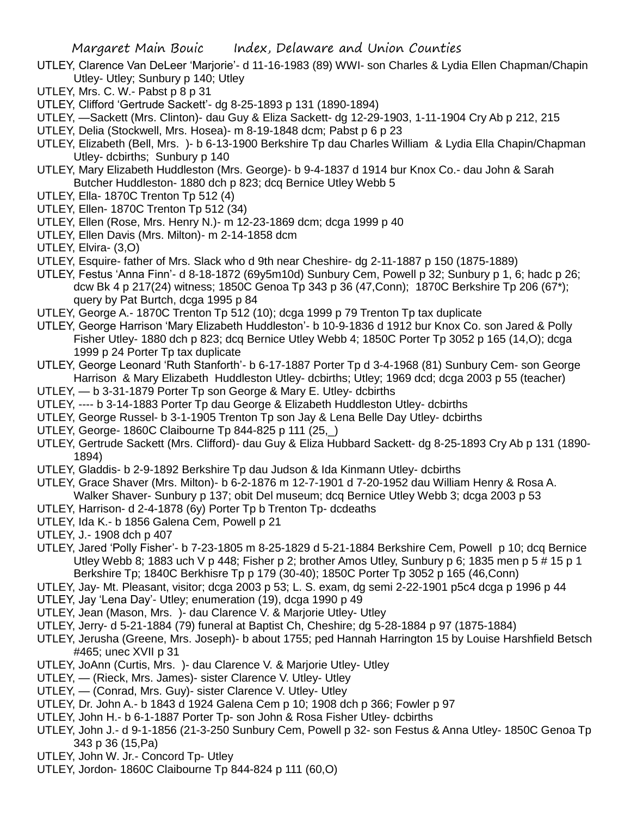- UTLEY, Clarence Van DeLeer 'Marjorie'- d 11-16-1983 (89) WWI- son Charles & Lydia Ellen Chapman/Chapin Utley- Utley; Sunbury p 140; Utley
- UTLEY, Mrs. C. W.- Pabst p 8 p 31
- UTLEY, Clifford 'Gertrude Sackett'- dg 8-25-1893 p 131 (1890-1894)
- UTLEY, —Sackett (Mrs. Clinton)- dau Guy & Eliza Sackett- dg 12-29-1903, 1-11-1904 Cry Ab p 212, 215
- UTLEY, Delia (Stockwell, Mrs. Hosea)- m 8-19-1848 dcm; Pabst p 6 p 23
- UTLEY, Elizabeth (Bell, Mrs. )- b 6-13-1900 Berkshire Tp dau Charles William & Lydia Ella Chapin/Chapman Utley- dcbirths; Sunbury p 140
- UTLEY, Mary Elizabeth Huddleston (Mrs. George)- b 9-4-1837 d 1914 bur Knox Co.- dau John & Sarah Butcher Huddleston- 1880 dch p 823; dcq Bernice Utley Webb 5
- UTLEY, Ella- 1870C Trenton Tp 512 (4)
- UTLEY, Ellen- 1870C Trenton Tp 512 (34)
- UTLEY, Ellen (Rose, Mrs. Henry N.)- m 12-23-1869 dcm; dcga 1999 p 40
- UTLEY, Ellen Davis (Mrs. Milton)- m 2-14-1858 dcm
- UTLEY, Elvira- (3,O)
- UTLEY, Esquire- father of Mrs. Slack who d 9th near Cheshire- dg 2-11-1887 p 150 (1875-1889)
- UTLEY, Festus 'Anna Finn'- d 8-18-1872 (69y5m10d) Sunbury Cem, Powell p 32; Sunbury p 1, 6; hadc p 26; dcw Bk 4 p 217(24) witness; 1850C Genoa Tp 343 p 36 (47,Conn); 1870C Berkshire Tp 206 (67\*); query by Pat Burtch, dcga 1995 p 84
- UTLEY, George A.- 1870C Trenton Tp 512 (10); dcga 1999 p 79 Trenton Tp tax duplicate
- UTLEY, George Harrison 'Mary Elizabeth Huddleston'- b 10-9-1836 d 1912 bur Knox Co. son Jared & Polly Fisher Utley- 1880 dch p 823; dcq Bernice Utley Webb 4; 1850C Porter Tp 3052 p 165 (14,O); dcga 1999 p 24 Porter Tp tax duplicate
- UTLEY, George Leonard 'Ruth Stanforth'- b 6-17-1887 Porter Tp d 3-4-1968 (81) Sunbury Cem- son George Harrison & Mary Elizabeth Huddleston Utley- dcbirths; Utley; 1969 dcd; dcga 2003 p 55 (teacher)
- UTLEY, b 3-31-1879 Porter Tp son George & Mary E. Utley- dcbirths
- UTLEY, ---- b 3-14-1883 Porter Tp dau George & Elizabeth Huddleston Utley- dcbirths
- UTLEY, George Russel- b 3-1-1905 Trenton Tp son Jay & Lena Belle Day Utley- dcbirths
- UTLEY, George- 1860C Claibourne Tp 844-825 p 111 (25,\_)
- UTLEY, Gertrude Sackett (Mrs. Clifford)- dau Guy & Eliza Hubbard Sackett- dg 8-25-1893 Cry Ab p 131 (1890- 1894)
- UTLEY, Gladdis- b 2-9-1892 Berkshire Tp dau Judson & Ida Kinmann Utley- dcbirths
- UTLEY, Grace Shaver (Mrs. Milton)- b 6-2-1876 m 12-7-1901 d 7-20-1952 dau William Henry & Rosa A. Walker Shaver- Sunbury p 137; obit Del museum; dcq Bernice Utley Webb 3; dcga 2003 p 53
- UTLEY, Harrison- d 2-4-1878 (6y) Porter Tp b Trenton Tp- dcdeaths
- UTLEY, Ida K.- b 1856 Galena Cem, Powell p 21
- UTLEY, J.- 1908 dch p 407
- UTLEY, Jared 'Polly Fisher'- b 7-23-1805 m 8-25-1829 d 5-21-1884 Berkshire Cem, Powell p 10; dcq Bernice Utley Webb 8; 1883 uch V p 448; Fisher p 2; brother Amos Utley, Sunbury p 6; 1835 men p 5 # 15 p 1 Berkshire Tp; 1840C Berkhisre Tp p 179 (30-40); 1850C Porter Tp 3052 p 165 (46,Conn)
- UTLEY, Jay- Mt. Pleasant, visitor; dcga 2003 p 53; L. S. exam, dg semi 2-22-1901 p5c4 dcga p 1996 p 44 UTLEY, Jay 'Lena Day'- Utley; enumeration (19), dcga 1990 p 49
- UTLEY, Jean (Mason, Mrs. )- dau Clarence V. & Marjorie Utley- Utley
- UTLEY, Jerry- d 5-21-1884 (79) funeral at Baptist Ch, Cheshire; dg 5-28-1884 p 97 (1875-1884)
- UTLEY, Jerusha (Greene, Mrs. Joseph)- b about 1755; ped Hannah Harrington 15 by Louise Harshfield Betsch #465; unec XVII p 31
- UTLEY, JoAnn (Curtis, Mrs. )- dau Clarence V. & Marjorie Utley- Utley
- UTLEY, (Rieck, Mrs. James)- sister Clarence V. Utley- Utley
- UTLEY, (Conrad, Mrs. Guy)- sister Clarence V. Utley- Utley
- UTLEY, Dr. John A.- b 1843 d 1924 Galena Cem p 10; 1908 dch p 366; Fowler p 97
- UTLEY, John H.- b 6-1-1887 Porter Tp- son John & Rosa Fisher Utley- dcbirths
- UTLEY, John J.- d 9-1-1856 (21-3-250 Sunbury Cem, Powell p 32- son Festus & Anna Utley- 1850C Genoa Tp 343 p 36 (15,Pa)
- UTLEY, John W. Jr.- Concord Tp- Utley
- UTLEY, Jordon- 1860C Claibourne Tp 844-824 p 111 (60,O)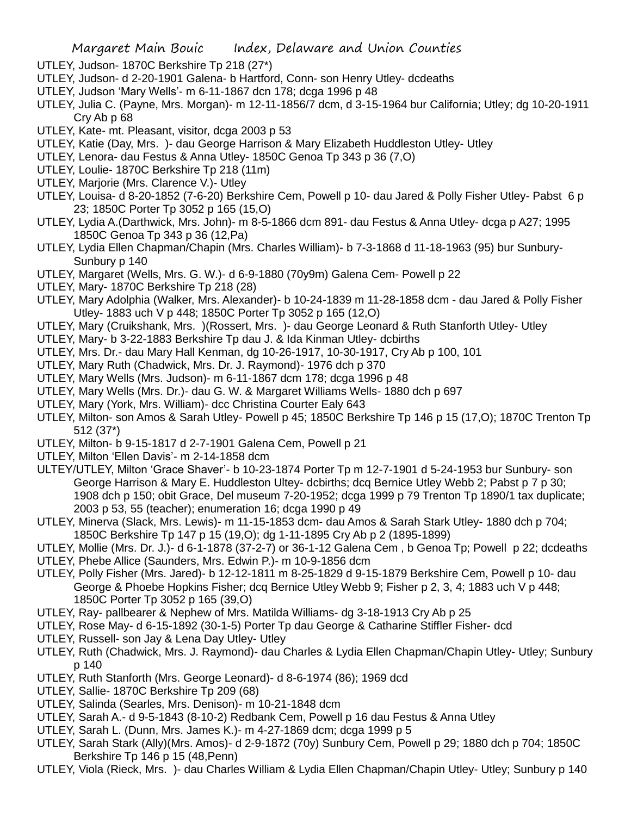- UTLEY, Judson- 1870C Berkshire Tp 218 (27\*)
- UTLEY, Judson- d 2-20-1901 Galena- b Hartford, Conn- son Henry Utley- dcdeaths
- UTLEY, Judson 'Mary Wells'- m 6-11-1867 dcn 178; dcga 1996 p 48
- UTLEY, Julia C. (Payne, Mrs. Morgan)- m 12-11-1856/7 dcm, d 3-15-1964 bur California; Utley; dg 10-20-1911 Cry Ab p 68
- UTLEY, Kate- mt. Pleasant, visitor, dcga 2003 p 53
- UTLEY, Katie (Day, Mrs. )- dau George Harrison & Mary Elizabeth Huddleston Utley- Utley
- UTLEY, Lenora- dau Festus & Anna Utley- 1850C Genoa Tp 343 p 36 (7,O)
- UTLEY, Loulie- 1870C Berkshire Tp 218 (11m)
- UTLEY, Marjorie (Mrs. Clarence V.)- Utley
- UTLEY, Louisa- d 8-20-1852 (7-6-20) Berkshire Cem, Powell p 10- dau Jared & Polly Fisher Utley- Pabst 6 p 23; 1850C Porter Tp 3052 p 165 (15,O)
- UTLEY, Lydia A.(Darthwick, Mrs. John)- m 8-5-1866 dcm 891- dau Festus & Anna Utley- dcga p A27; 1995 1850C Genoa Tp 343 p 36 (12,Pa)
- UTLEY, Lydia Ellen Chapman/Chapin (Mrs. Charles William)- b 7-3-1868 d 11-18-1963 (95) bur Sunbury-Sunbury p 140
- UTLEY, Margaret (Wells, Mrs. G. W.)- d 6-9-1880 (70y9m) Galena Cem- Powell p 22
- UTLEY, Mary- 1870C Berkshire Tp 218 (28)
- UTLEY, Mary Adolphia (Walker, Mrs. Alexander)- b 10-24-1839 m 11-28-1858 dcm dau Jared & Polly Fisher Utley- 1883 uch V p 448; 1850C Porter Tp 3052 p 165 (12,O)
- UTLEY, Mary (Cruikshank, Mrs. )(Rossert, Mrs. )- dau George Leonard & Ruth Stanforth Utley- Utley
- UTLEY, Mary- b 3-22-1883 Berkshire Tp dau J. & Ida Kinman Utley- dcbirths
- UTLEY, Mrs. Dr.- dau Mary Hall Kenman, dg 10-26-1917, 10-30-1917, Cry Ab p 100, 101
- UTLEY, Mary Ruth (Chadwick, Mrs. Dr. J. Raymond)- 1976 dch p 370
- UTLEY, Mary Wells (Mrs. Judson)- m 6-11-1867 dcm 178; dcga 1996 p 48
- UTLEY, Mary Wells (Mrs. Dr.)- dau G. W. & Margaret Williams Wells- 1880 dch p 697
- UTLEY, Mary (York, Mrs. William)- dcc Christina Courter Ealy 643
- UTLEY, Milton- son Amos & Sarah Utley- Powell p 45; 1850C Berkshire Tp 146 p 15 (17,O); 1870C Trenton Tp 512 (37\*)
- UTLEY, Milton- b 9-15-1817 d 2-7-1901 Galena Cem, Powell p 21
- UTLEY, Milton 'Ellen Davis'- m 2-14-1858 dcm
- ULTEY/UTLEY, Milton 'Grace Shaver'- b 10-23-1874 Porter Tp m 12-7-1901 d 5-24-1953 bur Sunbury- son George Harrison & Mary E. Huddleston Ultey- dcbirths; dcq Bernice Utley Webb 2; Pabst p 7 p 30; 1908 dch p 150; obit Grace, Del museum 7-20-1952; dcga 1999 p 79 Trenton Tp 1890/1 tax duplicate; 2003 p 53, 55 (teacher); enumeration 16; dcga 1990 p 49
- UTLEY, Minerva (Slack, Mrs. Lewis)- m 11-15-1853 dcm- dau Amos & Sarah Stark Utley- 1880 dch p 704; 1850C Berkshire Tp 147 p 15 (19,O); dg 1-11-1895 Cry Ab p 2 (1895-1899)
- UTLEY, Mollie (Mrs. Dr. J.)- d 6-1-1878 (37-2-7) or 36-1-12 Galena Cem , b Genoa Tp; Powell p 22; dcdeaths
- UTLEY, Phebe Allice (Saunders, Mrs. Edwin P.)- m 10-9-1856 dcm
- UTLEY, Polly Fisher (Mrs. Jared)- b 12-12-1811 m 8-25-1829 d 9-15-1879 Berkshire Cem, Powell p 10- dau George & Phoebe Hopkins Fisher; dcq Bernice Utley Webb 9; Fisher p 2, 3, 4; 1883 uch V p 448; 1850C Porter Tp 3052 p 165 (39,O)
- UTLEY, Ray- pallbearer & Nephew of Mrs. Matilda Williams- dg 3-18-1913 Cry Ab p 25
- UTLEY, Rose May- d 6-15-1892 (30-1-5) Porter Tp dau George & Catharine Stiffler Fisher- dcd
- UTLEY, Russell- son Jay & Lena Day Utley- Utley
- UTLEY, Ruth (Chadwick, Mrs. J. Raymond)- dau Charles & Lydia Ellen Chapman/Chapin Utley- Utley; Sunbury p 140
- UTLEY, Ruth Stanforth (Mrs. George Leonard)- d 8-6-1974 (86); 1969 dcd
- UTLEY, Sallie- 1870C Berkshire Tp 209 (68)
- UTLEY, Salinda (Searles, Mrs. Denison)- m 10-21-1848 dcm
- UTLEY, Sarah A.- d 9-5-1843 (8-10-2) Redbank Cem, Powell p 16 dau Festus & Anna Utley
- UTLEY, Sarah L. (Dunn, Mrs. James K.)- m 4-27-1869 dcm; dcga 1999 p 5
- UTLEY, Sarah Stark (Ally)(Mrs. Amos)- d 2-9-1872 (70y) Sunbury Cem, Powell p 29; 1880 dch p 704; 1850C Berkshire Tp 146 p 15 (48,Penn)
- UTLEY, Viola (Rieck, Mrs. )- dau Charles William & Lydia Ellen Chapman/Chapin Utley- Utley; Sunbury p 140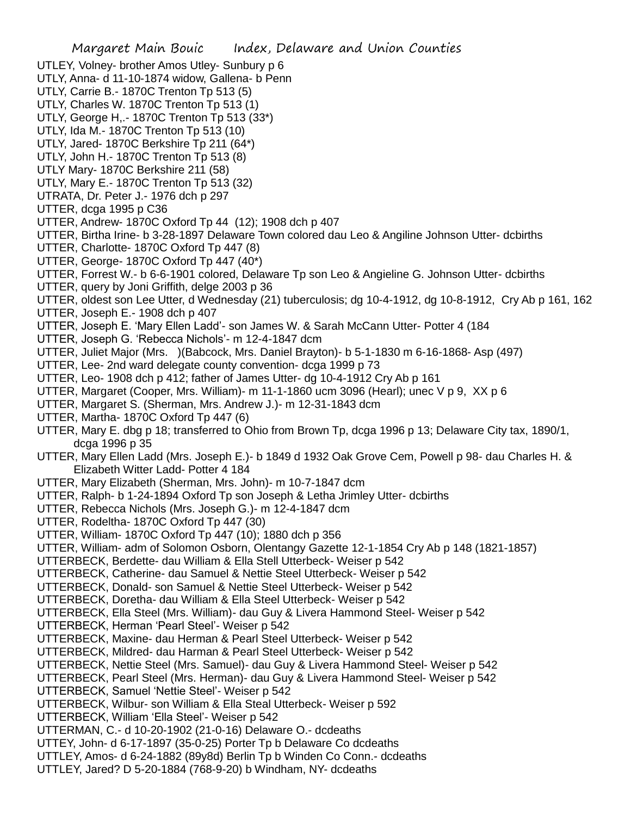- UTLEY, Volney- brother Amos Utley- Sunbury p 6
- UTLY, Anna- d 11-10-1874 widow, Gallena- b Penn
- UTLY, Carrie B.- 1870C Trenton Tp 513 (5)
- UTLY, Charles W. 1870C Trenton Tp 513 (1)
- UTLY, George H,.- 1870C Trenton Tp 513 (33\*)
- UTLY, Ida M.- 1870C Trenton Tp 513 (10)
- UTLY, Jared- 1870C Berkshire Tp 211 (64\*) UTLY, John H.- 1870C Trenton Tp 513 (8)
- UTLY Mary- 1870C Berkshire 211 (58)
- UTLY, Mary E.- 1870C Trenton Tp 513 (32)
- UTRATA, Dr. Peter J.- 1976 dch p 297
- UTTER, dcga 1995 p C36
- UTTER, Andrew- 1870C Oxford Tp 44 (12); 1908 dch p 407
- UTTER, Birtha Irine- b 3-28-1897 Delaware Town colored dau Leo & Angiline Johnson Utter- dcbirths
- UTTER, Charlotte- 1870C Oxford Tp 447 (8)
- UTTER, George- 1870C Oxford Tp 447 (40\*)
- UTTER, Forrest W.- b 6-6-1901 colored, Delaware Tp son Leo & Angieline G. Johnson Utter- dcbirths
- UTTER, query by Joni Griffith, delge 2003 p 36
- UTTER, oldest son Lee Utter, d Wednesday (21) tuberculosis; dg 10-4-1912, dg 10-8-1912, Cry Ab p 161, 162
- UTTER, Joseph E.- 1908 dch p 407
- UTTER, Joseph E. 'Mary Ellen Ladd'- son James W. & Sarah McCann Utter- Potter 4 (184
- UTTER, Joseph G. 'Rebecca Nichols'- m 12-4-1847 dcm
- UTTER, Juliet Major (Mrs. )(Babcock, Mrs. Daniel Brayton)- b 5-1-1830 m 6-16-1868- Asp (497)
- UTTER, Lee- 2nd ward delegate county convention- dcga 1999 p 73
- UTTER, Leo- 1908 dch p 412; father of James Utter- dg 10-4-1912 Cry Ab p 161
- UTTER, Margaret (Cooper, Mrs. William)- m 11-1-1860 ucm 3096 (Hearl); unec V p 9, XX p 6
- UTTER, Margaret S. (Sherman, Mrs. Andrew J.)- m 12-31-1843 dcm
- UTTER, Martha- 1870C Oxford Tp 447 (6)
- UTTER, Mary E. dbg p 18; transferred to Ohio from Brown Tp, dcga 1996 p 13; Delaware City tax, 1890/1, dcga 1996 p 35
- UTTER, Mary Ellen Ladd (Mrs. Joseph E.)- b 1849 d 1932 Oak Grove Cem, Powell p 98- dau Charles H. & Elizabeth Witter Ladd- Potter 4 184
- UTTER, Mary Elizabeth (Sherman, Mrs. John)- m 10-7-1847 dcm
- UTTER, Ralph- b 1-24-1894 Oxford Tp son Joseph & Letha Jrimley Utter- dcbirths
- UTTER, Rebecca Nichols (Mrs. Joseph G.)- m 12-4-1847 dcm
- UTTER, Rodeltha- 1870C Oxford Tp 447 (30)
- UTTER, William- 1870C Oxford Tp 447 (10); 1880 dch p 356
- UTTER, William- adm of Solomon Osborn, Olentangy Gazette 12-1-1854 Cry Ab p 148 (1821-1857)
- UTTERBECK, Berdette- dau William & Ella Stell Utterbeck- Weiser p 542
- UTTERBECK, Catherine- dau Samuel & Nettie Steel Utterbeck- Weiser p 542
- UTTERBECK, Donald- son Samuel & Nettie Steel Utterbeck- Weiser p 542
- UTTERBECK, Doretha- dau William & Ella Steel Utterbeck- Weiser p 542
- UTTERBECK, Ella Steel (Mrs. William)- dau Guy & Livera Hammond Steel- Weiser p 542
- UTTERBECK, Herman 'Pearl Steel'- Weiser p 542
- UTTERBECK, Maxine- dau Herman & Pearl Steel Utterbeck- Weiser p 542
- UTTERBECK, Mildred- dau Harman & Pearl Steel Utterbeck- Weiser p 542
- UTTERBECK, Nettie Steel (Mrs. Samuel)- dau Guy & Livera Hammond Steel- Weiser p 542
- UTTERBECK, Pearl Steel (Mrs. Herman)- dau Guy & Livera Hammond Steel- Weiser p 542
- UTTERBECK, Samuel 'Nettie Steel'- Weiser p 542
- UTTERBECK, Wilbur- son William & Ella Steal Utterbeck- Weiser p 592
- UTTERBECK, William 'Ella Steel'- Weiser p 542
- UTTERMAN, C.- d 10-20-1902 (21-0-16) Delaware O.- dcdeaths
- UTTEY, John- d 6-17-1897 (35-0-25) Porter Tp b Delaware Co dcdeaths
- UTTLEY, Amos- d 6-24-1882 (89y8d) Berlin Tp b Winden Co Conn.- dcdeaths
- UTTLEY, Jared? D 5-20-1884 (768-9-20) b Windham, NY- dcdeaths